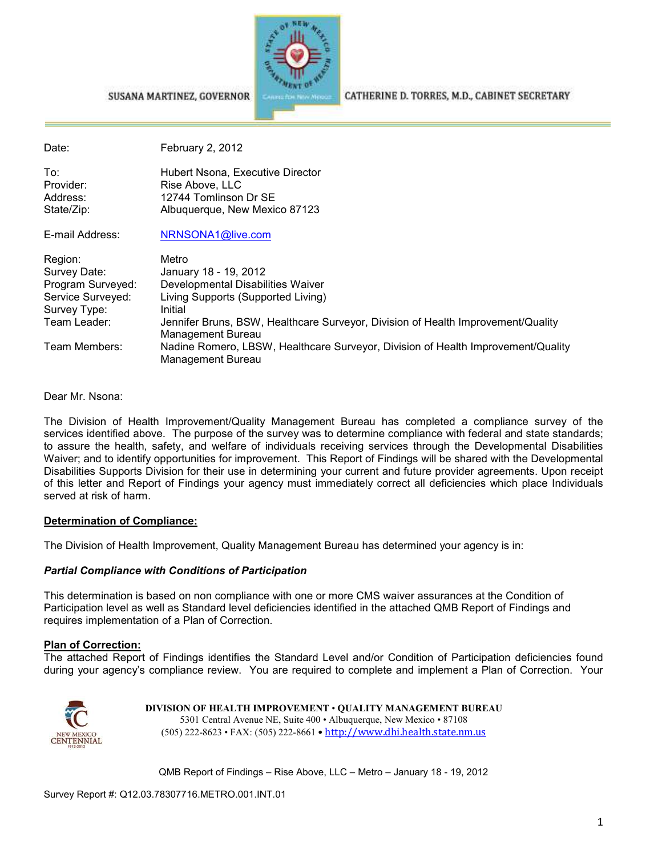

CATHERINE D. TORRES, M.D., CABINET SECRETARY

#### SUSANA MARTINEZ, GOVERNOR

Date: February 2, 2012 To: To: The Hubert Nsona, Executive Director<br>
Provider: The Rise Above LLC Rise Above, LLC Address: 12744 Tomlinson Dr SE State/Zip: Malbuquerque, New Mexico 87123 E-mail Address: NRNSONA1@live.com Region: Metro Survey Date: January 18 - 19, 2012 Program Surveyed: Developmental Disabilities Waiver Service Surveyed: Living Supports (Supported Living) Survey Type: Initial<br>Team Leader: Initial Jennifer Bruns, BSW, Healthcare Surveyor, Division of Health Improvement/Quality Management Bureau Team Members: Nadine Romero, LBSW, Healthcare Surveyor, Division of Health Improvement/Quality Management Bureau

Dear Mr. Nsona:

The Division of Health Improvement/Quality Management Bureau has completed a compliance survey of the services identified above. The purpose of the survey was to determine compliance with federal and state standards; to assure the health, safety, and welfare of individuals receiving services through the Developmental Disabilities Waiver; and to identify opportunities for improvement. This Report of Findings will be shared with the Developmental Disabilities Supports Division for their use in determining your current and future provider agreements. Upon receipt of this letter and Report of Findings your agency must immediately correct all deficiencies which place Individuals served at risk of harm.

#### **Determination of Compliance:**

The Division of Health Improvement, Quality Management Bureau has determined your agency is in:

#### *Partial Compliance with Conditions of Participation*

This determination is based on non compliance with one or more CMS waiver assurances at the Condition of Participation level as well as Standard level deficiencies identified in the attached QMB Report of Findings and requires implementation of a Plan of Correction.

#### **Plan of Correction:**

The attached Report of Findings identifies the Standard Level and/or Condition of Participation deficiencies found during your agency's compliance review. You are required to complete and implement a Plan of Correction. Your



**DIVISION OF HEALTH IMPROVEMENT** • **QUALITY MANAGEMENT BUREAU** 5301 Central Avenue NE, Suite 400 • Albuquerque, New Mexico • 87108 (505) 222-8623 • FAX: (505) 222-8661 • http://www.dhi.health.state.nm.us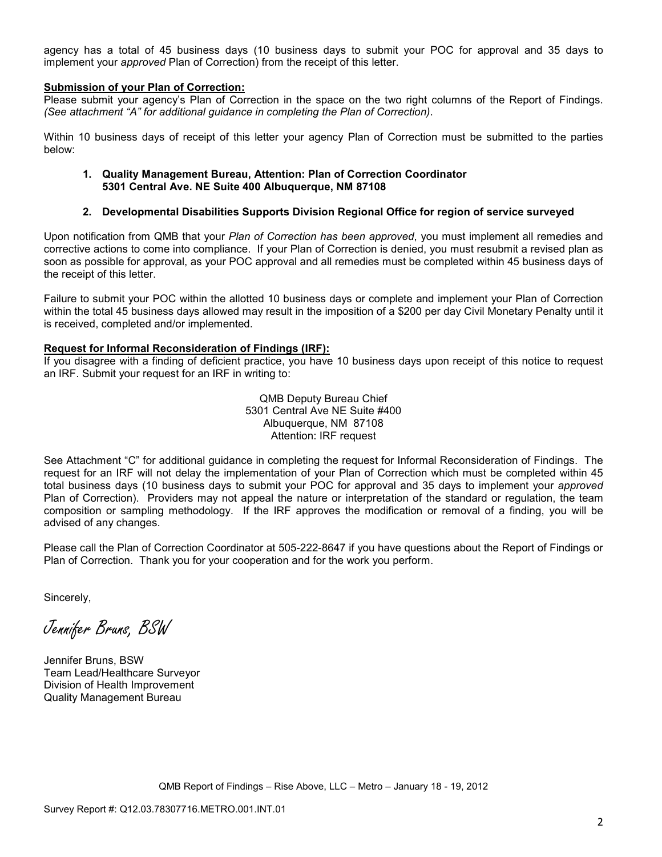agency has a total of 45 business days (10 business days to submit your POC for approval and 35 days to implement your *approved* Plan of Correction) from the receipt of this letter.

#### **Submission of your Plan of Correction:**

Please submit your agency's Plan of Correction in the space on the two right columns of the Report of Findings. *(See attachment "A" for additional guidance in completing the Plan of Correction)*.

Within 10 business days of receipt of this letter your agency Plan of Correction must be submitted to the parties below:

#### **1. Quality Management Bureau, Attention: Plan of Correction Coordinator 5301 Central Ave. NE Suite 400 Albuquerque, NM 87108**

#### **2. Developmental Disabilities Supports Division Regional Office for region of service surveyed**

Upon notification from QMB that your *Plan of Correction has been approved*, you must implement all remedies and corrective actions to come into compliance. If your Plan of Correction is denied, you must resubmit a revised plan as soon as possible for approval, as your POC approval and all remedies must be completed within 45 business days of the receipt of this letter.

Failure to submit your POC within the allotted 10 business days or complete and implement your Plan of Correction within the total 45 business days allowed may result in the imposition of a \$200 per day Civil Monetary Penalty until it is received, completed and/or implemented.

#### **Request for Informal Reconsideration of Findings (IRF):**

If you disagree with a finding of deficient practice, you have 10 business days upon receipt of this notice to request an IRF. Submit your request for an IRF in writing to:

> QMB Deputy Bureau Chief 5301 Central Ave NE Suite #400 Albuquerque, NM 87108 Attention: IRF request

See Attachment "C" for additional guidance in completing the request for Informal Reconsideration of Findings. The request for an IRF will not delay the implementation of your Plan of Correction which must be completed within 45 total business days (10 business days to submit your POC for approval and 35 days to implement your *approved* Plan of Correction). Providers may not appeal the nature or interpretation of the standard or regulation, the team composition or sampling methodology. If the IRF approves the modification or removal of a finding, you will be advised of any changes.

Please call the Plan of Correction Coordinator at 505-222-8647 if you have questions about the Report of Findings or Plan of Correction. Thank you for your cooperation and for the work you perform.

Sincerely,

Jennifer Bruns, BSW

Jennifer Bruns, BSW Team Lead/Healthcare Surveyor Division of Health Improvement Quality Management Bureau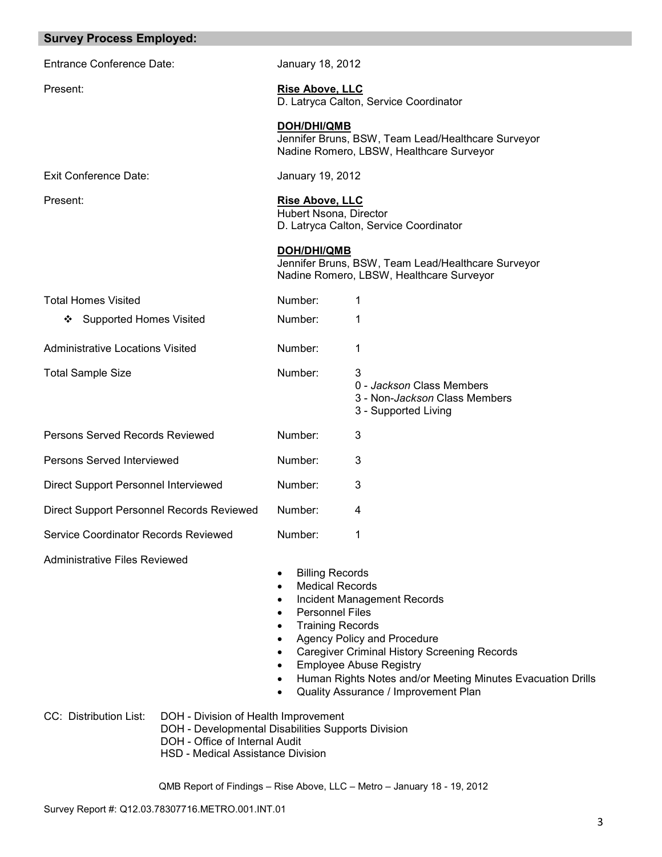| <b>Survey Process Employed:</b>                          |                                                                                                                                                                                       |                                                                                                                                                                                                                                                            |
|----------------------------------------------------------|---------------------------------------------------------------------------------------------------------------------------------------------------------------------------------------|------------------------------------------------------------------------------------------------------------------------------------------------------------------------------------------------------------------------------------------------------------|
| <b>Entrance Conference Date:</b>                         | January 18, 2012                                                                                                                                                                      |                                                                                                                                                                                                                                                            |
| Present:                                                 | <b>Rise Above, LLC</b>                                                                                                                                                                | D. Latryca Calton, Service Coordinator                                                                                                                                                                                                                     |
|                                                          | <b>DOH/DHI/QMB</b>                                                                                                                                                                    | Jennifer Bruns, BSW, Team Lead/Healthcare Surveyor<br>Nadine Romero, LBSW, Healthcare Surveyor                                                                                                                                                             |
| <b>Exit Conference Date:</b>                             | January 19, 2012                                                                                                                                                                      |                                                                                                                                                                                                                                                            |
| Present:                                                 | <b>Rise Above, LLC</b><br>Hubert Nsona, Director                                                                                                                                      | D. Latryca Calton, Service Coordinator                                                                                                                                                                                                                     |
|                                                          | <b>DOH/DHI/QMB</b>                                                                                                                                                                    | Jennifer Bruns, BSW, Team Lead/Healthcare Surveyor<br>Nadine Romero, LBSW, Healthcare Surveyor                                                                                                                                                             |
| <b>Total Homes Visited</b>                               | Number:                                                                                                                                                                               | 1                                                                                                                                                                                                                                                          |
| <b>Supported Homes Visited</b><br>❖                      | Number:                                                                                                                                                                               | 1                                                                                                                                                                                                                                                          |
| <b>Administrative Locations Visited</b>                  | Number:                                                                                                                                                                               | 1                                                                                                                                                                                                                                                          |
| <b>Total Sample Size</b>                                 | Number:                                                                                                                                                                               | 3<br>0 - Jackson Class Members<br>3 - Non- <i>Jackson</i> Class Members<br>3 - Supported Living                                                                                                                                                            |
| Persons Served Records Reviewed                          | Number:                                                                                                                                                                               | 3                                                                                                                                                                                                                                                          |
| Persons Served Interviewed                               | Number:                                                                                                                                                                               | 3                                                                                                                                                                                                                                                          |
| Direct Support Personnel Interviewed                     | Number:                                                                                                                                                                               | 3                                                                                                                                                                                                                                                          |
| Direct Support Personnel Records Reviewed                | Number:                                                                                                                                                                               | 4                                                                                                                                                                                                                                                          |
| Service Coordinator Records Reviewed                     | Number:                                                                                                                                                                               | 1                                                                                                                                                                                                                                                          |
| Administrative Files Reviewed                            | <b>Billing Records</b><br><b>Medical Records</b><br>٠<br><b>Personnel Files</b><br>$\bullet$<br><b>Training Records</b><br>$\bullet$<br>$\bullet$<br>$\bullet$<br>٠<br>٠<br>$\bullet$ | Incident Management Records<br>Agency Policy and Procedure<br><b>Caregiver Criminal History Screening Records</b><br><b>Employee Abuse Registry</b><br>Human Rights Notes and/or Meeting Minutes Evacuation Drills<br>Quality Assurance / Improvement Plan |
| CC: Distribution List:<br>DOH - Office of Internal Audit | DOH - Division of Health Improvement<br>DOH - Developmental Disabilities Supports Division<br>HSD - Medical Assistance Division                                                       |                                                                                                                                                                                                                                                            |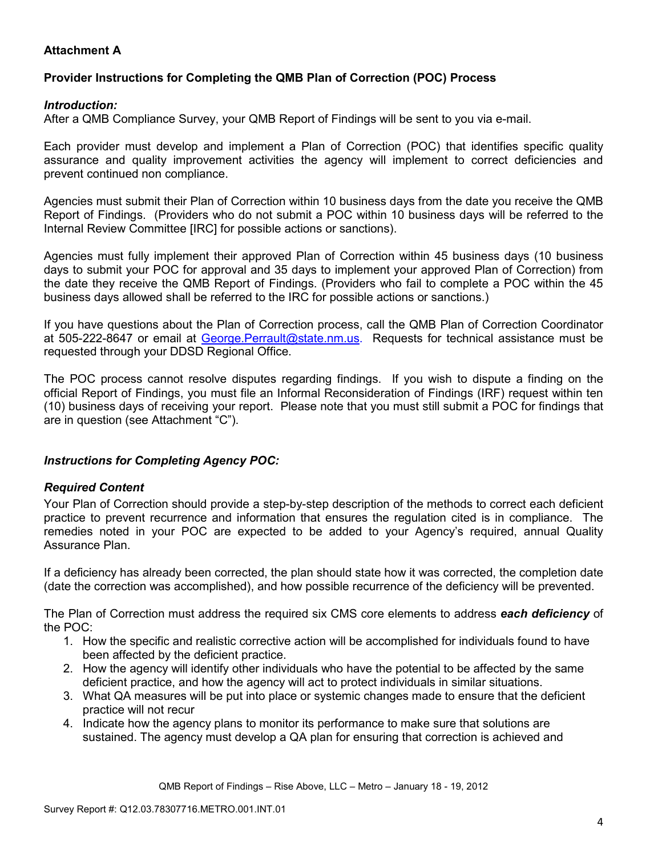# **Attachment A**

## **Provider Instructions for Completing the QMB Plan of Correction (POC) Process**

### *Introduction:*

After a QMB Compliance Survey, your QMB Report of Findings will be sent to you via e-mail.

Each provider must develop and implement a Plan of Correction (POC) that identifies specific quality assurance and quality improvement activities the agency will implement to correct deficiencies and prevent continued non compliance.

Agencies must submit their Plan of Correction within 10 business days from the date you receive the QMB Report of Findings. (Providers who do not submit a POC within 10 business days will be referred to the Internal Review Committee [IRC] for possible actions or sanctions).

Agencies must fully implement their approved Plan of Correction within 45 business days (10 business days to submit your POC for approval and 35 days to implement your approved Plan of Correction) from the date they receive the QMB Report of Findings. (Providers who fail to complete a POC within the 45 business days allowed shall be referred to the IRC for possible actions or sanctions.)

If you have questions about the Plan of Correction process, call the QMB Plan of Correction Coordinator at 505-222-8647 or email at George. Perrault@state.nm.us. Requests for technical assistance must be requested through your DDSD Regional Office.

The POC process cannot resolve disputes regarding findings. If you wish to dispute a finding on the official Report of Findings, you must file an Informal Reconsideration of Findings (IRF) request within ten (10) business days of receiving your report. Please note that you must still submit a POC for findings that are in question (see Attachment "C").

## *Instructions for Completing Agency POC:*

## *Required Content*

Your Plan of Correction should provide a step-by-step description of the methods to correct each deficient practice to prevent recurrence and information that ensures the regulation cited is in compliance. The remedies noted in your POC are expected to be added to your Agency's required, annual Quality Assurance Plan.

If a deficiency has already been corrected, the plan should state how it was corrected, the completion date (date the correction was accomplished), and how possible recurrence of the deficiency will be prevented.

The Plan of Correction must address the required six CMS core elements to address *each deficiency* of the POC:

- 1. How the specific and realistic corrective action will be accomplished for individuals found to have been affected by the deficient practice.
- 2. How the agency will identify other individuals who have the potential to be affected by the same deficient practice, and how the agency will act to protect individuals in similar situations.
- 3. What QA measures will be put into place or systemic changes made to ensure that the deficient practice will not recur
- 4. Indicate how the agency plans to monitor its performance to make sure that solutions are sustained. The agency must develop a QA plan for ensuring that correction is achieved and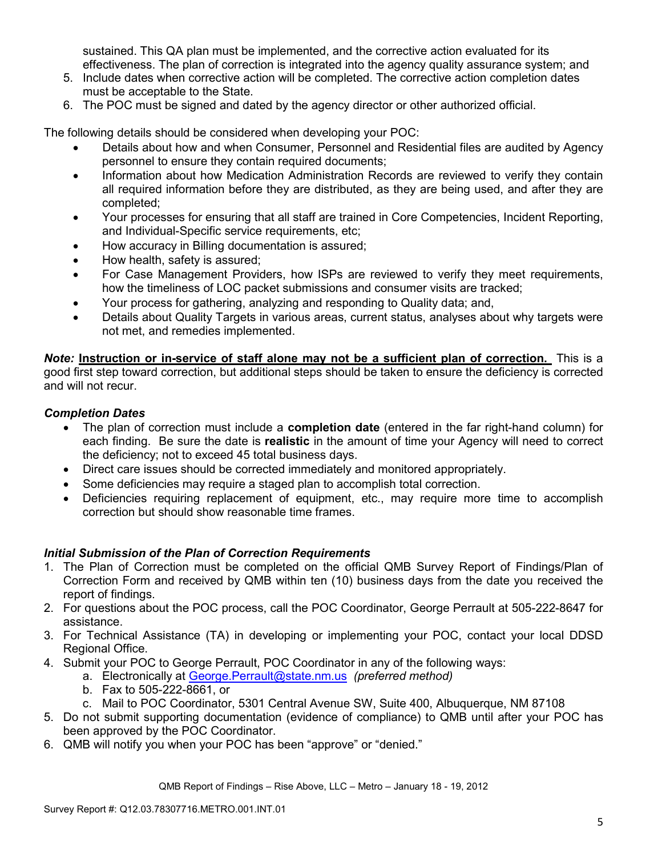sustained. This QA plan must be implemented, and the corrective action evaluated for its effectiveness. The plan of correction is integrated into the agency quality assurance system; and

- 5. Include dates when corrective action will be completed. The corrective action completion dates must be acceptable to the State.
- 6. The POC must be signed and dated by the agency director or other authorized official.

The following details should be considered when developing your POC:

- Details about how and when Consumer, Personnel and Residential files are audited by Agency personnel to ensure they contain required documents;
- Information about how Medication Administration Records are reviewed to verify they contain all required information before they are distributed, as they are being used, and after they are completed;
- Your processes for ensuring that all staff are trained in Core Competencies, Incident Reporting, and Individual-Specific service requirements, etc;
- How accuracy in Billing documentation is assured;
- How health, safety is assured;
- For Case Management Providers, how ISPs are reviewed to verify they meet requirements, how the timeliness of LOC packet submissions and consumer visits are tracked;
- Your process for gathering, analyzing and responding to Quality data; and,
- Details about Quality Targets in various areas, current status, analyses about why targets were not met, and remedies implemented.

*Note:* **Instruction or in-service of staff alone may not be a sufficient plan of correction.** This is a good first step toward correction, but additional steps should be taken to ensure the deficiency is corrected and will not recur.

## *Completion Dates*

- The plan of correction must include a **completion date** (entered in the far right-hand column) for each finding. Be sure the date is **realistic** in the amount of time your Agency will need to correct the deficiency; not to exceed 45 total business days.
- Direct care issues should be corrected immediately and monitored appropriately.
- Some deficiencies may require a staged plan to accomplish total correction.
- Deficiencies requiring replacement of equipment, etc., may require more time to accomplish correction but should show reasonable time frames.

## *Initial Submission of the Plan of Correction Requirements*

- 1. The Plan of Correction must be completed on the official QMB Survey Report of Findings/Plan of Correction Form and received by QMB within ten (10) business days from the date you received the report of findings.
- 2. For questions about the POC process, call the POC Coordinator, George Perrault at 505-222-8647 for assistance.
- 3. For Technical Assistance (TA) in developing or implementing your POC, contact your local DDSD Regional Office.
- 4. Submit your POC to George Perrault, POC Coordinator in any of the following ways:
	- a. Electronically at George.Perrault@state.nm.us *(preferred method)*
	- b. Fax to 505-222-8661, or
	- c. Mail to POC Coordinator, 5301 Central Avenue SW, Suite 400, Albuquerque, NM 87108
- 5. Do not submit supporting documentation (evidence of compliance) to QMB until after your POC has been approved by the POC Coordinator.
- 6. QMB will notify you when your POC has been "approve" or "denied."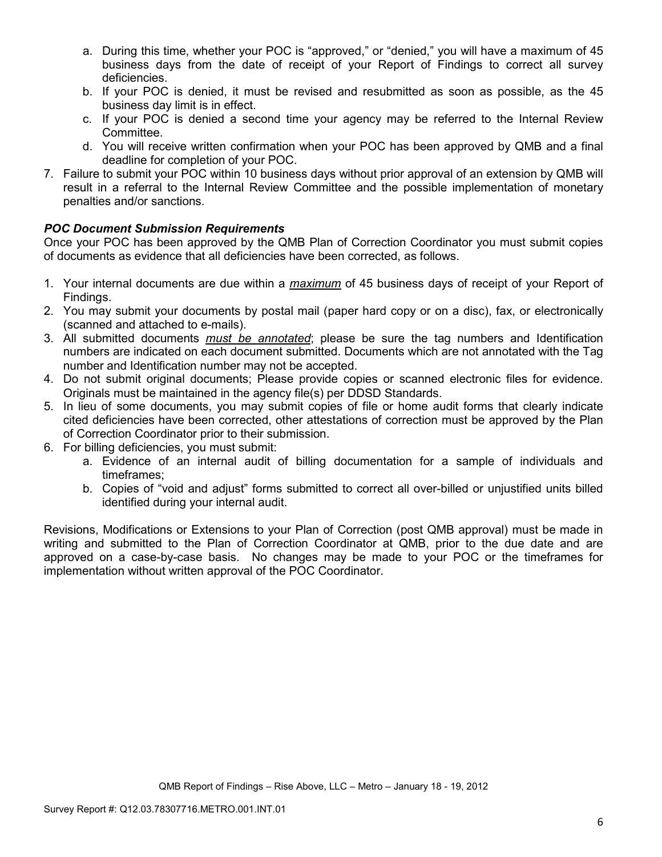- a. During this time, whether your POC is "approved," or "denied," you will have a maximum of 45 business days from the date of receipt of your Report of Findings to correct all survey deficiencies.
- b. If your POC is denied, it must be revised and resubmitted as soon as possible, as the 45 business day limit is in effect.
- c. If your POC is denied a second time your agency may be referred to the Internal Review Committee.
- d. You will receive written confirmation when your POC has been approved by QMB and a final deadline for completion of your POC.
- 7. Failure to submit your POC within 10 business days without prior approval of an extension by QMB will result in a referral to the Internal Review Committee and the possible implementation of monetary penalties and/or sanctions.

## *POC Document Submission Requirements*

Once your POC has been approved by the QMB Plan of Correction Coordinator you must submit copies of documents as evidence that all deficiencies have been corrected, as follows.

- 1. Your internal documents are due within a *maximum* of 45 business days of receipt of your Report of Findings.
- 2. You may submit your documents by postal mail (paper hard copy or on a disc), fax, or electronically (scanned and attached to e-mails).
- 3. All submitted documents *must be annotated*; please be sure the tag numbers and Identification numbers are indicated on each document submitted. Documents which are not annotated with the Tag number and Identification number may not be accepted.
- 4. Do not submit original documents; Please provide copies or scanned electronic files for evidence. Originals must be maintained in the agency file(s) per DDSD Standards.
- 5. In lieu of some documents, you may submit copies of file or home audit forms that clearly indicate cited deficiencies have been corrected, other attestations of correction must be approved by the Plan of Correction Coordinator prior to their submission.
- 6. For billing deficiencies, you must submit:
	- a. Evidence of an internal audit of billing documentation for a sample of individuals and timeframes;
	- b. Copies of "void and adjust" forms submitted to correct all over-billed or unjustified units billed identified during your internal audit.

Revisions, Modifications or Extensions to your Plan of Correction (post QMB approval) must be made in writing and submitted to the Plan of Correction Coordinator at QMB, prior to the due date and are approved on a case-by-case basis. No changes may be made to your POC or the timeframes for implementation without written approval of the POC Coordinator.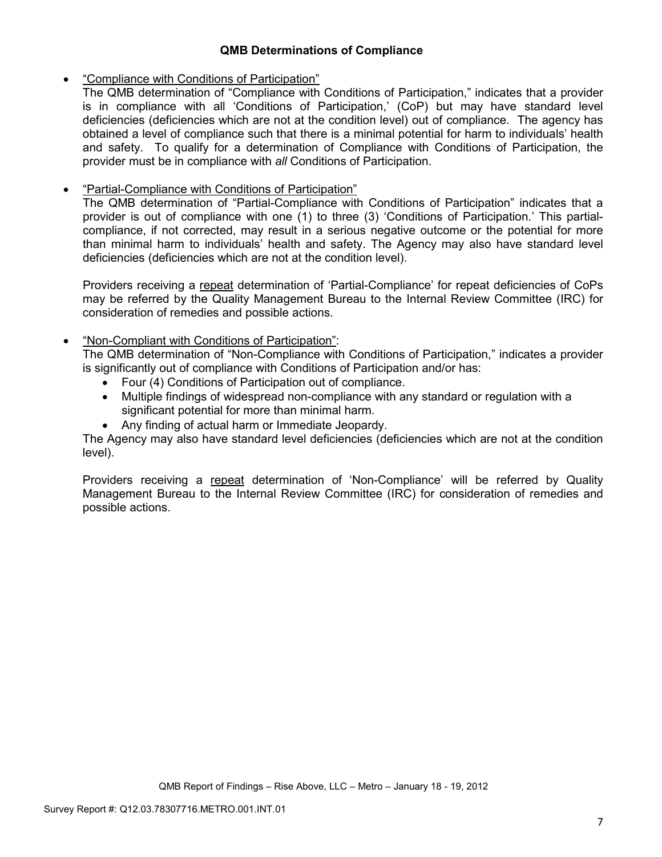## **QMB Determinations of Compliance**

## • "Compliance with Conditions of Participation"

The QMB determination of "Compliance with Conditions of Participation," indicates that a provider is in compliance with all 'Conditions of Participation,' (CoP) but may have standard level deficiencies (deficiencies which are not at the condition level) out of compliance. The agency has obtained a level of compliance such that there is a minimal potential for harm to individuals' health and safety. To qualify for a determination of Compliance with Conditions of Participation, the provider must be in compliance with *all* Conditions of Participation.

# • "Partial-Compliance with Conditions of Participation"

The QMB determination of "Partial-Compliance with Conditions of Participation" indicates that a provider is out of compliance with one (1) to three (3) 'Conditions of Participation.' This partialcompliance, if not corrected, may result in a serious negative outcome or the potential for more than minimal harm to individuals' health and safety. The Agency may also have standard level deficiencies (deficiencies which are not at the condition level).

Providers receiving a repeat determination of 'Partial-Compliance' for repeat deficiencies of CoPs may be referred by the Quality Management Bureau to the Internal Review Committee (IRC) for consideration of remedies and possible actions.

## • "Non-Compliant with Conditions of Participation":

The QMB determination of "Non-Compliance with Conditions of Participation," indicates a provider is significantly out of compliance with Conditions of Participation and/or has:

- Four (4) Conditions of Participation out of compliance.
- Multiple findings of widespread non-compliance with any standard or regulation with a significant potential for more than minimal harm.
- Any finding of actual harm or Immediate Jeopardy.

The Agency may also have standard level deficiencies (deficiencies which are not at the condition level).

Providers receiving a repeat determination of 'Non-Compliance' will be referred by Quality Management Bureau to the Internal Review Committee (IRC) for consideration of remedies and possible actions.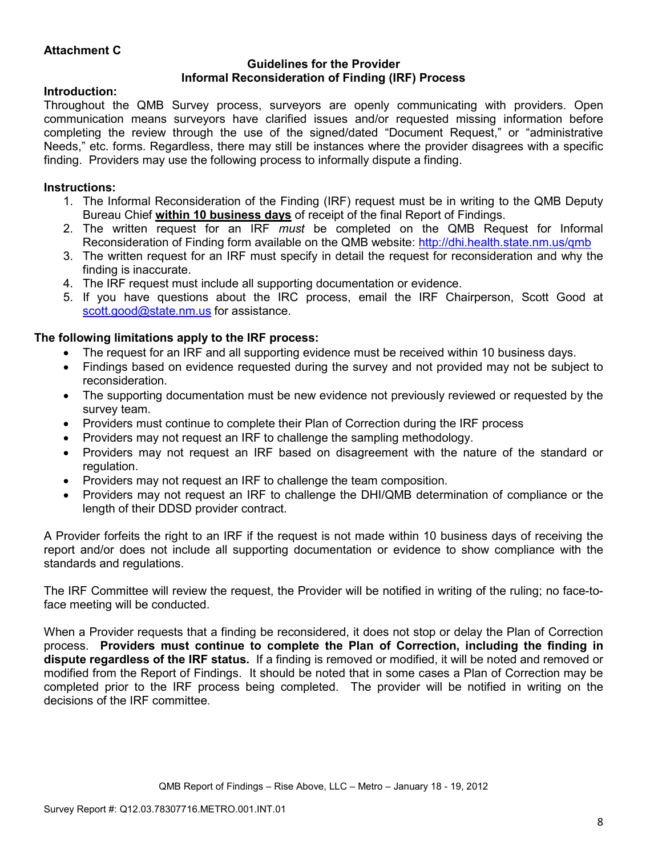## **Attachment C**

#### **Guidelines for the Provider Informal Reconsideration of Finding (IRF) Process**

### **Introduction:**

Throughout the QMB Survey process, surveyors are openly communicating with providers. Open communication means surveyors have clarified issues and/or requested missing information before completing the review through the use of the signed/dated "Document Request," or "administrative Needs," etc. forms. Regardless, there may still be instances where the provider disagrees with a specific finding. Providers may use the following process to informally dispute a finding.

## **Instructions:**

- 1. The Informal Reconsideration of the Finding (IRF) request must be in writing to the QMB Deputy Bureau Chief **within 10 business days** of receipt of the final Report of Findings.
- 2. The written request for an IRF *must* be completed on the QMB Request for Informal Reconsideration of Finding form available on the QMB website: http://dhi.health.state.nm.us/qmb
- 3. The written request for an IRF must specify in detail the request for reconsideration and why the finding is inaccurate.
- 4. The IRF request must include all supporting documentation or evidence.
- 5. If you have questions about the IRC process, email the IRF Chairperson, Scott Good at scott.good@state.nm.us for assistance.

## **The following limitations apply to the IRF process:**

- The request for an IRF and all supporting evidence must be received within 10 business days.
- Findings based on evidence requested during the survey and not provided may not be subject to reconsideration.
- The supporting documentation must be new evidence not previously reviewed or requested by the survey team.
- Providers must continue to complete their Plan of Correction during the IRF process
- Providers may not request an IRF to challenge the sampling methodology.
- Providers may not request an IRF based on disagreement with the nature of the standard or regulation.
- Providers may not request an IRF to challenge the team composition.
- Providers may not request an IRF to challenge the DHI/QMB determination of compliance or the length of their DDSD provider contract.

A Provider forfeits the right to an IRF if the request is not made within 10 business days of receiving the report and/or does not include all supporting documentation or evidence to show compliance with the standards and regulations.

The IRF Committee will review the request, the Provider will be notified in writing of the ruling; no face-toface meeting will be conducted.

When a Provider requests that a finding be reconsidered, it does not stop or delay the Plan of Correction process. **Providers must continue to complete the Plan of Correction, including the finding in dispute regardless of the IRF status.** If a finding is removed or modified, it will be noted and removed or modified from the Report of Findings. It should be noted that in some cases a Plan of Correction may be completed prior to the IRF process being completed. The provider will be notified in writing on the decisions of the IRF committee.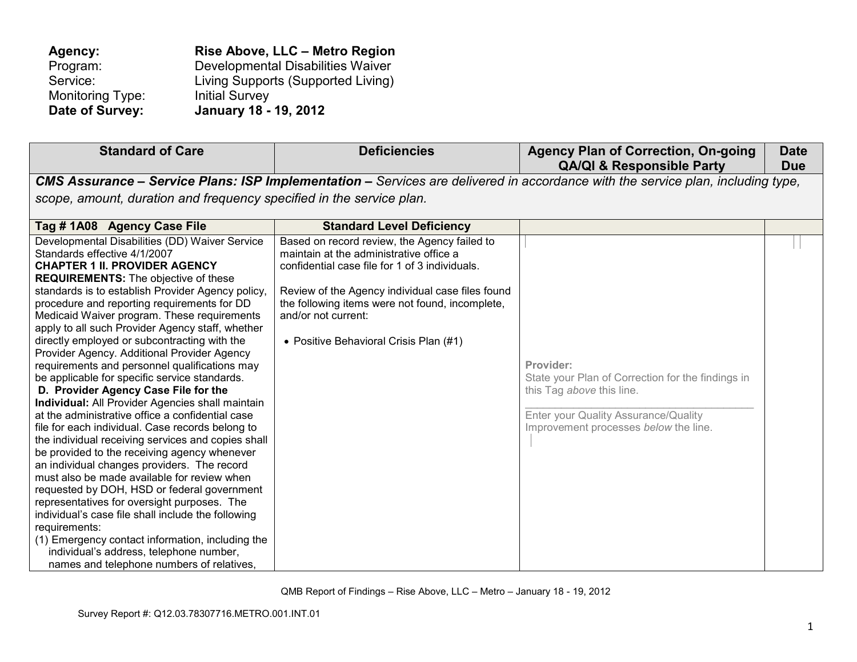| Agency:          | Rise Above, LLC - Metro Region     |
|------------------|------------------------------------|
| Program:         | Developmental Disabilities Waiver  |
| Service:         | Living Supports (Supported Living) |
| Monitoring Type: | <b>Initial Survey</b>              |
| Date of Survey:  | January 18 - 19, 2012              |

| <b>Standard of Care</b>                                                                                                                                                                                                                                                                                                                                                                                                                                                                                                                                                                                                                                                                                                                                                                                                                                                                                                                                                                                                                                                                                                                                                                                                                                                                                       | <b>Deficiencies</b>                                                                                                                                                                                                                                                                                               | <b>Agency Plan of Correction, On-going</b><br><b>QA/QI &amp; Responsible Party</b>                                                                                           | <b>Date</b><br><b>Due</b> |
|---------------------------------------------------------------------------------------------------------------------------------------------------------------------------------------------------------------------------------------------------------------------------------------------------------------------------------------------------------------------------------------------------------------------------------------------------------------------------------------------------------------------------------------------------------------------------------------------------------------------------------------------------------------------------------------------------------------------------------------------------------------------------------------------------------------------------------------------------------------------------------------------------------------------------------------------------------------------------------------------------------------------------------------------------------------------------------------------------------------------------------------------------------------------------------------------------------------------------------------------------------------------------------------------------------------|-------------------------------------------------------------------------------------------------------------------------------------------------------------------------------------------------------------------------------------------------------------------------------------------------------------------|------------------------------------------------------------------------------------------------------------------------------------------------------------------------------|---------------------------|
| scope, amount, duration and frequency specified in the service plan.                                                                                                                                                                                                                                                                                                                                                                                                                                                                                                                                                                                                                                                                                                                                                                                                                                                                                                                                                                                                                                                                                                                                                                                                                                          |                                                                                                                                                                                                                                                                                                                   | CMS Assurance - Service Plans: ISP Implementation - Services are delivered in accordance with the service plan, including type,                                              |                           |
| Tag #1A08 Agency Case File                                                                                                                                                                                                                                                                                                                                                                                                                                                                                                                                                                                                                                                                                                                                                                                                                                                                                                                                                                                                                                                                                                                                                                                                                                                                                    | <b>Standard Level Deficiency</b>                                                                                                                                                                                                                                                                                  |                                                                                                                                                                              |                           |
| Developmental Disabilities (DD) Waiver Service<br>Standards effective 4/1/2007<br><b>CHAPTER 1 II. PROVIDER AGENCY</b><br><b>REQUIREMENTS:</b> The objective of these<br>standards is to establish Provider Agency policy,<br>procedure and reporting requirements for DD<br>Medicaid Waiver program. These requirements<br>apply to all such Provider Agency staff, whether<br>directly employed or subcontracting with the<br>Provider Agency. Additional Provider Agency<br>requirements and personnel qualifications may<br>be applicable for specific service standards.<br>D. Provider Agency Case File for the<br><b>Individual:</b> All Provider Agencies shall maintain<br>at the administrative office a confidential case<br>file for each individual. Case records belong to<br>the individual receiving services and copies shall<br>be provided to the receiving agency whenever<br>an individual changes providers. The record<br>must also be made available for review when<br>requested by DOH, HSD or federal government<br>representatives for oversight purposes. The<br>individual's case file shall include the following<br>requirements:<br>(1) Emergency contact information, including the<br>individual's address, telephone number,<br>names and telephone numbers of relatives, | Based on record review, the Agency failed to<br>maintain at the administrative office a<br>confidential case file for 1 of 3 individuals.<br>Review of the Agency individual case files found<br>the following items were not found, incomplete,<br>and/or not current:<br>• Positive Behavioral Crisis Plan (#1) | Provider:<br>State your Plan of Correction for the findings in<br>this Tag above this line.<br>Enter your Quality Assurance/Quality<br>Improvement processes below the line. |                           |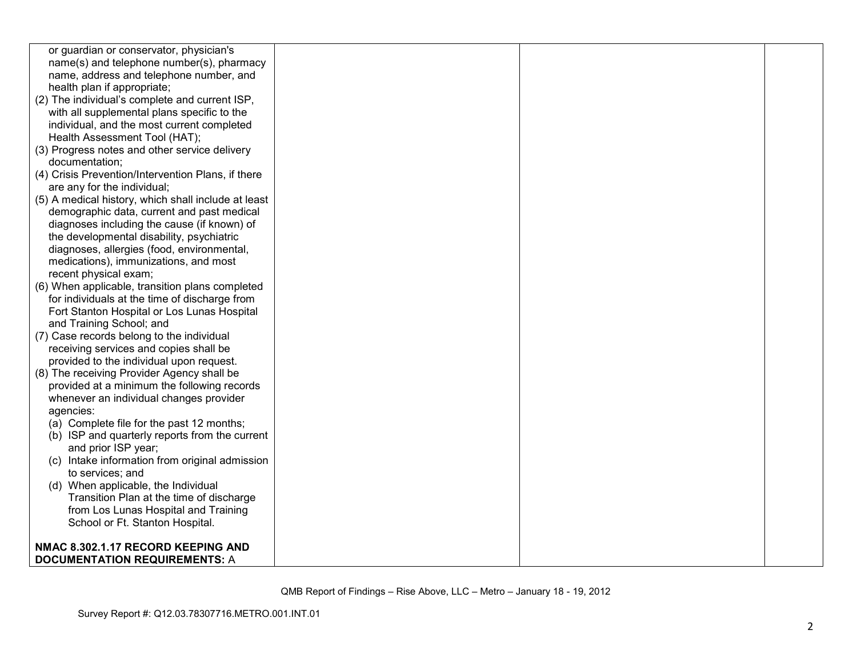| or guardian or conservator, physician's             |  |  |
|-----------------------------------------------------|--|--|
| name(s) and telephone number(s), pharmacy           |  |  |
| name, address and telephone number, and             |  |  |
| health plan if appropriate;                         |  |  |
| (2) The individual's complete and current ISP,      |  |  |
| with all supplemental plans specific to the         |  |  |
| individual, and the most current completed          |  |  |
| Health Assessment Tool (HAT);                       |  |  |
| (3) Progress notes and other service delivery       |  |  |
| documentation;                                      |  |  |
| (4) Crisis Prevention/Intervention Plans, if there  |  |  |
| are any for the individual;                         |  |  |
| (5) A medical history, which shall include at least |  |  |
| demographic data, current and past medical          |  |  |
| diagnoses including the cause (if known) of         |  |  |
| the developmental disability, psychiatric           |  |  |
| diagnoses, allergies (food, environmental,          |  |  |
| medications), immunizations, and most               |  |  |
| recent physical exam;                               |  |  |
| (6) When applicable, transition plans completed     |  |  |
| for individuals at the time of discharge from       |  |  |
| Fort Stanton Hospital or Los Lunas Hospital         |  |  |
| and Training School; and                            |  |  |
| (7) Case records belong to the individual           |  |  |
| receiving services and copies shall be              |  |  |
| provided to the individual upon request.            |  |  |
| (8) The receiving Provider Agency shall be          |  |  |
| provided at a minimum the following records         |  |  |
| whenever an individual changes provider             |  |  |
| agencies:                                           |  |  |
| (a) Complete file for the past 12 months;           |  |  |
| (b) ISP and quarterly reports from the current      |  |  |
| and prior ISP year;                                 |  |  |
| (c) Intake information from original admission      |  |  |
| to services; and                                    |  |  |
| (d) When applicable, the Individual                 |  |  |
| Transition Plan at the time of discharge            |  |  |
| from Los Lunas Hospital and Training                |  |  |
| School or Ft. Stanton Hospital.                     |  |  |
|                                                     |  |  |
| NMAC 8.302.1.17 RECORD KEEPING AND                  |  |  |
| <b>DOCUMENTATION REQUIREMENTS: A</b>                |  |  |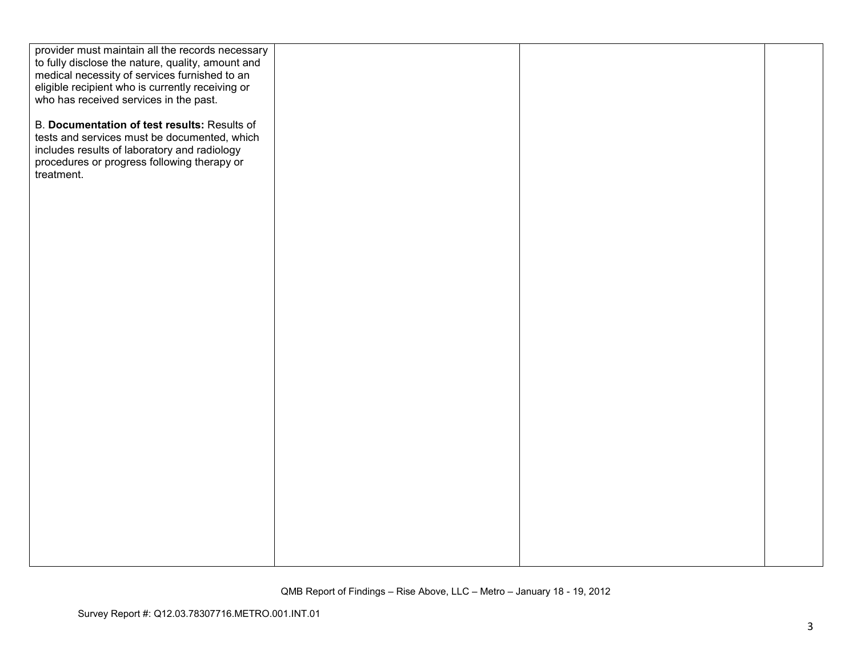| provider must maintain all the records necessary  |  |  |
|---------------------------------------------------|--|--|
| to fully disclose the nature, quality, amount and |  |  |
| medical necessity of services furnished to an     |  |  |
| eligible recipient who is currently receiving or  |  |  |
| who has received services in the past.            |  |  |
|                                                   |  |  |
| B. Documentation of test results: Results of      |  |  |
| tests and services must be documented, which      |  |  |
| includes results of laboratory and radiology      |  |  |
| procedures or progress following therapy or       |  |  |
| treatment.                                        |  |  |
|                                                   |  |  |
|                                                   |  |  |
|                                                   |  |  |
|                                                   |  |  |
|                                                   |  |  |
|                                                   |  |  |
|                                                   |  |  |
|                                                   |  |  |
|                                                   |  |  |
|                                                   |  |  |
|                                                   |  |  |
|                                                   |  |  |
|                                                   |  |  |
|                                                   |  |  |
|                                                   |  |  |
|                                                   |  |  |
|                                                   |  |  |
|                                                   |  |  |
|                                                   |  |  |
|                                                   |  |  |
|                                                   |  |  |
|                                                   |  |  |
|                                                   |  |  |
|                                                   |  |  |
|                                                   |  |  |
|                                                   |  |  |
|                                                   |  |  |
|                                                   |  |  |
|                                                   |  |  |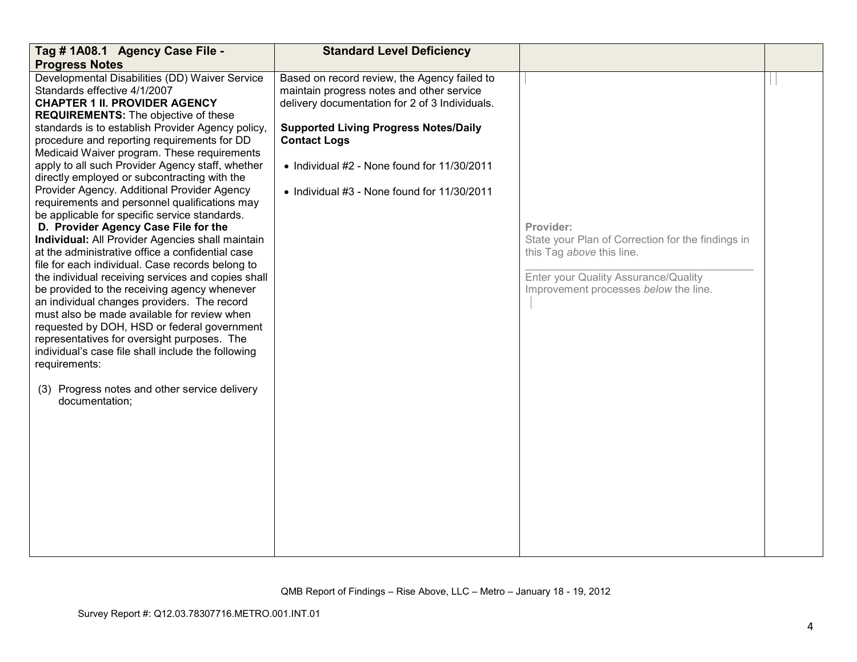| Tag # 1A08.1 Agency Case File -                                                                        | <b>Standard Level Deficiency</b>               |                                                   |  |
|--------------------------------------------------------------------------------------------------------|------------------------------------------------|---------------------------------------------------|--|
| <b>Progress Notes</b>                                                                                  |                                                |                                                   |  |
| Developmental Disabilities (DD) Waiver Service                                                         | Based on record review, the Agency failed to   |                                                   |  |
| Standards effective 4/1/2007                                                                           | maintain progress notes and other service      |                                                   |  |
| <b>CHAPTER 1 II. PROVIDER AGENCY</b>                                                                   | delivery documentation for 2 of 3 Individuals. |                                                   |  |
| <b>REQUIREMENTS:</b> The objective of these                                                            |                                                |                                                   |  |
| standards is to establish Provider Agency policy,                                                      | <b>Supported Living Progress Notes/Daily</b>   |                                                   |  |
| procedure and reporting requirements for DD                                                            | <b>Contact Logs</b>                            |                                                   |  |
| Medicaid Waiver program. These requirements                                                            |                                                |                                                   |  |
| apply to all such Provider Agency staff, whether                                                       | • Individual #2 - None found for 11/30/2011    |                                                   |  |
| directly employed or subcontracting with the                                                           |                                                |                                                   |  |
| Provider Agency. Additional Provider Agency                                                            | • Individual #3 - None found for 11/30/2011    |                                                   |  |
| requirements and personnel qualifications may                                                          |                                                |                                                   |  |
| be applicable for specific service standards.                                                          |                                                |                                                   |  |
| D. Provider Agency Case File for the                                                                   |                                                | Provider:                                         |  |
| Individual: All Provider Agencies shall maintain                                                       |                                                | State your Plan of Correction for the findings in |  |
| at the administrative office a confidential case                                                       |                                                | this Tag above this line.                         |  |
| file for each individual. Case records belong to<br>the individual receiving services and copies shall |                                                | Enter your Quality Assurance/Quality              |  |
| be provided to the receiving agency whenever                                                           |                                                | Improvement processes below the line.             |  |
| an individual changes providers. The record                                                            |                                                |                                                   |  |
| must also be made available for review when                                                            |                                                |                                                   |  |
| requested by DOH, HSD or federal government                                                            |                                                |                                                   |  |
| representatives for oversight purposes. The                                                            |                                                |                                                   |  |
| individual's case file shall include the following                                                     |                                                |                                                   |  |
| requirements:                                                                                          |                                                |                                                   |  |
|                                                                                                        |                                                |                                                   |  |
| (3) Progress notes and other service delivery                                                          |                                                |                                                   |  |
| documentation;                                                                                         |                                                |                                                   |  |
|                                                                                                        |                                                |                                                   |  |
|                                                                                                        |                                                |                                                   |  |
|                                                                                                        |                                                |                                                   |  |
|                                                                                                        |                                                |                                                   |  |
|                                                                                                        |                                                |                                                   |  |
|                                                                                                        |                                                |                                                   |  |
|                                                                                                        |                                                |                                                   |  |
|                                                                                                        |                                                |                                                   |  |
|                                                                                                        |                                                |                                                   |  |
|                                                                                                        |                                                |                                                   |  |
|                                                                                                        |                                                |                                                   |  |
|                                                                                                        |                                                |                                                   |  |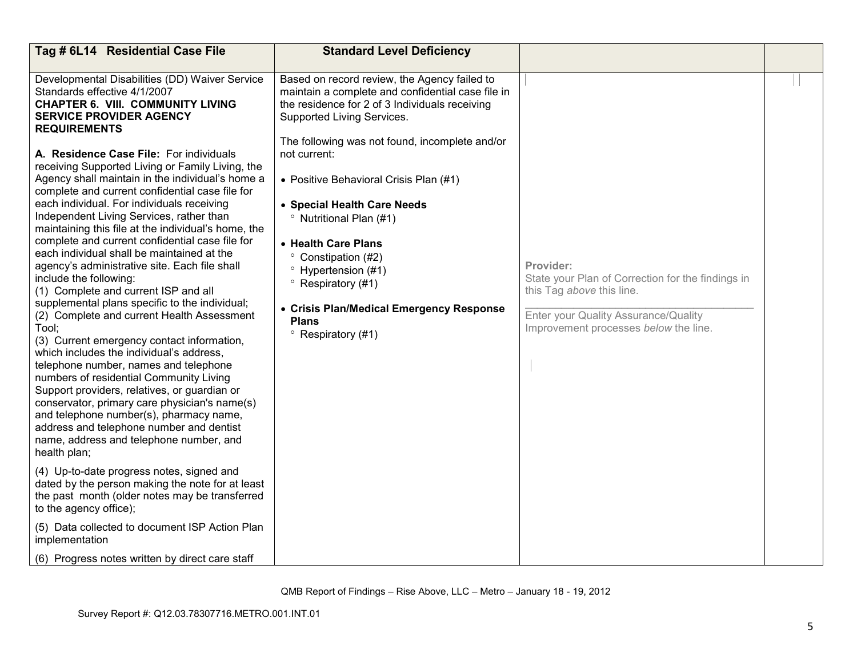| Tag # 6L14 Residential Case File                                                                                                                                                                                                                                                                                                                                                                                                                                                                                                                                                                                                                                                                                                                                                                                                                                                                                                                                                                                                                                                                                                                                                                                                                                                                                                                                                                                                                                                      | <b>Standard Level Deficiency</b>                                                                                                                                                                                                                                                                                                                                                                                                                                                                                                                                                     |                                                                                                                                                                              |  |
|---------------------------------------------------------------------------------------------------------------------------------------------------------------------------------------------------------------------------------------------------------------------------------------------------------------------------------------------------------------------------------------------------------------------------------------------------------------------------------------------------------------------------------------------------------------------------------------------------------------------------------------------------------------------------------------------------------------------------------------------------------------------------------------------------------------------------------------------------------------------------------------------------------------------------------------------------------------------------------------------------------------------------------------------------------------------------------------------------------------------------------------------------------------------------------------------------------------------------------------------------------------------------------------------------------------------------------------------------------------------------------------------------------------------------------------------------------------------------------------|--------------------------------------------------------------------------------------------------------------------------------------------------------------------------------------------------------------------------------------------------------------------------------------------------------------------------------------------------------------------------------------------------------------------------------------------------------------------------------------------------------------------------------------------------------------------------------------|------------------------------------------------------------------------------------------------------------------------------------------------------------------------------|--|
| Developmental Disabilities (DD) Waiver Service<br>Standards effective 4/1/2007<br><b>CHAPTER 6. VIII. COMMUNITY LIVING</b><br><b>SERVICE PROVIDER AGENCY</b><br><b>REQUIREMENTS</b><br>A. Residence Case File: For individuals<br>receiving Supported Living or Family Living, the<br>Agency shall maintain in the individual's home a<br>complete and current confidential case file for<br>each individual. For individuals receiving<br>Independent Living Services, rather than<br>maintaining this file at the individual's home, the<br>complete and current confidential case file for<br>each individual shall be maintained at the<br>agency's administrative site. Each file shall<br>include the following:<br>(1) Complete and current ISP and all<br>supplemental plans specific to the individual;<br>(2) Complete and current Health Assessment<br>Tool;<br>(3) Current emergency contact information,<br>which includes the individual's address,<br>telephone number, names and telephone<br>numbers of residential Community Living<br>Support providers, relatives, or guardian or<br>conservator, primary care physician's name(s)<br>and telephone number(s), pharmacy name,<br>address and telephone number and dentist<br>name, address and telephone number, and<br>health plan;<br>(4) Up-to-date progress notes, signed and<br>dated by the person making the note for at least<br>the past month (older notes may be transferred<br>to the agency office); | Based on record review, the Agency failed to<br>maintain a complete and confidential case file in<br>the residence for 2 of 3 Individuals receiving<br>Supported Living Services.<br>The following was not found, incomplete and/or<br>not current:<br>• Positive Behavioral Crisis Plan (#1)<br>• Special Health Care Needs<br><sup>o</sup> Nutritional Plan (#1)<br>• Health Care Plans<br>$\circ$<br>Constipation (#2)<br><sup>o</sup> Hypertension (#1)<br>$\degree$ Respiratory (#1)<br>• Crisis Plan/Medical Emergency Response<br><b>Plans</b><br>$^{\circ}$ Respiratory (#1) | Provider:<br>State your Plan of Correction for the findings in<br>this Tag above this line.<br>Enter your Quality Assurance/Quality<br>Improvement processes below the line. |  |
| (5) Data collected to document ISP Action Plan<br>implementation                                                                                                                                                                                                                                                                                                                                                                                                                                                                                                                                                                                                                                                                                                                                                                                                                                                                                                                                                                                                                                                                                                                                                                                                                                                                                                                                                                                                                      |                                                                                                                                                                                                                                                                                                                                                                                                                                                                                                                                                                                      |                                                                                                                                                                              |  |
| (6) Progress notes written by direct care staff                                                                                                                                                                                                                                                                                                                                                                                                                                                                                                                                                                                                                                                                                                                                                                                                                                                                                                                                                                                                                                                                                                                                                                                                                                                                                                                                                                                                                                       |                                                                                                                                                                                                                                                                                                                                                                                                                                                                                                                                                                                      |                                                                                                                                                                              |  |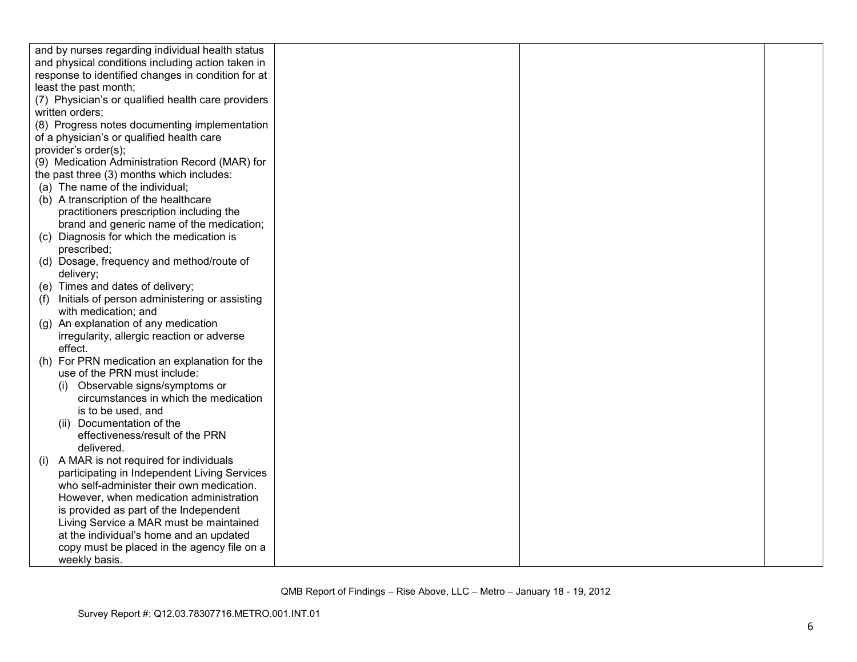| and by nurses regarding individual health status     |  |  |
|------------------------------------------------------|--|--|
| and physical conditions including action taken in    |  |  |
| response to identified changes in condition for at   |  |  |
| least the past month;                                |  |  |
| (7) Physician's or qualified health care providers   |  |  |
| written orders;                                      |  |  |
| (8) Progress notes documenting implementation        |  |  |
| of a physician's or qualified health care            |  |  |
| provider's order(s);                                 |  |  |
| (9) Medication Administration Record (MAR) for       |  |  |
| the past three (3) months which includes:            |  |  |
| (a) The name of the individual;                      |  |  |
| (b) A transcription of the healthcare                |  |  |
| practitioners prescription including the             |  |  |
| brand and generic name of the medication;            |  |  |
| (c) Diagnosis for which the medication is            |  |  |
| prescribed;                                          |  |  |
| (d) Dosage, frequency and method/route of            |  |  |
| delivery;                                            |  |  |
| (e) Times and dates of delivery;                     |  |  |
| Initials of person administering or assisting<br>(f) |  |  |
| with medication; and                                 |  |  |
| (g) An explanation of any medication                 |  |  |
| irregularity, allergic reaction or adverse           |  |  |
| effect.                                              |  |  |
| For PRN medication an explanation for the<br>(h)     |  |  |
| use of the PRN must include:                         |  |  |
| Observable signs/symptoms or                         |  |  |
| circumstances in which the medication                |  |  |
| is to be used, and                                   |  |  |
| (ii) Documentation of the                            |  |  |
| effectiveness/result of the PRN                      |  |  |
| delivered.                                           |  |  |
| A MAR is not required for individuals<br>(i)         |  |  |
| participating in Independent Living Services         |  |  |
| who self-administer their own medication.            |  |  |
| However, when medication administration              |  |  |
| is provided as part of the Independent               |  |  |
| Living Service a MAR must be maintained              |  |  |
| at the individual's home and an updated              |  |  |
| copy must be placed in the agency file on a          |  |  |
| weekly basis.                                        |  |  |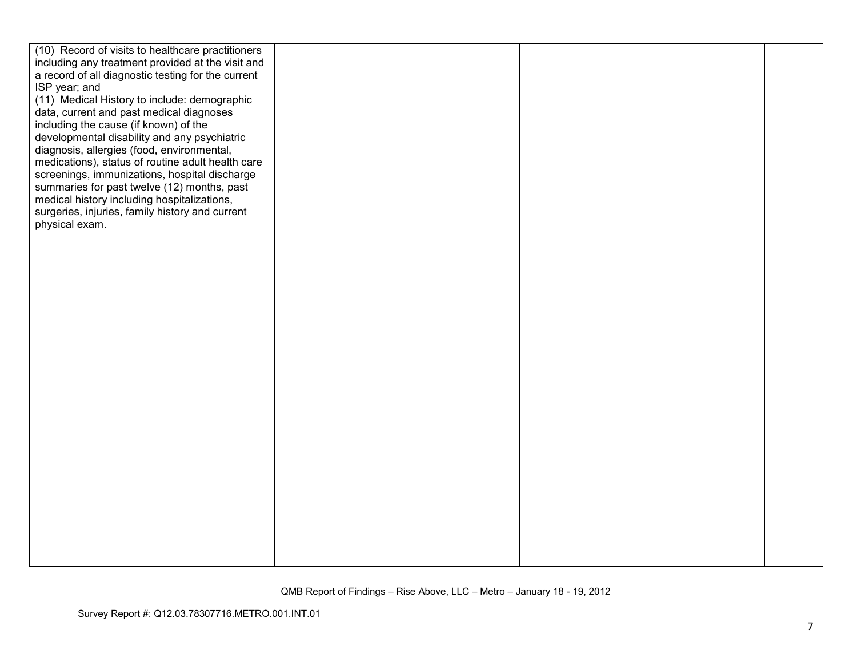| (10) Record of visits to healthcare practitioners  |  |
|----------------------------------------------------|--|
| including any treatment provided at the visit and  |  |
| a record of all diagnostic testing for the current |  |
| ISP year; and                                      |  |
| (11) Medical History to include: demographic       |  |
| data, current and past medical diagnoses           |  |
| including the cause (if known) of the              |  |
| developmental disability and any psychiatric       |  |
| diagnosis, allergies (food, environmental,         |  |
| medications), status of routine adult health care  |  |
| screenings, immunizations, hospital discharge      |  |
| summaries for past twelve (12) months, past        |  |
| medical history including hospitalizations,        |  |
| surgeries, injuries, family history and current    |  |
| physical exam.                                     |  |
|                                                    |  |
|                                                    |  |
|                                                    |  |
|                                                    |  |
|                                                    |  |
|                                                    |  |
|                                                    |  |
|                                                    |  |
|                                                    |  |
|                                                    |  |
|                                                    |  |
|                                                    |  |
|                                                    |  |
|                                                    |  |
|                                                    |  |
|                                                    |  |
|                                                    |  |
|                                                    |  |
|                                                    |  |
|                                                    |  |
|                                                    |  |
|                                                    |  |
|                                                    |  |
|                                                    |  |
|                                                    |  |
|                                                    |  |
|                                                    |  |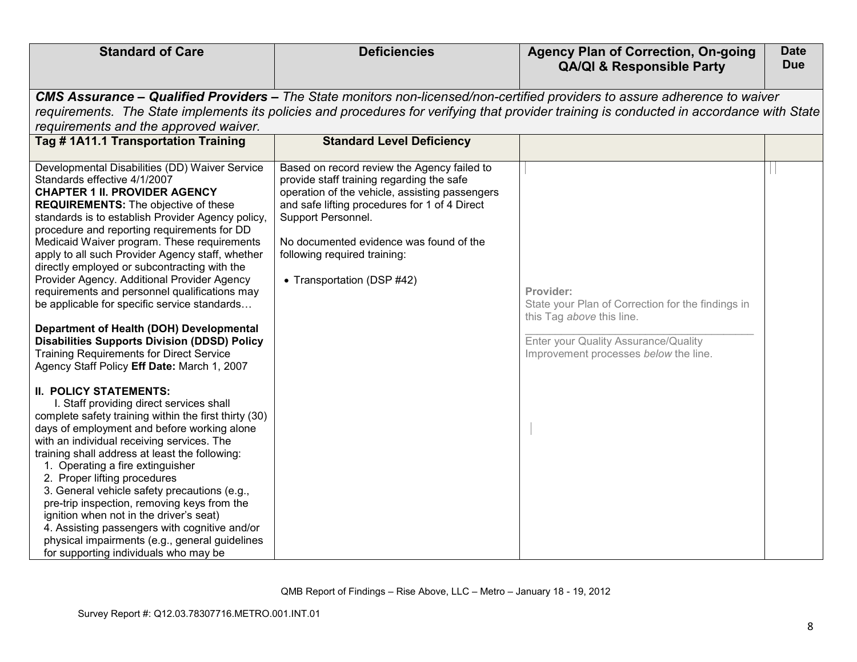| <b>Standard of Care</b>                                                                                                                                                                                                                                                                                                                                                                                                                                                                                                                                                                                                                                                                                                                                                                                                                                                                                                                                                                                                                                                                                                                                                                                                                                                              | <b>Deficiencies</b>                                                                                                                                                                                                                                                                                                        | <b>Agency Plan of Correction, On-going</b><br><b>QA/QI &amp; Responsible Party</b>                                                                                                                                                                                       | <b>Date</b><br><b>Due</b> |
|--------------------------------------------------------------------------------------------------------------------------------------------------------------------------------------------------------------------------------------------------------------------------------------------------------------------------------------------------------------------------------------------------------------------------------------------------------------------------------------------------------------------------------------------------------------------------------------------------------------------------------------------------------------------------------------------------------------------------------------------------------------------------------------------------------------------------------------------------------------------------------------------------------------------------------------------------------------------------------------------------------------------------------------------------------------------------------------------------------------------------------------------------------------------------------------------------------------------------------------------------------------------------------------|----------------------------------------------------------------------------------------------------------------------------------------------------------------------------------------------------------------------------------------------------------------------------------------------------------------------------|--------------------------------------------------------------------------------------------------------------------------------------------------------------------------------------------------------------------------------------------------------------------------|---------------------------|
| requirements and the approved waiver.                                                                                                                                                                                                                                                                                                                                                                                                                                                                                                                                                                                                                                                                                                                                                                                                                                                                                                                                                                                                                                                                                                                                                                                                                                                |                                                                                                                                                                                                                                                                                                                            | CMS Assurance – Qualified Providers – The State monitors non-licensed/non-certified providers to assure adherence to waiver<br>requirements. The State implements its policies and procedures for verifying that provider training is conducted in accordance with State |                           |
| Tag #1A11.1 Transportation Training                                                                                                                                                                                                                                                                                                                                                                                                                                                                                                                                                                                                                                                                                                                                                                                                                                                                                                                                                                                                                                                                                                                                                                                                                                                  | <b>Standard Level Deficiency</b>                                                                                                                                                                                                                                                                                           |                                                                                                                                                                                                                                                                          |                           |
| Developmental Disabilities (DD) Waiver Service<br>Standards effective 4/1/2007<br><b>CHAPTER 1 II. PROVIDER AGENCY</b><br><b>REQUIREMENTS:</b> The objective of these<br>standards is to establish Provider Agency policy,<br>procedure and reporting requirements for DD<br>Medicaid Waiver program. These requirements<br>apply to all such Provider Agency staff, whether<br>directly employed or subcontracting with the<br>Provider Agency. Additional Provider Agency<br>requirements and personnel qualifications may<br>be applicable for specific service standards<br>Department of Health (DOH) Developmental<br><b>Disabilities Supports Division (DDSD) Policy</b><br><b>Training Requirements for Direct Service</b><br>Agency Staff Policy Eff Date: March 1, 2007<br><b>II. POLICY STATEMENTS:</b><br>I. Staff providing direct services shall<br>complete safety training within the first thirty (30)<br>days of employment and before working alone<br>with an individual receiving services. The<br>training shall address at least the following:<br>1. Operating a fire extinguisher<br>2. Proper lifting procedures<br>3. General vehicle safety precautions (e.g.,<br>pre-trip inspection, removing keys from the<br>ignition when not in the driver's seat) | Based on record review the Agency failed to<br>provide staff training regarding the safe<br>operation of the vehicle, assisting passengers<br>and safe lifting procedures for 1 of 4 Direct<br>Support Personnel.<br>No documented evidence was found of the<br>following required training:<br>• Transportation (DSP #42) | Provider:<br>State your Plan of Correction for the findings in<br>this Tag above this line.<br>Enter your Quality Assurance/Quality<br>Improvement processes below the line.                                                                                             |                           |
| 4. Assisting passengers with cognitive and/or<br>physical impairments (e.g., general guidelines<br>for supporting individuals who may be                                                                                                                                                                                                                                                                                                                                                                                                                                                                                                                                                                                                                                                                                                                                                                                                                                                                                                                                                                                                                                                                                                                                             |                                                                                                                                                                                                                                                                                                                            |                                                                                                                                                                                                                                                                          |                           |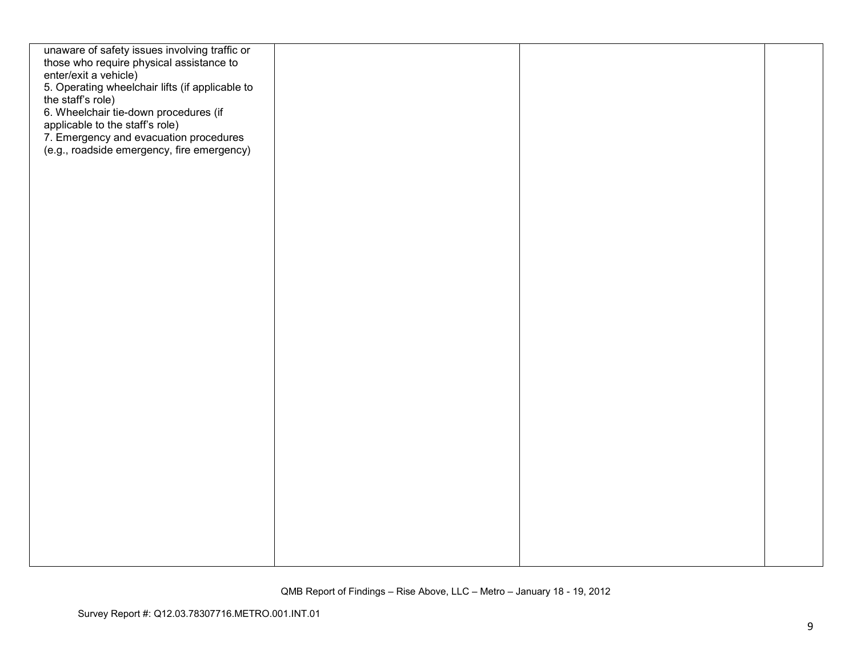| unaware of safety issues involving traffic or   |  |  |
|-------------------------------------------------|--|--|
| those who require physical assistance to        |  |  |
| enter/exit a vehicle)                           |  |  |
| 5. Operating wheelchair lifts (if applicable to |  |  |
|                                                 |  |  |
| the staff's role)                               |  |  |
| 6. Wheelchair tie-down procedures (if           |  |  |
| applicable to the staff's role)                 |  |  |
| 7. Emergency and evacuation procedures          |  |  |
| (e.g., roadside emergency, fire emergency)      |  |  |
|                                                 |  |  |
|                                                 |  |  |
|                                                 |  |  |
|                                                 |  |  |
|                                                 |  |  |
|                                                 |  |  |
|                                                 |  |  |
|                                                 |  |  |
|                                                 |  |  |
|                                                 |  |  |
|                                                 |  |  |
|                                                 |  |  |
|                                                 |  |  |
|                                                 |  |  |
|                                                 |  |  |
|                                                 |  |  |
|                                                 |  |  |
|                                                 |  |  |
|                                                 |  |  |
|                                                 |  |  |
|                                                 |  |  |
|                                                 |  |  |
|                                                 |  |  |
|                                                 |  |  |
|                                                 |  |  |
|                                                 |  |  |
|                                                 |  |  |
|                                                 |  |  |
|                                                 |  |  |
|                                                 |  |  |
|                                                 |  |  |
|                                                 |  |  |
|                                                 |  |  |
|                                                 |  |  |
|                                                 |  |  |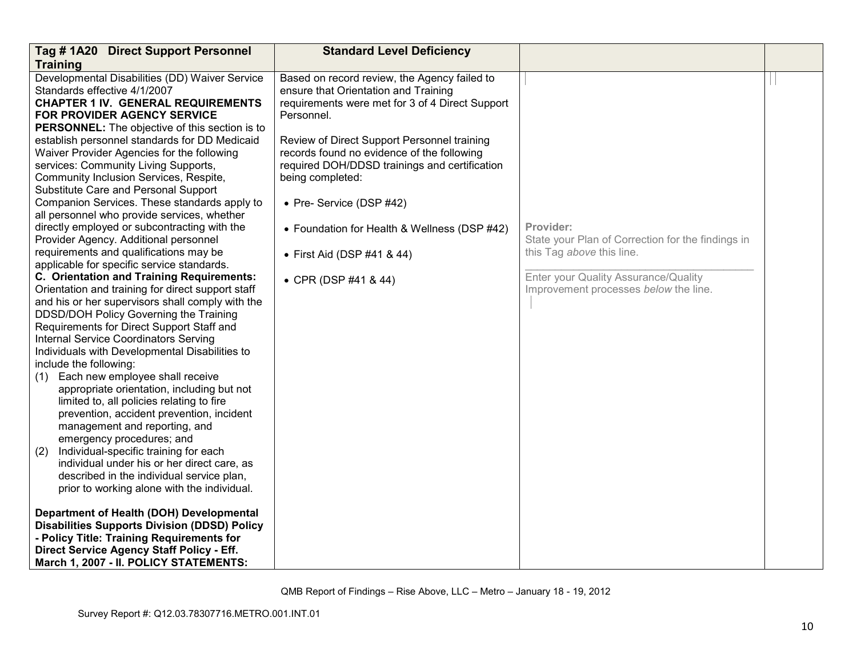| Tag # 1A20 Direct Support Personnel                   | <b>Standard Level Deficiency</b>                |                                                   |  |
|-------------------------------------------------------|-------------------------------------------------|---------------------------------------------------|--|
| <b>Training</b>                                       |                                                 |                                                   |  |
| Developmental Disabilities (DD) Waiver Service        | Based on record review, the Agency failed to    |                                                   |  |
| Standards effective 4/1/2007                          | ensure that Orientation and Training            |                                                   |  |
| <b>CHAPTER 1 IV. GENERAL REQUIREMENTS</b>             | requirements were met for 3 of 4 Direct Support |                                                   |  |
| <b>FOR PROVIDER AGENCY SERVICE</b>                    | Personnel.                                      |                                                   |  |
| <b>PERSONNEL:</b> The objective of this section is to |                                                 |                                                   |  |
| establish personnel standards for DD Medicaid         | Review of Direct Support Personnel training     |                                                   |  |
| Waiver Provider Agencies for the following            | records found no evidence of the following      |                                                   |  |
| services: Community Living Supports,                  | required DOH/DDSD trainings and certification   |                                                   |  |
| Community Inclusion Services, Respite,                | being completed:                                |                                                   |  |
| Substitute Care and Personal Support                  |                                                 |                                                   |  |
| Companion Services. These standards apply to          | • Pre- Service (DSP #42)                        |                                                   |  |
| all personnel who provide services, whether           |                                                 |                                                   |  |
| directly employed or subcontracting with the          | • Foundation for Health & Wellness (DSP #42)    | Provider:                                         |  |
| Provider Agency. Additional personnel                 |                                                 | State your Plan of Correction for the findings in |  |
| requirements and qualifications may be                | • First Aid (DSP #41 & 44)                      | this Tag above this line.                         |  |
| applicable for specific service standards.            |                                                 |                                                   |  |
| C. Orientation and Training Requirements:             | • CPR (DSP #41 & 44)                            | Enter your Quality Assurance/Quality              |  |
| Orientation and training for direct support staff     |                                                 | Improvement processes below the line.             |  |
| and his or her supervisors shall comply with the      |                                                 |                                                   |  |
| DDSD/DOH Policy Governing the Training                |                                                 |                                                   |  |
| Requirements for Direct Support Staff and             |                                                 |                                                   |  |
| Internal Service Coordinators Serving                 |                                                 |                                                   |  |
| Individuals with Developmental Disabilities to        |                                                 |                                                   |  |
| include the following:                                |                                                 |                                                   |  |
| Each new employee shall receive<br>(1)                |                                                 |                                                   |  |
| appropriate orientation, including but not            |                                                 |                                                   |  |
| limited to, all policies relating to fire             |                                                 |                                                   |  |
| prevention, accident prevention, incident             |                                                 |                                                   |  |
| management and reporting, and                         |                                                 |                                                   |  |
| emergency procedures; and                             |                                                 |                                                   |  |
| (2)<br>Individual-specific training for each          |                                                 |                                                   |  |
| individual under his or her direct care, as           |                                                 |                                                   |  |
| described in the individual service plan,             |                                                 |                                                   |  |
| prior to working alone with the individual.           |                                                 |                                                   |  |
| Department of Health (DOH) Developmental              |                                                 |                                                   |  |
| <b>Disabilities Supports Division (DDSD) Policy</b>   |                                                 |                                                   |  |
| - Policy Title: Training Requirements for             |                                                 |                                                   |  |
| Direct Service Agency Staff Policy - Eff.             |                                                 |                                                   |  |
| March 1, 2007 - II. POLICY STATEMENTS:                |                                                 |                                                   |  |
|                                                       |                                                 |                                                   |  |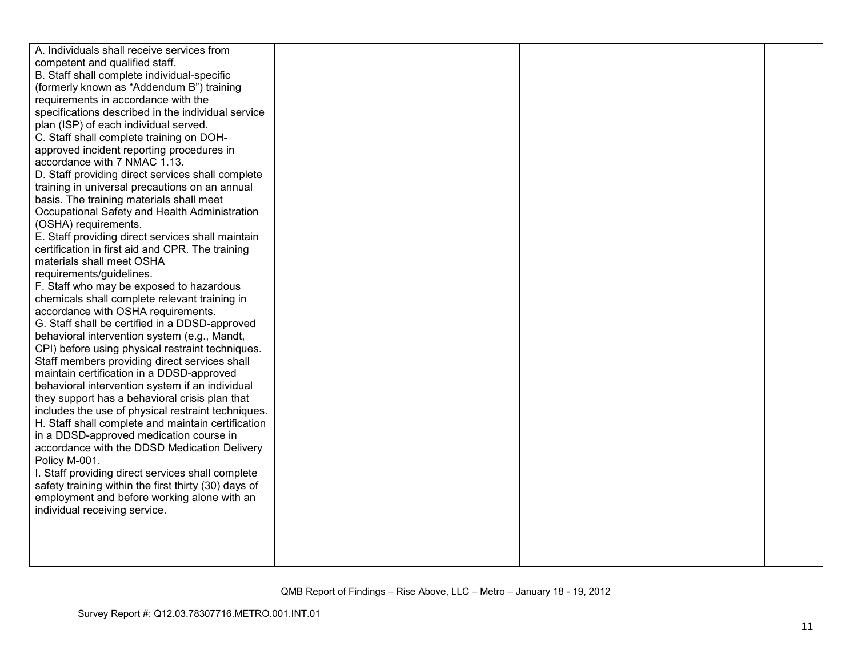| A. Individuals shall receive services from           |  |  |
|------------------------------------------------------|--|--|
| competent and qualified staff.                       |  |  |
| B. Staff shall complete individual-specific          |  |  |
| (formerly known as "Addendum B") training            |  |  |
| requirements in accordance with the                  |  |  |
| specifications described in the individual service   |  |  |
| plan (ISP) of each individual served.                |  |  |
| C. Staff shall complete training on DOH-             |  |  |
| approved incident reporting procedures in            |  |  |
| accordance with 7 NMAC 1.13.                         |  |  |
| D. Staff providing direct services shall complete    |  |  |
| training in universal precautions on an annual       |  |  |
| basis. The training materials shall meet             |  |  |
| Occupational Safety and Health Administration        |  |  |
| (OSHA) requirements.                                 |  |  |
| E. Staff providing direct services shall maintain    |  |  |
| certification in first aid and CPR. The training     |  |  |
| materials shall meet OSHA                            |  |  |
| requirements/guidelines.                             |  |  |
| F. Staff who may be exposed to hazardous             |  |  |
| chemicals shall complete relevant training in        |  |  |
| accordance with OSHA requirements.                   |  |  |
| G. Staff shall be certified in a DDSD-approved       |  |  |
| behavioral intervention system (e.g., Mandt,         |  |  |
| CPI) before using physical restraint techniques.     |  |  |
| Staff members providing direct services shall        |  |  |
| maintain certification in a DDSD-approved            |  |  |
| behavioral intervention system if an individual      |  |  |
| they support has a behavioral crisis plan that       |  |  |
| includes the use of physical restraint techniques.   |  |  |
| H. Staff shall complete and maintain certification   |  |  |
| in a DDSD-approved medication course in              |  |  |
| accordance with the DDSD Medication Delivery         |  |  |
| Policy M-001.                                        |  |  |
| I. Staff providing direct services shall complete    |  |  |
| safety training within the first thirty (30) days of |  |  |
| employment and before working alone with an          |  |  |
| individual receiving service.                        |  |  |
|                                                      |  |  |
|                                                      |  |  |
|                                                      |  |  |
|                                                      |  |  |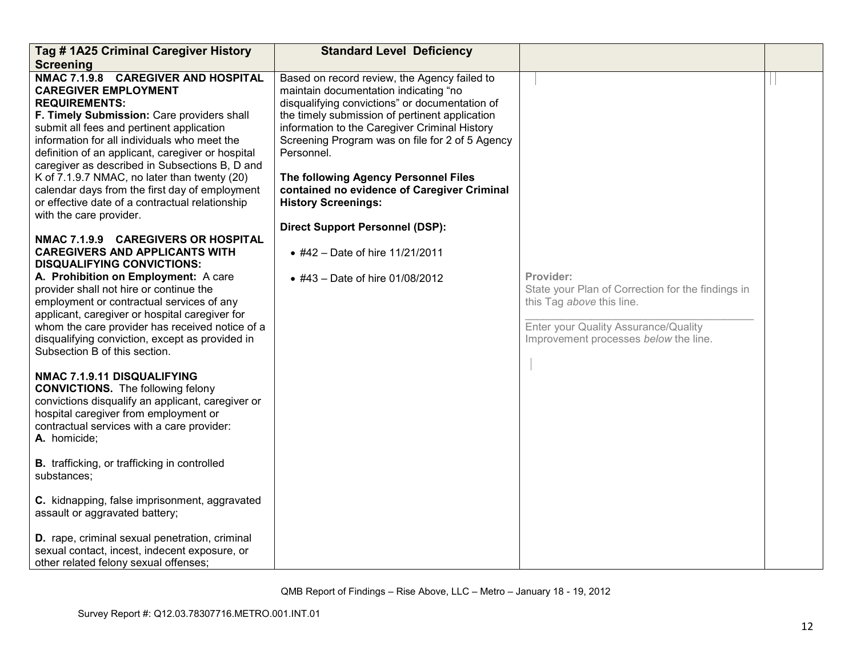| Tag #1A25 Criminal Caregiver History                                                                                                                                                                                                                                                                                                                                                                                                                                                                                         | <b>Standard Level Deficiency</b>                                                                                                                                                                                                                                                                                                                                                                                                                                           |                                                                                                                                                                              |  |
|------------------------------------------------------------------------------------------------------------------------------------------------------------------------------------------------------------------------------------------------------------------------------------------------------------------------------------------------------------------------------------------------------------------------------------------------------------------------------------------------------------------------------|----------------------------------------------------------------------------------------------------------------------------------------------------------------------------------------------------------------------------------------------------------------------------------------------------------------------------------------------------------------------------------------------------------------------------------------------------------------------------|------------------------------------------------------------------------------------------------------------------------------------------------------------------------------|--|
| <b>Screening</b>                                                                                                                                                                                                                                                                                                                                                                                                                                                                                                             |                                                                                                                                                                                                                                                                                                                                                                                                                                                                            |                                                                                                                                                                              |  |
| NMAC 7.1.9.8 CAREGIVER AND HOSPITAL<br><b>CAREGIVER EMPLOYMENT</b><br><b>REQUIREMENTS:</b><br>F. Timely Submission: Care providers shall<br>submit all fees and pertinent application<br>information for all individuals who meet the<br>definition of an applicant, caregiver or hospital<br>caregiver as described in Subsections B, D and<br>K of 7.1.9.7 NMAC, no later than twenty (20)<br>calendar days from the first day of employment<br>or effective date of a contractual relationship<br>with the care provider. | Based on record review, the Agency failed to<br>maintain documentation indicating "no<br>disqualifying convictions" or documentation of<br>the timely submission of pertinent application<br>information to the Caregiver Criminal History<br>Screening Program was on file for 2 of 5 Agency<br>Personnel.<br>The following Agency Personnel Files<br>contained no evidence of Caregiver Criminal<br><b>History Screenings:</b><br><b>Direct Support Personnel (DSP):</b> |                                                                                                                                                                              |  |
| NMAC 7.1.9.9 CAREGIVERS OR HOSPITAL<br><b>CAREGIVERS AND APPLICANTS WITH</b><br><b>DISQUALIFYING CONVICTIONS:</b><br>A. Prohibition on Employment: A care<br>provider shall not hire or continue the<br>employment or contractual services of any<br>applicant, caregiver or hospital caregiver for<br>whom the care provider has received notice of a<br>disqualifying conviction, except as provided in<br>Subsection B of this section.<br>NMAC 7.1.9.11 DISQUALIFYING<br><b>CONVICTIONS.</b> The following felony        | • #42 – Date of hire 11/21/2011<br>• #43 - Date of hire 01/08/2012                                                                                                                                                                                                                                                                                                                                                                                                         | Provider:<br>State your Plan of Correction for the findings in<br>this Tag above this line.<br>Enter your Quality Assurance/Quality<br>Improvement processes below the line. |  |
| convictions disqualify an applicant, caregiver or<br>hospital caregiver from employment or<br>contractual services with a care provider:<br>A. homicide;                                                                                                                                                                                                                                                                                                                                                                     |                                                                                                                                                                                                                                                                                                                                                                                                                                                                            |                                                                                                                                                                              |  |
| <b>B.</b> trafficking, or trafficking in controlled<br>substances;                                                                                                                                                                                                                                                                                                                                                                                                                                                           |                                                                                                                                                                                                                                                                                                                                                                                                                                                                            |                                                                                                                                                                              |  |
| C. kidnapping, false imprisonment, aggravated<br>assault or aggravated battery;                                                                                                                                                                                                                                                                                                                                                                                                                                              |                                                                                                                                                                                                                                                                                                                                                                                                                                                                            |                                                                                                                                                                              |  |
| D. rape, criminal sexual penetration, criminal<br>sexual contact, incest, indecent exposure, or<br>other related felony sexual offenses;                                                                                                                                                                                                                                                                                                                                                                                     |                                                                                                                                                                                                                                                                                                                                                                                                                                                                            |                                                                                                                                                                              |  |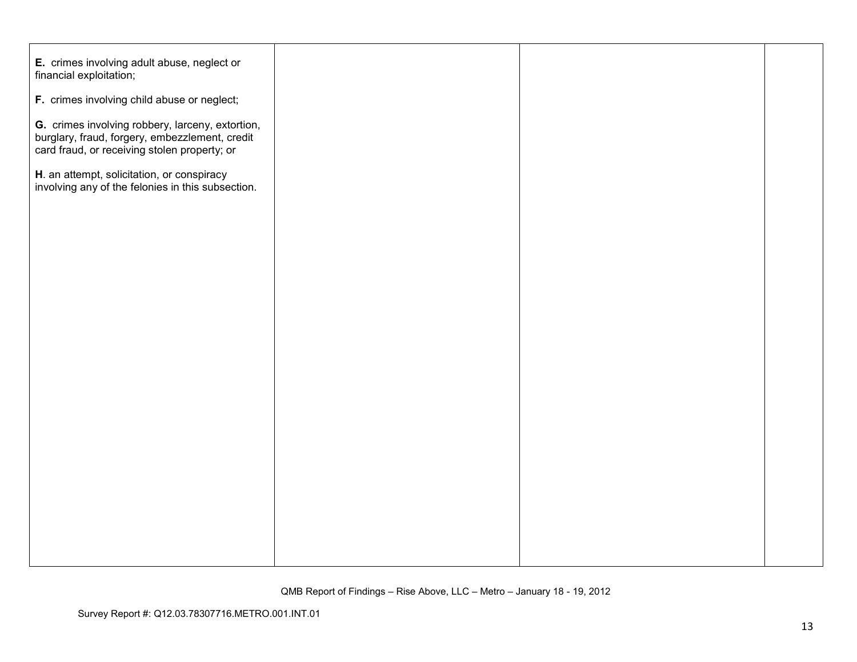| E. crimes involving adult abuse, neglect or<br>financial exploitation;                                                                             |  |  |
|----------------------------------------------------------------------------------------------------------------------------------------------------|--|--|
| F. crimes involving child abuse or neglect;                                                                                                        |  |  |
| G. crimes involving robbery, larceny, extortion,<br>burglary, fraud, forgery, embezzlement, credit<br>card fraud, or receiving stolen property; or |  |  |
| H. an attempt, solicitation, or conspiracy<br>involving any of the felonies in this subsection.                                                    |  |  |
|                                                                                                                                                    |  |  |
|                                                                                                                                                    |  |  |
|                                                                                                                                                    |  |  |
|                                                                                                                                                    |  |  |
|                                                                                                                                                    |  |  |
|                                                                                                                                                    |  |  |
|                                                                                                                                                    |  |  |
|                                                                                                                                                    |  |  |
|                                                                                                                                                    |  |  |
|                                                                                                                                                    |  |  |
|                                                                                                                                                    |  |  |
|                                                                                                                                                    |  |  |
|                                                                                                                                                    |  |  |
|                                                                                                                                                    |  |  |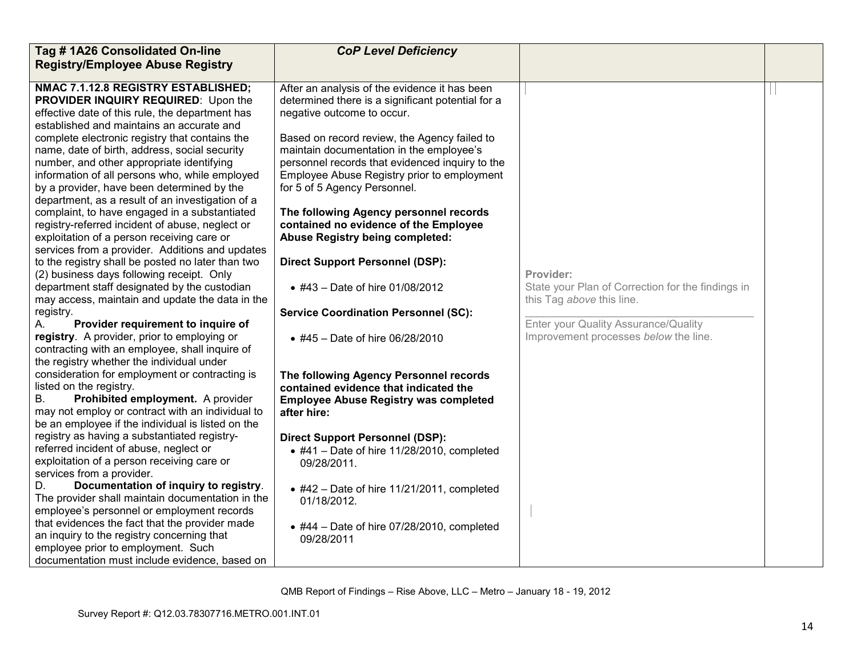| Tag #1A26 Consolidated On-line                                                               | <b>CoP Level Deficiency</b>                                 |                                                   |  |
|----------------------------------------------------------------------------------------------|-------------------------------------------------------------|---------------------------------------------------|--|
| <b>Registry/Employee Abuse Registry</b>                                                      |                                                             |                                                   |  |
|                                                                                              |                                                             |                                                   |  |
| NMAC 7.1.12.8 REGISTRY ESTABLISHED;                                                          | After an analysis of the evidence it has been               |                                                   |  |
| PROVIDER INQUIRY REQUIRED: Upon the                                                          | determined there is a significant potential for a           |                                                   |  |
| effective date of this rule, the department has<br>established and maintains an accurate and | negative outcome to occur.                                  |                                                   |  |
| complete electronic registry that contains the                                               | Based on record review, the Agency failed to                |                                                   |  |
| name, date of birth, address, social security                                                | maintain documentation in the employee's                    |                                                   |  |
| number, and other appropriate identifying                                                    | personnel records that evidenced inquiry to the             |                                                   |  |
| information of all persons who, while employed                                               | Employee Abuse Registry prior to employment                 |                                                   |  |
| by a provider, have been determined by the                                                   | for 5 of 5 Agency Personnel.                                |                                                   |  |
| department, as a result of an investigation of a                                             |                                                             |                                                   |  |
| complaint, to have engaged in a substantiated                                                | The following Agency personnel records                      |                                                   |  |
| registry-referred incident of abuse, neglect or                                              | contained no evidence of the Employee                       |                                                   |  |
| exploitation of a person receiving care or                                                   | <b>Abuse Registry being completed:</b>                      |                                                   |  |
| services from a provider. Additions and updates                                              |                                                             |                                                   |  |
| to the registry shall be posted no later than two                                            | <b>Direct Support Personnel (DSP):</b>                      |                                                   |  |
| (2) business days following receipt. Only                                                    |                                                             | Provider:                                         |  |
| department staff designated by the custodian                                                 | • #43 - Date of hire 01/08/2012                             | State your Plan of Correction for the findings in |  |
| may access, maintain and update the data in the                                              |                                                             | this Tag above this line.                         |  |
| registry.                                                                                    | <b>Service Coordination Personnel (SC):</b>                 |                                                   |  |
| Provider requirement to inquire of<br>А.                                                     |                                                             | Enter your Quality Assurance/Quality              |  |
| registry. A provider, prior to employing or                                                  | • #45 – Date of hire $06/28/2010$                           | Improvement processes below the line.             |  |
| contracting with an employee, shall inquire of                                               |                                                             |                                                   |  |
| the registry whether the individual under                                                    |                                                             |                                                   |  |
| consideration for employment or contracting is                                               | The following Agency Personnel records                      |                                                   |  |
| listed on the registry.<br><b>B.</b><br>Prohibited employment. A provider                    | contained evidence that indicated the                       |                                                   |  |
| may not employ or contract with an individual to                                             | <b>Employee Abuse Registry was completed</b><br>after hire: |                                                   |  |
| be an employee if the individual is listed on the                                            |                                                             |                                                   |  |
| registry as having a substantiated registry-                                                 | <b>Direct Support Personnel (DSP):</b>                      |                                                   |  |
| referred incident of abuse, neglect or                                                       | $\bullet$ #41 - Date of hire 11/28/2010, completed          |                                                   |  |
| exploitation of a person receiving care or                                                   | 09/28/2011.                                                 |                                                   |  |
| services from a provider.                                                                    |                                                             |                                                   |  |
| Documentation of inquiry to registry.<br>D.                                                  | $\bullet$ #42 - Date of hire 11/21/2011, completed          |                                                   |  |
| The provider shall maintain documentation in the                                             | 01/18/2012.                                                 |                                                   |  |
| employee's personnel or employment records                                                   |                                                             |                                                   |  |
| that evidences the fact that the provider made                                               | $\bullet$ #44 - Date of hire 07/28/2010, completed          |                                                   |  |
| an inquiry to the registry concerning that                                                   | 09/28/2011                                                  |                                                   |  |
| employee prior to employment. Such                                                           |                                                             |                                                   |  |
| documentation must include evidence, based on                                                |                                                             |                                                   |  |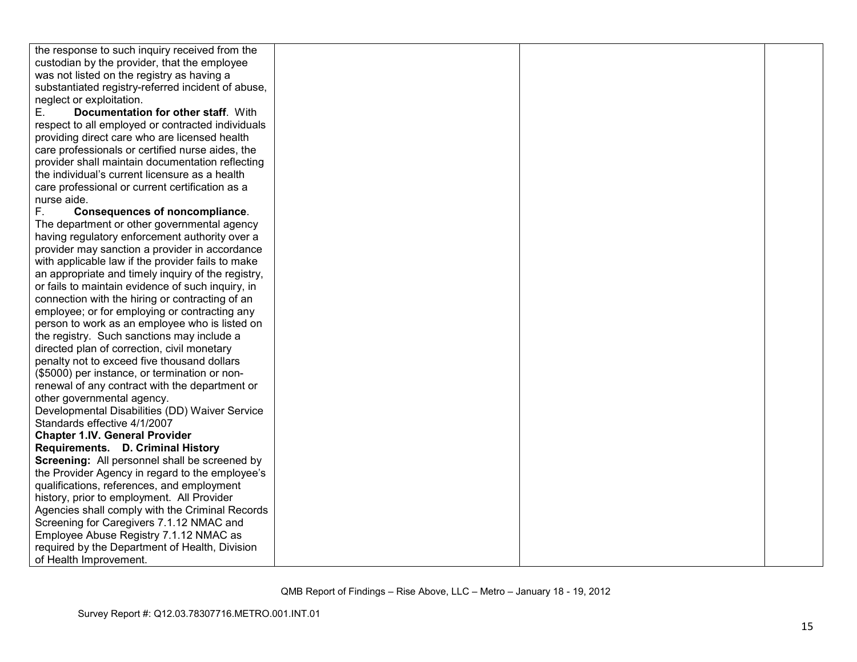| the response to such inquiry received from the     |  |  |
|----------------------------------------------------|--|--|
| custodian by the provider, that the employee       |  |  |
| was not listed on the registry as having a         |  |  |
| substantiated registry-referred incident of abuse, |  |  |
| neglect or exploitation.                           |  |  |
| Е.<br>Documentation for other staff. With          |  |  |
| respect to all employed or contracted individuals  |  |  |
| providing direct care who are licensed health      |  |  |
| care professionals or certified nurse aides, the   |  |  |
| provider shall maintain documentation reflecting   |  |  |
| the individual's current licensure as a health     |  |  |
| care professional or current certification as a    |  |  |
| nurse aide.                                        |  |  |
| F.<br><b>Consequences of noncompliance.</b>        |  |  |
| The department or other governmental agency        |  |  |
| having regulatory enforcement authority over a     |  |  |
| provider may sanction a provider in accordance     |  |  |
| with applicable law if the provider fails to make  |  |  |
| an appropriate and timely inquiry of the registry, |  |  |
| or fails to maintain evidence of such inquiry, in  |  |  |
| connection with the hiring or contracting of an    |  |  |
| employee; or for employing or contracting any      |  |  |
| person to work as an employee who is listed on     |  |  |
| the registry. Such sanctions may include a         |  |  |
| directed plan of correction, civil monetary        |  |  |
| penalty not to exceed five thousand dollars        |  |  |
| (\$5000) per instance, or termination or non-      |  |  |
| renewal of any contract with the department or     |  |  |
| other governmental agency.                         |  |  |
| Developmental Disabilities (DD) Waiver Service     |  |  |
| Standards effective 4/1/2007                       |  |  |
| <b>Chapter 1.IV. General Provider</b>              |  |  |
| Requirements. D. Criminal History                  |  |  |
| Screening: All personnel shall be screened by      |  |  |
| the Provider Agency in regard to the employee's    |  |  |
| qualifications, references, and employment         |  |  |
| history, prior to employment. All Provider         |  |  |
| Agencies shall comply with the Criminal Records    |  |  |
| Screening for Caregivers 7.1.12 NMAC and           |  |  |
| Employee Abuse Registry 7.1.12 NMAC as             |  |  |
| required by the Department of Health, Division     |  |  |
| of Health Improvement.                             |  |  |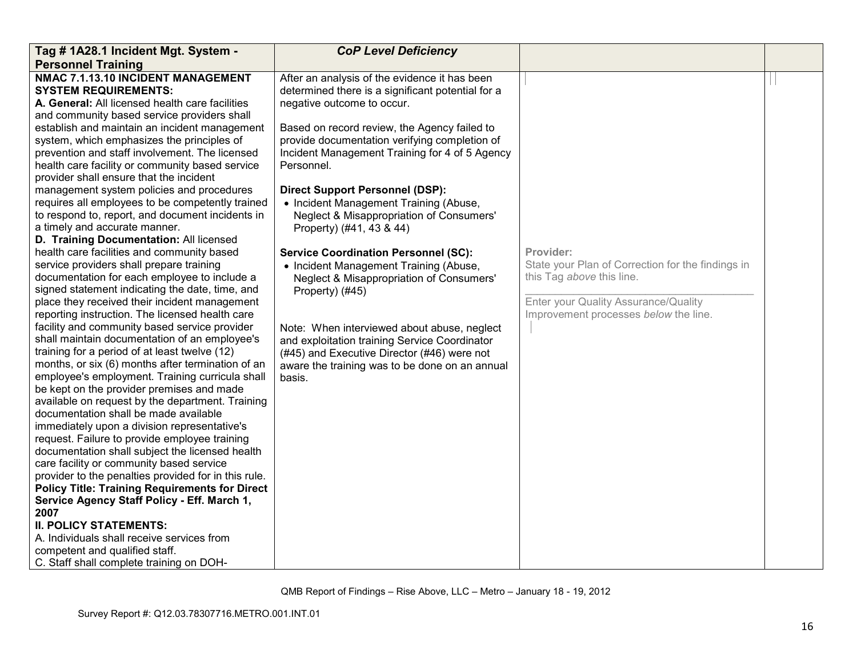| Tag # 1A28.1 Incident Mgt. System -                                                                                                                                                                                                                                                                  | <b>CoP Level Deficiency</b>                                                                                                                                                                             |                                                                                                                                                                              |  |
|------------------------------------------------------------------------------------------------------------------------------------------------------------------------------------------------------------------------------------------------------------------------------------------------------|---------------------------------------------------------------------------------------------------------------------------------------------------------------------------------------------------------|------------------------------------------------------------------------------------------------------------------------------------------------------------------------------|--|
| <b>Personnel Training</b>                                                                                                                                                                                                                                                                            |                                                                                                                                                                                                         |                                                                                                                                                                              |  |
| NMAC 7.1.13.10 INCIDENT MANAGEMENT<br><b>SYSTEM REQUIREMENTS:</b><br>A. General: All licensed health care facilities<br>and community based service providers shall<br>establish and maintain an incident management                                                                                 | After an analysis of the evidence it has been<br>determined there is a significant potential for a<br>negative outcome to occur.<br>Based on record review, the Agency failed to                        |                                                                                                                                                                              |  |
| system, which emphasizes the principles of<br>prevention and staff involvement. The licensed<br>health care facility or community based service<br>provider shall ensure that the incident                                                                                                           | provide documentation verifying completion of<br>Incident Management Training for 4 of 5 Agency<br>Personnel.                                                                                           |                                                                                                                                                                              |  |
| management system policies and procedures<br>requires all employees to be competently trained<br>to respond to, report, and document incidents in<br>a timely and accurate manner.<br>D. Training Documentation: All licensed                                                                        | <b>Direct Support Personnel (DSP):</b><br>• Incident Management Training (Abuse,<br>Neglect & Misappropriation of Consumers'<br>Property) (#41, 43 & 44)                                                |                                                                                                                                                                              |  |
| health care facilities and community based<br>service providers shall prepare training<br>documentation for each employee to include a<br>signed statement indicating the date, time, and<br>place they received their incident management<br>reporting instruction. The licensed health care        | <b>Service Coordination Personnel (SC):</b><br>• Incident Management Training (Abuse,<br>Neglect & Misappropriation of Consumers'<br>Property) (#45)                                                    | Provider:<br>State your Plan of Correction for the findings in<br>this Tag above this line.<br>Enter your Quality Assurance/Quality<br>Improvement processes below the line. |  |
| facility and community based service provider<br>shall maintain documentation of an employee's<br>training for a period of at least twelve (12)<br>months, or six (6) months after termination of an<br>employee's employment. Training curricula shall<br>be kept on the provider premises and made | Note: When interviewed about abuse, neglect<br>and exploitation training Service Coordinator<br>(#45) and Executive Director (#46) were not<br>aware the training was to be done on an annual<br>basis. |                                                                                                                                                                              |  |
| available on request by the department. Training<br>documentation shall be made available<br>immediately upon a division representative's<br>request. Failure to provide employee training<br>documentation shall subject the licensed health                                                        |                                                                                                                                                                                                         |                                                                                                                                                                              |  |
| care facility or community based service<br>provider to the penalties provided for in this rule.<br><b>Policy Title: Training Requirements for Direct</b><br>Service Agency Staff Policy - Eff. March 1,                                                                                             |                                                                                                                                                                                                         |                                                                                                                                                                              |  |
| 2007<br><b>II. POLICY STATEMENTS:</b><br>A. Individuals shall receive services from<br>competent and qualified staff.<br>C. Staff shall complete training on DOH-                                                                                                                                    |                                                                                                                                                                                                         |                                                                                                                                                                              |  |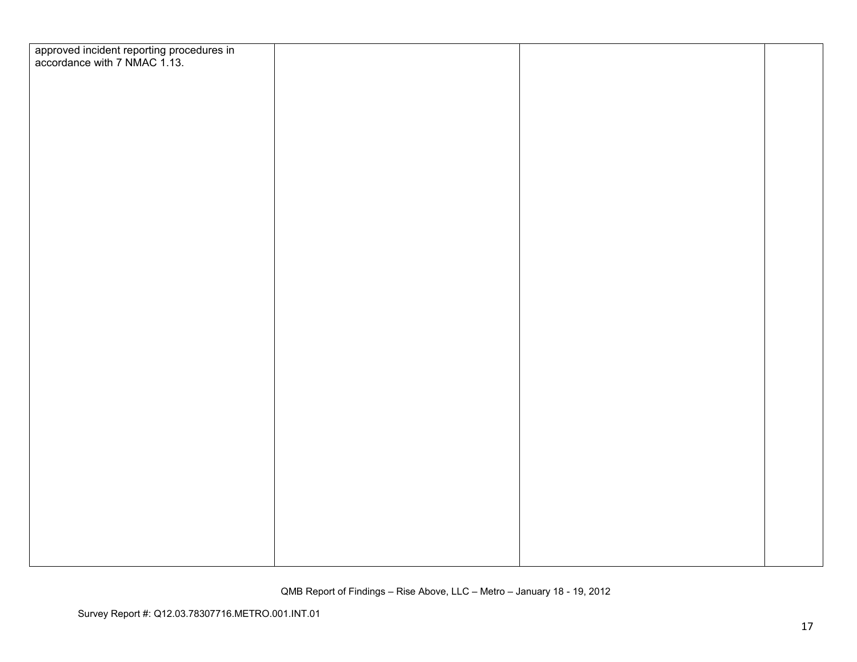| approved incident reporting procedures in<br>accordance with 7 NMAC 1.13. |  |  |
|---------------------------------------------------------------------------|--|--|
|                                                                           |  |  |
|                                                                           |  |  |
|                                                                           |  |  |
|                                                                           |  |  |
|                                                                           |  |  |
|                                                                           |  |  |
|                                                                           |  |  |
|                                                                           |  |  |
|                                                                           |  |  |
|                                                                           |  |  |
|                                                                           |  |  |
|                                                                           |  |  |
|                                                                           |  |  |
|                                                                           |  |  |
|                                                                           |  |  |
|                                                                           |  |  |
|                                                                           |  |  |
|                                                                           |  |  |
|                                                                           |  |  |
|                                                                           |  |  |
|                                                                           |  |  |
|                                                                           |  |  |
|                                                                           |  |  |
|                                                                           |  |  |
|                                                                           |  |  |
|                                                                           |  |  |
|                                                                           |  |  |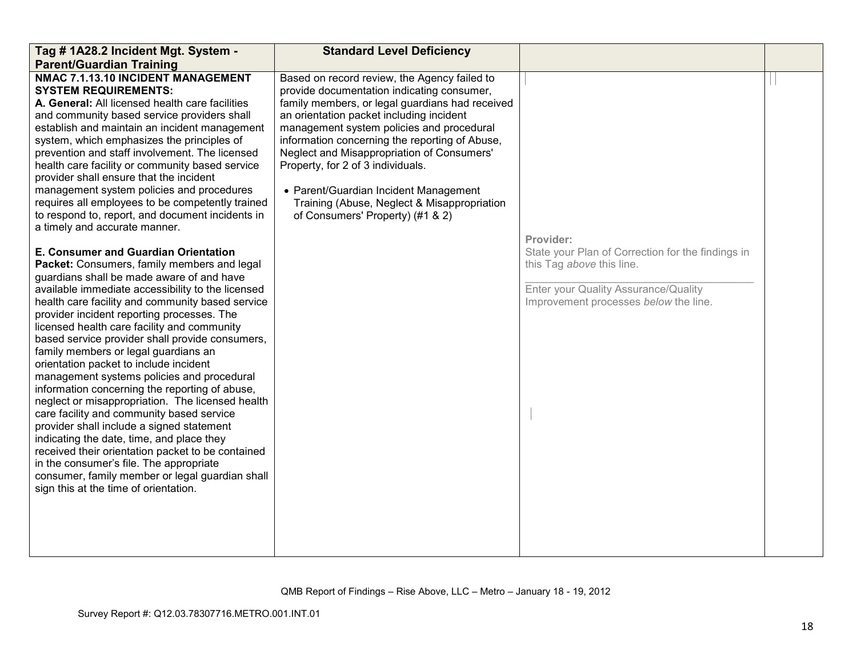| Tag # 1A28.2 Incident Mgt. System -                                                                                                                                                                                                                                                                                                                                                                                                                                                                                                                                                                                                                                                                                                                                                                                                                                                                                                                                                                                                                                                                                                                                                                                                                                                                                                                                                                                                                                                                                                                                            | <b>Standard Level Deficiency</b>                                                                                                                                                                                                                                                                                                                                                                                                                                                                        |                                                                                                                                                                              |  |
|--------------------------------------------------------------------------------------------------------------------------------------------------------------------------------------------------------------------------------------------------------------------------------------------------------------------------------------------------------------------------------------------------------------------------------------------------------------------------------------------------------------------------------------------------------------------------------------------------------------------------------------------------------------------------------------------------------------------------------------------------------------------------------------------------------------------------------------------------------------------------------------------------------------------------------------------------------------------------------------------------------------------------------------------------------------------------------------------------------------------------------------------------------------------------------------------------------------------------------------------------------------------------------------------------------------------------------------------------------------------------------------------------------------------------------------------------------------------------------------------------------------------------------------------------------------------------------|---------------------------------------------------------------------------------------------------------------------------------------------------------------------------------------------------------------------------------------------------------------------------------------------------------------------------------------------------------------------------------------------------------------------------------------------------------------------------------------------------------|------------------------------------------------------------------------------------------------------------------------------------------------------------------------------|--|
| <b>Parent/Guardian Training</b>                                                                                                                                                                                                                                                                                                                                                                                                                                                                                                                                                                                                                                                                                                                                                                                                                                                                                                                                                                                                                                                                                                                                                                                                                                                                                                                                                                                                                                                                                                                                                |                                                                                                                                                                                                                                                                                                                                                                                                                                                                                                         |                                                                                                                                                                              |  |
| NMAC 7.1.13.10 INCIDENT MANAGEMENT<br><b>SYSTEM REQUIREMENTS:</b><br>A. General: All licensed health care facilities<br>and community based service providers shall<br>establish and maintain an incident management<br>system, which emphasizes the principles of<br>prevention and staff involvement. The licensed<br>health care facility or community based service<br>provider shall ensure that the incident<br>management system policies and procedures<br>requires all employees to be competently trained<br>to respond to, report, and document incidents in<br>a timely and accurate manner.<br>E. Consumer and Guardian Orientation<br>Packet: Consumers, family members and legal<br>guardians shall be made aware of and have<br>available immediate accessibility to the licensed<br>health care facility and community based service<br>provider incident reporting processes. The<br>licensed health care facility and community<br>based service provider shall provide consumers,<br>family members or legal guardians an<br>orientation packet to include incident<br>management systems policies and procedural<br>information concerning the reporting of abuse,<br>neglect or misappropriation. The licensed health<br>care facility and community based service<br>provider shall include a signed statement<br>indicating the date, time, and place they<br>received their orientation packet to be contained<br>in the consumer's file. The appropriate<br>consumer, family member or legal guardian shall<br>sign this at the time of orientation. | Based on record review, the Agency failed to<br>provide documentation indicating consumer,<br>family members, or legal guardians had received<br>an orientation packet including incident<br>management system policies and procedural<br>information concerning the reporting of Abuse,<br>Neglect and Misappropriation of Consumers'<br>Property, for 2 of 3 individuals.<br>• Parent/Guardian Incident Management<br>Training (Abuse, Neglect & Misappropriation<br>of Consumers' Property) (#1 & 2) | Provider:<br>State your Plan of Correction for the findings in<br>this Tag above this line.<br>Enter your Quality Assurance/Quality<br>Improvement processes below the line. |  |
|                                                                                                                                                                                                                                                                                                                                                                                                                                                                                                                                                                                                                                                                                                                                                                                                                                                                                                                                                                                                                                                                                                                                                                                                                                                                                                                                                                                                                                                                                                                                                                                |                                                                                                                                                                                                                                                                                                                                                                                                                                                                                                         |                                                                                                                                                                              |  |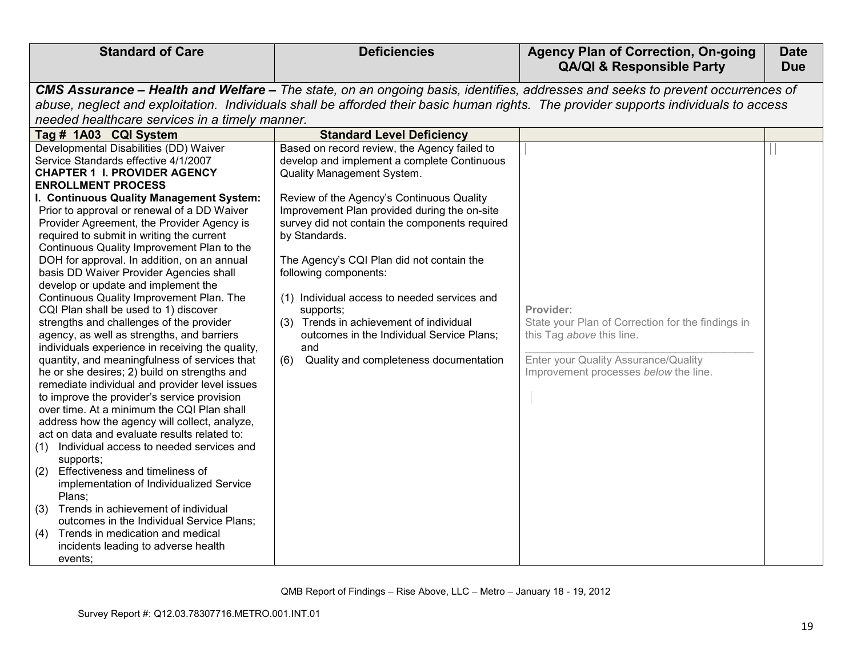| <b>Standard of Care</b>                                                                                                                                                                                                                                                                                                                                                                                                                                                                                                                                                                                                                                                                                                                                                                                                                                                                                                                  | <b>Deficiencies</b>                                                                                                                                                                                       | <b>Agency Plan of Correction, On-going</b><br><b>QA/QI &amp; Responsible Party</b>                                                                                                                                                                                     | <b>Date</b><br><b>Due</b> |
|------------------------------------------------------------------------------------------------------------------------------------------------------------------------------------------------------------------------------------------------------------------------------------------------------------------------------------------------------------------------------------------------------------------------------------------------------------------------------------------------------------------------------------------------------------------------------------------------------------------------------------------------------------------------------------------------------------------------------------------------------------------------------------------------------------------------------------------------------------------------------------------------------------------------------------------|-----------------------------------------------------------------------------------------------------------------------------------------------------------------------------------------------------------|------------------------------------------------------------------------------------------------------------------------------------------------------------------------------------------------------------------------------------------------------------------------|---------------------------|
| needed healthcare services in a timely manner.                                                                                                                                                                                                                                                                                                                                                                                                                                                                                                                                                                                                                                                                                                                                                                                                                                                                                           |                                                                                                                                                                                                           | CMS Assurance - Health and Welfare - The state, on an ongoing basis, identifies, addresses and seeks to prevent occurrences of<br>abuse, neglect and exploitation. Individuals shall be afforded their basic human rights. The provider supports individuals to access |                           |
| Tag # 1A03 CQI System<br>Developmental Disabilities (DD) Waiver                                                                                                                                                                                                                                                                                                                                                                                                                                                                                                                                                                                                                                                                                                                                                                                                                                                                          | <b>Standard Level Deficiency</b><br>Based on record review, the Agency failed to                                                                                                                          |                                                                                                                                                                                                                                                                        |                           |
| Service Standards effective 4/1/2007<br><b>CHAPTER 1 I. PROVIDER AGENCY</b><br><b>ENROLLMENT PROCESS</b>                                                                                                                                                                                                                                                                                                                                                                                                                                                                                                                                                                                                                                                                                                                                                                                                                                 | develop and implement a complete Continuous<br>Quality Management System.                                                                                                                                 |                                                                                                                                                                                                                                                                        |                           |
| I. Continuous Quality Management System:                                                                                                                                                                                                                                                                                                                                                                                                                                                                                                                                                                                                                                                                                                                                                                                                                                                                                                 | Review of the Agency's Continuous Quality                                                                                                                                                                 |                                                                                                                                                                                                                                                                        |                           |
| Prior to approval or renewal of a DD Waiver<br>Provider Agreement, the Provider Agency is<br>required to submit in writing the current<br>Continuous Quality Improvement Plan to the                                                                                                                                                                                                                                                                                                                                                                                                                                                                                                                                                                                                                                                                                                                                                     | Improvement Plan provided during the on-site<br>survey did not contain the components required<br>by Standards.                                                                                           |                                                                                                                                                                                                                                                                        |                           |
| DOH for approval. In addition, on an annual<br>basis DD Waiver Provider Agencies shall<br>develop or update and implement the                                                                                                                                                                                                                                                                                                                                                                                                                                                                                                                                                                                                                                                                                                                                                                                                            | The Agency's CQI Plan did not contain the<br>following components:                                                                                                                                        |                                                                                                                                                                                                                                                                        |                           |
| Continuous Quality Improvement Plan. The<br>CQI Plan shall be used to 1) discover<br>strengths and challenges of the provider<br>agency, as well as strengths, and barriers<br>individuals experience in receiving the quality,<br>quantity, and meaningfulness of services that<br>he or she desires; 2) build on strengths and<br>remediate individual and provider level issues<br>to improve the provider's service provision<br>over time. At a minimum the CQI Plan shall<br>address how the agency will collect, analyze,<br>act on data and evaluate results related to:<br>Individual access to needed services and<br>(1)<br>supports;<br>Effectiveness and timeliness of<br>(2)<br>implementation of Individualized Service<br>Plans;<br>Trends in achievement of individual<br>(3)<br>outcomes in the Individual Service Plans;<br>Trends in medication and medical<br>(4)<br>incidents leading to adverse health<br>events; | (1) Individual access to needed services and<br>supports;<br>(3) Trends in achievement of individual<br>outcomes in the Individual Service Plans;<br>and<br>Quality and completeness documentation<br>(6) | Provider:<br>State your Plan of Correction for the findings in<br>this Tag above this line.<br>Enter your Quality Assurance/Quality<br>Improvement processes below the line.                                                                                           |                           |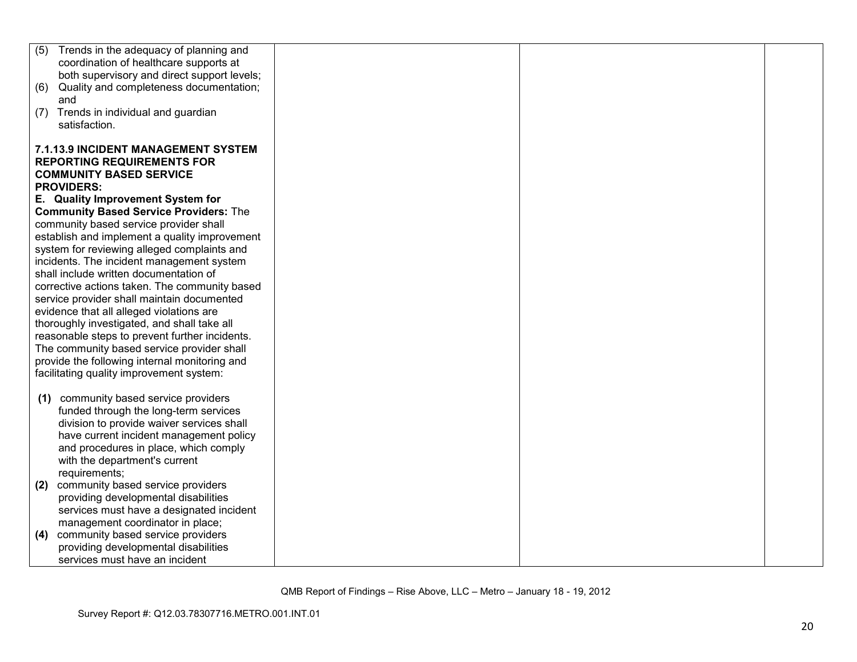| Trends in the adequacy of planning and<br>(5)  |  |  |
|------------------------------------------------|--|--|
| coordination of healthcare supports at         |  |  |
| both supervisory and direct support levels;    |  |  |
| Quality and completeness documentation;<br>(6) |  |  |
| and                                            |  |  |
| (7) Trends in individual and guardian          |  |  |
| satisfaction.                                  |  |  |
|                                                |  |  |
|                                                |  |  |
| <b>7.1.13.9 INCIDENT MANAGEMENT SYSTEM</b>     |  |  |
| <b>REPORTING REQUIREMENTS FOR</b>              |  |  |
| <b>COMMUNITY BASED SERVICE</b>                 |  |  |
| <b>PROVIDERS:</b>                              |  |  |
| E. Quality Improvement System for              |  |  |
| <b>Community Based Service Providers: The</b>  |  |  |
| community based service provider shall         |  |  |
| establish and implement a quality improvement  |  |  |
| system for reviewing alleged complaints and    |  |  |
| incidents. The incident management system      |  |  |
| shall include written documentation of         |  |  |
| corrective actions taken. The community based  |  |  |
| service provider shall maintain documented     |  |  |
| evidence that all alleged violations are       |  |  |
| thoroughly investigated, and shall take all    |  |  |
| reasonable steps to prevent further incidents. |  |  |
| The community based service provider shall     |  |  |
| provide the following internal monitoring and  |  |  |
| facilitating quality improvement system:       |  |  |
|                                                |  |  |
| community based service providers<br>(1)       |  |  |
| funded through the long-term services          |  |  |
| division to provide waiver services shall      |  |  |
|                                                |  |  |
| have current incident management policy        |  |  |
| and procedures in place, which comply          |  |  |
| with the department's current                  |  |  |
| requirements;                                  |  |  |
| community based service providers<br>(2)       |  |  |
| providing developmental disabilities           |  |  |
| services must have a designated incident       |  |  |
| management coordinator in place;               |  |  |
| community based service providers<br>(4)       |  |  |
| providing developmental disabilities           |  |  |
| services must have an incident                 |  |  |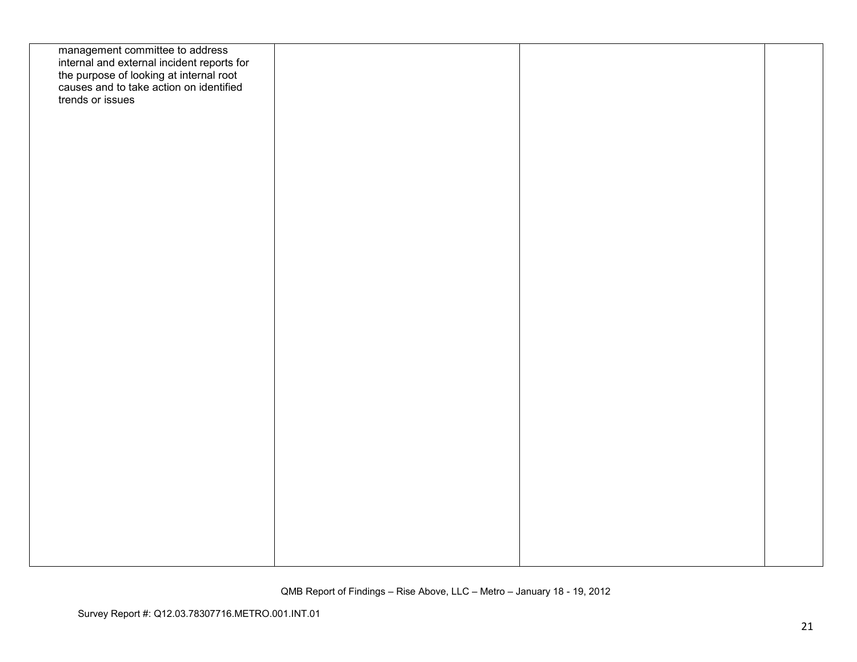| management committee to address<br>internal and external incident reports for<br>the purpose of looking at internal root<br>causes and to take action on identified<br>trends or issues |  |  |
|-----------------------------------------------------------------------------------------------------------------------------------------------------------------------------------------|--|--|
|                                                                                                                                                                                         |  |  |
|                                                                                                                                                                                         |  |  |
|                                                                                                                                                                                         |  |  |
|                                                                                                                                                                                         |  |  |
|                                                                                                                                                                                         |  |  |
|                                                                                                                                                                                         |  |  |
|                                                                                                                                                                                         |  |  |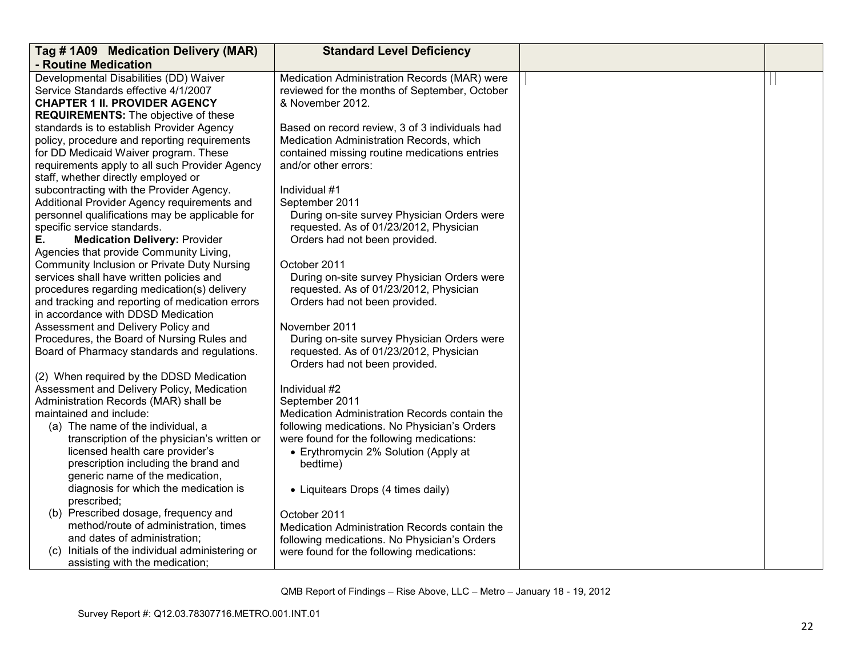| Tag #1A09 Medication Delivery (MAR)             | <b>Standard Level Deficiency</b>                                                      |  |
|-------------------------------------------------|---------------------------------------------------------------------------------------|--|
| - Routine Medication                            |                                                                                       |  |
| Developmental Disabilities (DD) Waiver          | Medication Administration Records (MAR) were                                          |  |
| Service Standards effective 4/1/2007            | reviewed for the months of September, October                                         |  |
| <b>CHAPTER 1 II. PROVIDER AGENCY</b>            | & November 2012.                                                                      |  |
| <b>REQUIREMENTS:</b> The objective of these     |                                                                                       |  |
| standards is to establish Provider Agency       | Based on record review, 3 of 3 individuals had                                        |  |
| policy, procedure and reporting requirements    | Medication Administration Records, which                                              |  |
| for DD Medicaid Waiver program. These           | contained missing routine medications entries                                         |  |
| requirements apply to all such Provider Agency  | and/or other errors:                                                                  |  |
| staff, whether directly employed or             |                                                                                       |  |
| subcontracting with the Provider Agency.        | Individual #1                                                                         |  |
| Additional Provider Agency requirements and     | September 2011                                                                        |  |
| personnel qualifications may be applicable for  | During on-site survey Physician Orders were                                           |  |
| specific service standards.                     | requested. As of 01/23/2012, Physician                                                |  |
| Е.<br><b>Medication Delivery: Provider</b>      | Orders had not been provided.                                                         |  |
| Agencies that provide Community Living,         |                                                                                       |  |
| Community Inclusion or Private Duty Nursing     | October 2011                                                                          |  |
| services shall have written policies and        | During on-site survey Physician Orders were                                           |  |
| procedures regarding medication(s) delivery     | requested. As of 01/23/2012, Physician                                                |  |
| and tracking and reporting of medication errors | Orders had not been provided.                                                         |  |
| in accordance with DDSD Medication              |                                                                                       |  |
| Assessment and Delivery Policy and              | November 2011                                                                         |  |
| Procedures, the Board of Nursing Rules and      | During on-site survey Physician Orders were<br>requested. As of 01/23/2012, Physician |  |
| Board of Pharmacy standards and regulations.    |                                                                                       |  |
| (2) When required by the DDSD Medication        | Orders had not been provided.                                                         |  |
| Assessment and Delivery Policy, Medication      | Individual #2                                                                         |  |
| Administration Records (MAR) shall be           | September 2011                                                                        |  |
| maintained and include:                         | Medication Administration Records contain the                                         |  |
| (a) The name of the individual, a               | following medications. No Physician's Orders                                          |  |
| transcription of the physician's written or     | were found for the following medications:                                             |  |
| licensed health care provider's                 | • Erythromycin 2% Solution (Apply at                                                  |  |
| prescription including the brand and            | bedtime)                                                                              |  |
| generic name of the medication,                 |                                                                                       |  |
| diagnosis for which the medication is           | • Liquitears Drops (4 times daily)                                                    |  |
| prescribed;                                     |                                                                                       |  |
| (b) Prescribed dosage, frequency and            | October 2011                                                                          |  |
| method/route of administration, times           | Medication Administration Records contain the                                         |  |
| and dates of administration;                    | following medications. No Physician's Orders                                          |  |
| (c) Initials of the individual administering or | were found for the following medications:                                             |  |
| assisting with the medication;                  |                                                                                       |  |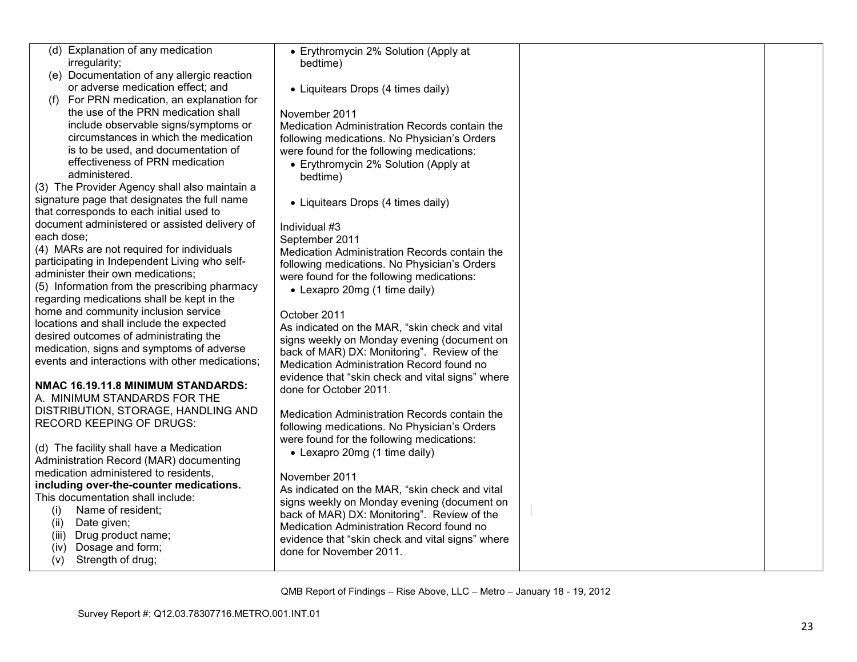| (d) Explanation of any medication                           | • Erythromycin 2% Solution (Apply at             |  |
|-------------------------------------------------------------|--------------------------------------------------|--|
| irregularity;                                               | bedtime)                                         |  |
| (e) Documentation of any allergic reaction                  |                                                  |  |
| or adverse medication effect; and                           | • Liquitears Drops (4 times daily)               |  |
| (f) For PRN medication, an explanation for                  |                                                  |  |
| the use of the PRN medication shall                         | November 2011                                    |  |
| include observable signs/symptoms or                        | Medication Administration Records contain the    |  |
| circumstances in which the medication                       | following medications. No Physician's Orders     |  |
| is to be used, and documentation of                         | were found for the following medications:        |  |
| effectiveness of PRN medication                             | • Erythromycin 2% Solution (Apply at             |  |
| administered.                                               | bedtime)                                         |  |
| (3) The Provider Agency shall also maintain a               |                                                  |  |
| signature page that designates the full name                | • Liquitears Drops (4 times daily)               |  |
| that corresponds to each initial used to                    |                                                  |  |
| document administered or assisted delivery of<br>each dose; | Individual #3                                    |  |
| (4) MARs are not required for individuals                   | September 2011                                   |  |
| participating in Independent Living who self-               | Medication Administration Records contain the    |  |
| administer their own medications;                           | following medications. No Physician's Orders     |  |
| (5) Information from the prescribing pharmacy               | were found for the following medications:        |  |
| regarding medications shall be kept in the                  | • Lexapro 20mg (1 time daily)                    |  |
| home and community inclusion service                        |                                                  |  |
| locations and shall include the expected                    | October 2011                                     |  |
| desired outcomes of administrating the                      | As indicated on the MAR, "skin check and vital   |  |
| medication, signs and symptoms of adverse                   | signs weekly on Monday evening (document on      |  |
| events and interactions with other medications;             | back of MAR) DX: Monitoring". Review of the      |  |
|                                                             | Medication Administration Record found no        |  |
| NMAC 16.19.11.8 MINIMUM STANDARDS:                          | evidence that "skin check and vital signs" where |  |
| A. MINIMUM STANDARDS FOR THE                                | done for October 2011.                           |  |
| DISTRIBUTION, STORAGE, HANDLING AND                         | Medication Administration Records contain the    |  |
| <b>RECORD KEEPING OF DRUGS:</b>                             | following medications. No Physician's Orders     |  |
|                                                             | were found for the following medications:        |  |
| (d) The facility shall have a Medication                    | • Lexapro 20mg (1 time daily)                    |  |
| Administration Record (MAR) documenting                     |                                                  |  |
| medication administered to residents,                       | November 2011                                    |  |
| including over-the-counter medications.                     | As indicated on the MAR, "skin check and vital   |  |
| This documentation shall include:                           | signs weekly on Monday evening (document on      |  |
| Name of resident;<br>(i)                                    | back of MAR) DX: Monitoring". Review of the      |  |
| Date given;<br>(ii)                                         | Medication Administration Record found no        |  |
| (iii) Drug product name;                                    | evidence that "skin check and vital signs" where |  |
| Dosage and form;<br>(iv)                                    | done for November 2011.                          |  |
| Strength of drug;<br>(v)                                    |                                                  |  |
|                                                             |                                                  |  |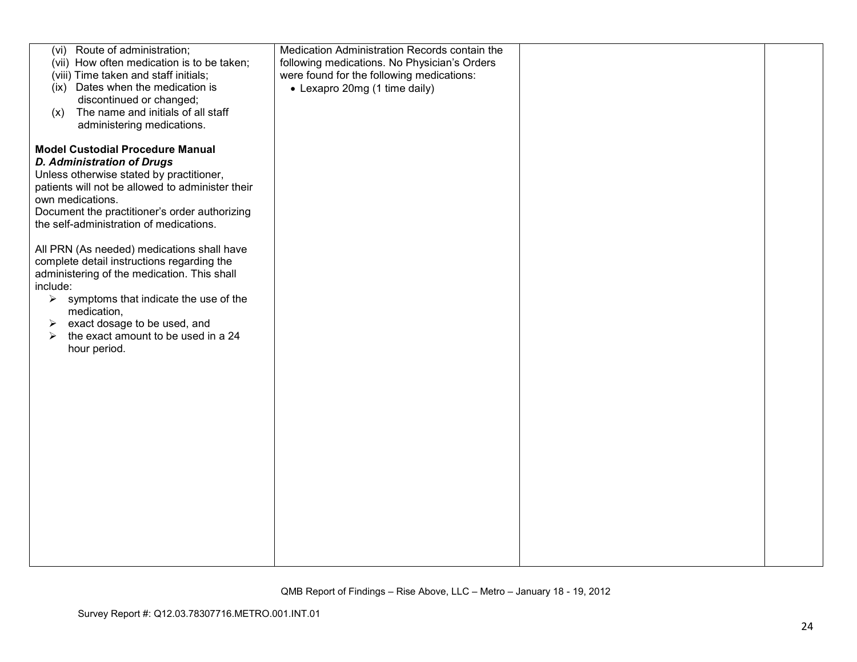| (vi) Route of administration;<br>(vii) How often medication is to be taken;<br>(viii) Time taken and staff initials;<br>(ix) Dates when the medication is<br>discontinued or changed;<br>The name and initials of all staff<br>(x)<br>administering medications.                                                                                          | Medication Administration Records contain the<br>following medications. No Physician's Orders<br>were found for the following medications:<br>• Lexapro 20mg (1 time daily) |  |
|-----------------------------------------------------------------------------------------------------------------------------------------------------------------------------------------------------------------------------------------------------------------------------------------------------------------------------------------------------------|-----------------------------------------------------------------------------------------------------------------------------------------------------------------------------|--|
| <b>Model Custodial Procedure Manual</b><br><b>D. Administration of Drugs</b><br>Unless otherwise stated by practitioner,<br>patients will not be allowed to administer their<br>own medications.<br>Document the practitioner's order authorizing<br>the self-administration of medications.                                                              |                                                                                                                                                                             |  |
| All PRN (As needed) medications shall have<br>complete detail instructions regarding the<br>administering of the medication. This shall<br>include:<br>symptoms that indicate the use of the<br>$\blacktriangleright$<br>medication,<br>exact dosage to be used, and<br>➤<br>the exact amount to be used in a 24<br>$\blacktriangleright$<br>hour period. |                                                                                                                                                                             |  |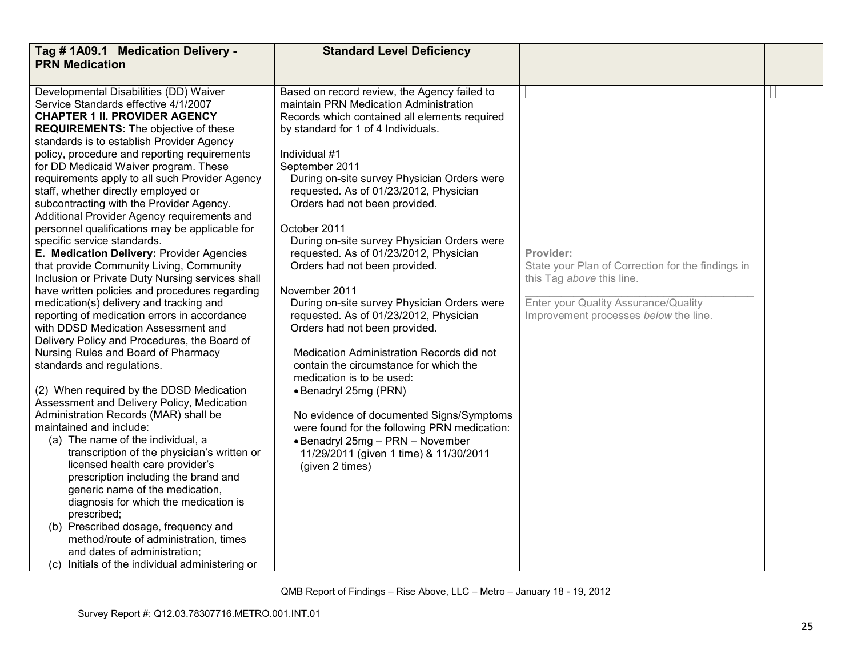| Tag # 1A09.1 Medication Delivery -                                                                                                                                                                                                                                                                                                                                                                                                                                                                                                                                                                                                                                                                                                                                                                                                                                                                                                                                                                                                                                                                                                                                                                                                                                                                                                                                                                                                                                                                                                                                                                                                 | <b>Standard Level Deficiency</b>                                                                                                                                                                                                                                                                                                                                                                                                                                                                                                                                                                                                                                                                                                                                                                                                                                                                                                                                           |                                                                                                                                                                              |  |
|------------------------------------------------------------------------------------------------------------------------------------------------------------------------------------------------------------------------------------------------------------------------------------------------------------------------------------------------------------------------------------------------------------------------------------------------------------------------------------------------------------------------------------------------------------------------------------------------------------------------------------------------------------------------------------------------------------------------------------------------------------------------------------------------------------------------------------------------------------------------------------------------------------------------------------------------------------------------------------------------------------------------------------------------------------------------------------------------------------------------------------------------------------------------------------------------------------------------------------------------------------------------------------------------------------------------------------------------------------------------------------------------------------------------------------------------------------------------------------------------------------------------------------------------------------------------------------------------------------------------------------|----------------------------------------------------------------------------------------------------------------------------------------------------------------------------------------------------------------------------------------------------------------------------------------------------------------------------------------------------------------------------------------------------------------------------------------------------------------------------------------------------------------------------------------------------------------------------------------------------------------------------------------------------------------------------------------------------------------------------------------------------------------------------------------------------------------------------------------------------------------------------------------------------------------------------------------------------------------------------|------------------------------------------------------------------------------------------------------------------------------------------------------------------------------|--|
| <b>PRN Medication</b>                                                                                                                                                                                                                                                                                                                                                                                                                                                                                                                                                                                                                                                                                                                                                                                                                                                                                                                                                                                                                                                                                                                                                                                                                                                                                                                                                                                                                                                                                                                                                                                                              |                                                                                                                                                                                                                                                                                                                                                                                                                                                                                                                                                                                                                                                                                                                                                                                                                                                                                                                                                                            |                                                                                                                                                                              |  |
| Developmental Disabilities (DD) Waiver<br>Service Standards effective 4/1/2007<br><b>CHAPTER 1 II. PROVIDER AGENCY</b><br><b>REQUIREMENTS:</b> The objective of these<br>standards is to establish Provider Agency<br>policy, procedure and reporting requirements<br>for DD Medicaid Waiver program. These<br>requirements apply to all such Provider Agency<br>staff, whether directly employed or<br>subcontracting with the Provider Agency.<br>Additional Provider Agency requirements and<br>personnel qualifications may be applicable for<br>specific service standards.<br>E. Medication Delivery: Provider Agencies<br>that provide Community Living, Community<br>Inclusion or Private Duty Nursing services shall<br>have written policies and procedures regarding<br>medication(s) delivery and tracking and<br>reporting of medication errors in accordance<br>with DDSD Medication Assessment and<br>Delivery Policy and Procedures, the Board of<br>Nursing Rules and Board of Pharmacy<br>standards and regulations.<br>(2) When required by the DDSD Medication<br>Assessment and Delivery Policy, Medication<br>Administration Records (MAR) shall be<br>maintained and include:<br>(a) The name of the individual, a<br>transcription of the physician's written or<br>licensed health care provider's<br>prescription including the brand and<br>generic name of the medication,<br>diagnosis for which the medication is<br>prescribed;<br>(b) Prescribed dosage, frequency and<br>method/route of administration, times<br>and dates of administration;<br>(c) Initials of the individual administering or | Based on record review, the Agency failed to<br>maintain PRN Medication Administration<br>Records which contained all elements required<br>by standard for 1 of 4 Individuals.<br>Individual #1<br>September 2011<br>During on-site survey Physician Orders were<br>requested. As of 01/23/2012, Physician<br>Orders had not been provided.<br>October 2011<br>During on-site survey Physician Orders were<br>requested. As of 01/23/2012, Physician<br>Orders had not been provided.<br>November 2011<br>During on-site survey Physician Orders were<br>requested. As of 01/23/2012, Physician<br>Orders had not been provided.<br>Medication Administration Records did not<br>contain the circumstance for which the<br>medication is to be used:<br>• Benadryl 25mg (PRN)<br>No evidence of documented Signs/Symptoms<br>were found for the following PRN medication:<br>• Benadryl 25mg - PRN - November<br>11/29/2011 (given 1 time) & 11/30/2011<br>(given 2 times) | Provider:<br>State your Plan of Correction for the findings in<br>this Tag above this line.<br>Enter your Quality Assurance/Quality<br>Improvement processes below the line. |  |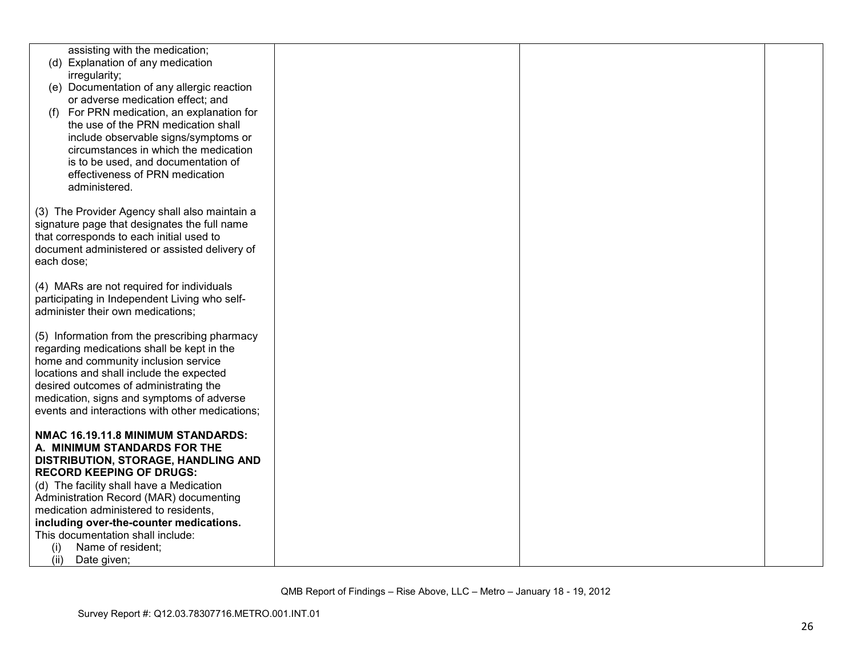| assisting with the medication;<br>(d) Explanation of any medication<br>irregularity;<br>(e) Documentation of any allergic reaction<br>or adverse medication effect; and<br>For PRN medication, an explanation for<br>(f)<br>the use of the PRN medication shall<br>include observable signs/symptoms or<br>circumstances in which the medication<br>is to be used, and documentation of |  |  |
|-----------------------------------------------------------------------------------------------------------------------------------------------------------------------------------------------------------------------------------------------------------------------------------------------------------------------------------------------------------------------------------------|--|--|
| effectiveness of PRN medication<br>administered.                                                                                                                                                                                                                                                                                                                                        |  |  |
| (3) The Provider Agency shall also maintain a<br>signature page that designates the full name<br>that corresponds to each initial used to<br>document administered or assisted delivery of<br>each dose;                                                                                                                                                                                |  |  |
| (4) MARs are not required for individuals<br>participating in Independent Living who self-<br>administer their own medications;                                                                                                                                                                                                                                                         |  |  |
| (5) Information from the prescribing pharmacy<br>regarding medications shall be kept in the<br>home and community inclusion service<br>locations and shall include the expected<br>desired outcomes of administrating the<br>medication, signs and symptoms of adverse<br>events and interactions with other medications;                                                               |  |  |
| NMAC 16.19.11.8 MINIMUM STANDARDS:<br>A. MINIMUM STANDARDS FOR THE<br>DISTRIBUTION, STORAGE, HANDLING AND<br><b>RECORD KEEPING OF DRUGS:</b>                                                                                                                                                                                                                                            |  |  |
| (d) The facility shall have a Medication<br>Administration Record (MAR) documenting<br>medication administered to residents,<br>including over-the-counter medications.                                                                                                                                                                                                                 |  |  |
| This documentation shall include:<br>Name of resident;<br>(i)<br>(ii)<br>Date given;                                                                                                                                                                                                                                                                                                    |  |  |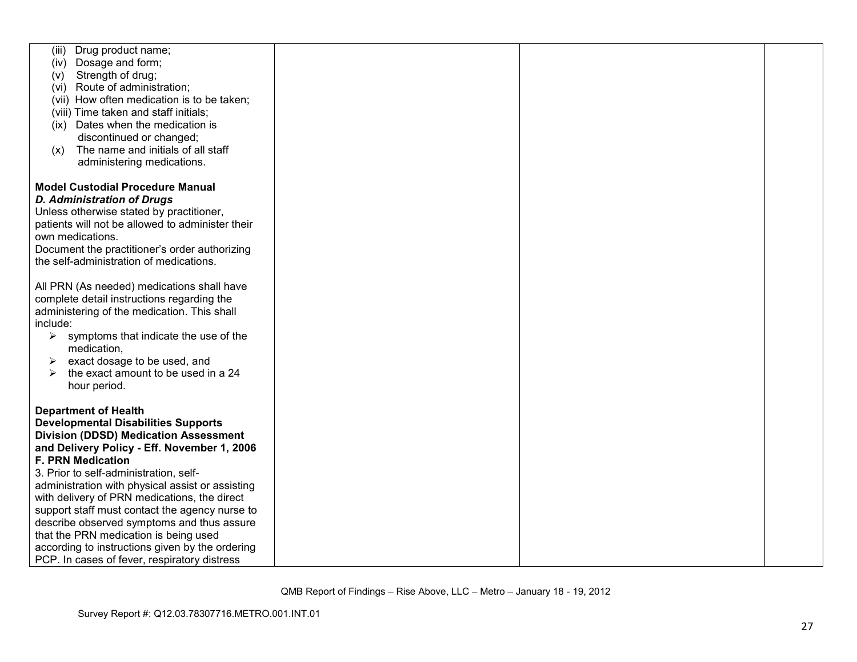| (iii)<br>Drug product name;                                                                      |  |  |
|--------------------------------------------------------------------------------------------------|--|--|
| (iv) Dosage and form;                                                                            |  |  |
| Strength of drug;<br>(v)                                                                         |  |  |
| (vi) Route of administration;                                                                    |  |  |
| (vii) How often medication is to be taken;                                                       |  |  |
| (viii) Time taken and staff initials;                                                            |  |  |
| (ix) Dates when the medication is                                                                |  |  |
| discontinued or changed;                                                                         |  |  |
| The name and initials of all staff<br>(X)                                                        |  |  |
| administering medications.                                                                       |  |  |
|                                                                                                  |  |  |
| <b>Model Custodial Procedure Manual</b>                                                          |  |  |
|                                                                                                  |  |  |
| <b>D. Administration of Drugs</b>                                                                |  |  |
| Unless otherwise stated by practitioner,                                                         |  |  |
| patients will not be allowed to administer their                                                 |  |  |
| own medications.                                                                                 |  |  |
| Document the practitioner's order authorizing                                                    |  |  |
| the self-administration of medications.                                                          |  |  |
|                                                                                                  |  |  |
| All PRN (As needed) medications shall have                                                       |  |  |
| complete detail instructions regarding the                                                       |  |  |
| administering of the medication. This shall                                                      |  |  |
| include:                                                                                         |  |  |
| symptoms that indicate the use of the<br>➤                                                       |  |  |
| medication,                                                                                      |  |  |
| exact dosage to be used, and<br>➤                                                                |  |  |
| the exact amount to be used in a 24<br>➤                                                         |  |  |
| hour period.                                                                                     |  |  |
|                                                                                                  |  |  |
| <b>Department of Health</b>                                                                      |  |  |
| <b>Developmental Disabilities Supports</b>                                                       |  |  |
| <b>Division (DDSD) Medication Assessment</b>                                                     |  |  |
| and Delivery Policy - Eff. November 1, 2006                                                      |  |  |
| <b>F. PRN Medication</b>                                                                         |  |  |
| 3. Prior to self-administration, self-                                                           |  |  |
|                                                                                                  |  |  |
| administration with physical assist or assisting<br>with delivery of PRN medications, the direct |  |  |
| support staff must contact the agency nurse to                                                   |  |  |
| describe observed symptoms and thus assure                                                       |  |  |
|                                                                                                  |  |  |
| that the PRN medication is being used                                                            |  |  |
| according to instructions given by the ordering                                                  |  |  |
| PCP. In cases of fever, respiratory distress                                                     |  |  |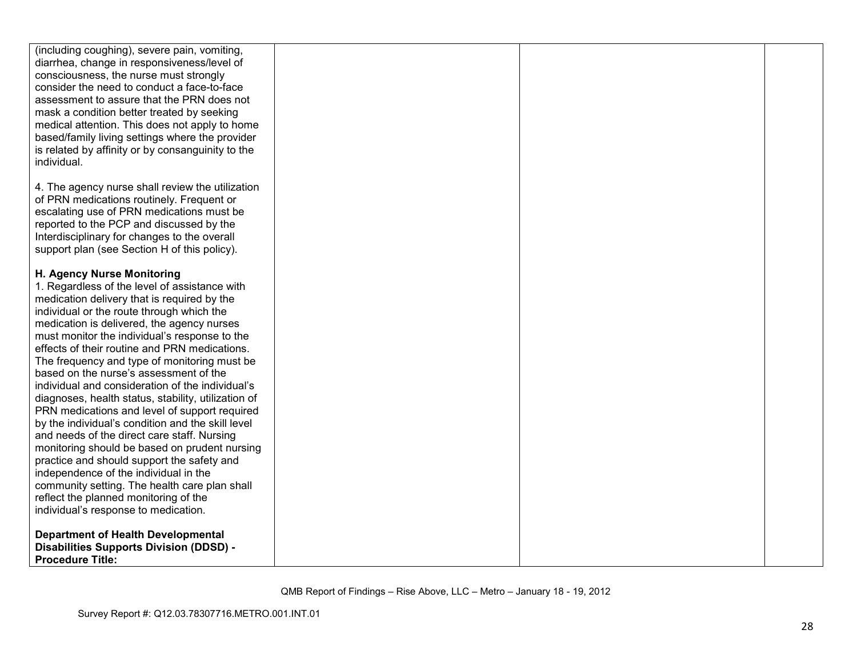| (including coughing), severe pain, vomiting,                                               |  |  |
|--------------------------------------------------------------------------------------------|--|--|
| diarrhea, change in responsiveness/level of                                                |  |  |
| consciousness, the nurse must strongly                                                     |  |  |
| consider the need to conduct a face-to-face                                                |  |  |
| assessment to assure that the PRN does not                                                 |  |  |
| mask a condition better treated by seeking                                                 |  |  |
| medical attention. This does not apply to home                                             |  |  |
| based/family living settings where the provider                                            |  |  |
| is related by affinity or by consanguinity to the                                          |  |  |
| individual.                                                                                |  |  |
|                                                                                            |  |  |
| 4. The agency nurse shall review the utilization                                           |  |  |
| of PRN medications routinely. Frequent or                                                  |  |  |
| escalating use of PRN medications must be                                                  |  |  |
| reported to the PCP and discussed by the                                                   |  |  |
| Interdisciplinary for changes to the overall                                               |  |  |
| support plan (see Section H of this policy).                                               |  |  |
|                                                                                            |  |  |
| H. Agency Nurse Monitoring                                                                 |  |  |
| 1. Regardless of the level of assistance with                                              |  |  |
| medication delivery that is required by the                                                |  |  |
| individual or the route through which the                                                  |  |  |
| medication is delivered, the agency nurses                                                 |  |  |
| must monitor the individual's response to the                                              |  |  |
| effects of their routine and PRN medications.                                              |  |  |
|                                                                                            |  |  |
| The frequency and type of monitoring must be                                               |  |  |
| based on the nurse's assessment of the<br>individual and consideration of the individual's |  |  |
|                                                                                            |  |  |
| diagnoses, health status, stability, utilization of                                        |  |  |
| PRN medications and level of support required                                              |  |  |
| by the individual's condition and the skill level                                          |  |  |
| and needs of the direct care staff. Nursing                                                |  |  |
| monitoring should be based on prudent nursing                                              |  |  |
| practice and should support the safety and                                                 |  |  |
| independence of the individual in the                                                      |  |  |
| community setting. The health care plan shall                                              |  |  |
| reflect the planned monitoring of the                                                      |  |  |
| individual's response to medication.                                                       |  |  |
|                                                                                            |  |  |
| <b>Department of Health Developmental</b>                                                  |  |  |
| <b>Disabilities Supports Division (DDSD) -</b>                                             |  |  |
| <b>Procedure Title:</b>                                                                    |  |  |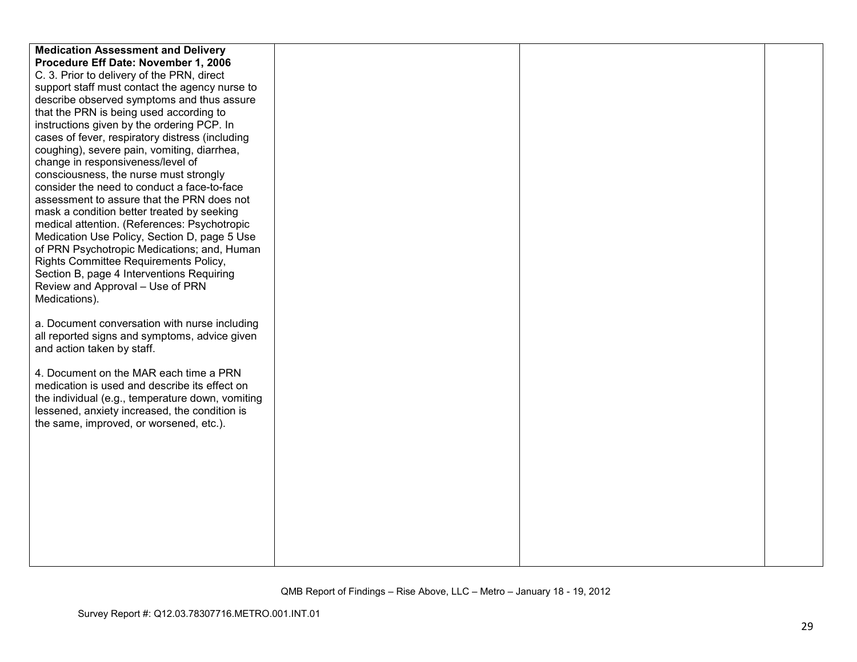| <b>Medication Assessment and Delivery</b>                                                   |  |  |
|---------------------------------------------------------------------------------------------|--|--|
| Procedure Eff Date: November 1, 2006                                                        |  |  |
| C. 3. Prior to delivery of the PRN, direct                                                  |  |  |
| support staff must contact the agency nurse to                                              |  |  |
| describe observed symptoms and thus assure                                                  |  |  |
| that the PRN is being used according to                                                     |  |  |
| instructions given by the ordering PCP. In                                                  |  |  |
| cases of fever, respiratory distress (including                                             |  |  |
| coughing), severe pain, vomiting, diarrhea,                                                 |  |  |
| change in responsiveness/level of                                                           |  |  |
| consciousness, the nurse must strongly                                                      |  |  |
| consider the need to conduct a face-to-face                                                 |  |  |
| assessment to assure that the PRN does not                                                  |  |  |
| mask a condition better treated by seeking                                                  |  |  |
| medical attention. (References: Psychotropic                                                |  |  |
| Medication Use Policy, Section D, page 5 Use<br>of PRN Psychotropic Medications; and, Human |  |  |
| Rights Committee Requirements Policy,                                                       |  |  |
| Section B, page 4 Interventions Requiring                                                   |  |  |
| Review and Approval - Use of PRN                                                            |  |  |
| Medications).                                                                               |  |  |
|                                                                                             |  |  |
| a. Document conversation with nurse including                                               |  |  |
| all reported signs and symptoms, advice given                                               |  |  |
| and action taken by staff.                                                                  |  |  |
|                                                                                             |  |  |
| 4. Document on the MAR each time a PRN                                                      |  |  |
| medication is used and describe its effect on                                               |  |  |
| the individual (e.g., temperature down, vomiting                                            |  |  |
| lessened, anxiety increased, the condition is                                               |  |  |
| the same, improved, or worsened, etc.).                                                     |  |  |
|                                                                                             |  |  |
|                                                                                             |  |  |
|                                                                                             |  |  |
|                                                                                             |  |  |
|                                                                                             |  |  |
|                                                                                             |  |  |
|                                                                                             |  |  |
|                                                                                             |  |  |
|                                                                                             |  |  |
|                                                                                             |  |  |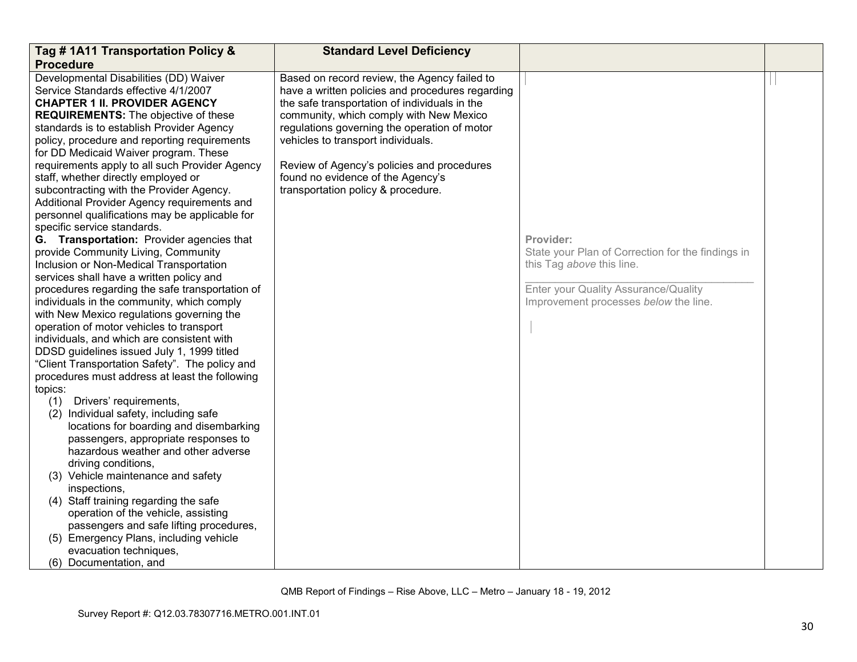| Tag #1A11 Transportation Policy &                                                                                                                                                                                                                                                                                                                                                                                                                                                                                                                                                                                                                                                                                                                                                                                                                                                                                                                                                                                                                                                   | <b>Standard Level Deficiency</b>                                                                                                                                                                                                                                                                                                                                                                            |                                                                                                                                                                              |  |
|-------------------------------------------------------------------------------------------------------------------------------------------------------------------------------------------------------------------------------------------------------------------------------------------------------------------------------------------------------------------------------------------------------------------------------------------------------------------------------------------------------------------------------------------------------------------------------------------------------------------------------------------------------------------------------------------------------------------------------------------------------------------------------------------------------------------------------------------------------------------------------------------------------------------------------------------------------------------------------------------------------------------------------------------------------------------------------------|-------------------------------------------------------------------------------------------------------------------------------------------------------------------------------------------------------------------------------------------------------------------------------------------------------------------------------------------------------------------------------------------------------------|------------------------------------------------------------------------------------------------------------------------------------------------------------------------------|--|
| <b>Procedure</b>                                                                                                                                                                                                                                                                                                                                                                                                                                                                                                                                                                                                                                                                                                                                                                                                                                                                                                                                                                                                                                                                    |                                                                                                                                                                                                                                                                                                                                                                                                             |                                                                                                                                                                              |  |
| Developmental Disabilities (DD) Waiver<br>Service Standards effective 4/1/2007<br><b>CHAPTER 1 II. PROVIDER AGENCY</b><br><b>REQUIREMENTS:</b> The objective of these<br>standards is to establish Provider Agency<br>policy, procedure and reporting requirements<br>for DD Medicaid Waiver program. These<br>requirements apply to all such Provider Agency<br>staff, whether directly employed or<br>subcontracting with the Provider Agency.<br>Additional Provider Agency requirements and<br>personnel qualifications may be applicable for<br>specific service standards.                                                                                                                                                                                                                                                                                                                                                                                                                                                                                                    | Based on record review, the Agency failed to<br>have a written policies and procedures regarding<br>the safe transportation of individuals in the<br>community, which comply with New Mexico<br>regulations governing the operation of motor<br>vehicles to transport individuals.<br>Review of Agency's policies and procedures<br>found no evidence of the Agency's<br>transportation policy & procedure. |                                                                                                                                                                              |  |
| G. Transportation: Provider agencies that<br>provide Community Living, Community<br>Inclusion or Non-Medical Transportation<br>services shall have a written policy and<br>procedures regarding the safe transportation of<br>individuals in the community, which comply<br>with New Mexico regulations governing the<br>operation of motor vehicles to transport<br>individuals, and which are consistent with<br>DDSD guidelines issued July 1, 1999 titled<br>"Client Transportation Safety". The policy and<br>procedures must address at least the following<br>topics:<br>(1) Drivers' requirements,<br>(2) Individual safety, including safe<br>locations for boarding and disembarking<br>passengers, appropriate responses to<br>hazardous weather and other adverse<br>driving conditions,<br>(3) Vehicle maintenance and safety<br>inspections,<br>(4) Staff training regarding the safe<br>operation of the vehicle, assisting<br>passengers and safe lifting procedures,<br>(5) Emergency Plans, including vehicle<br>evacuation techniques,<br>(6) Documentation, and |                                                                                                                                                                                                                                                                                                                                                                                                             | Provider:<br>State your Plan of Correction for the findings in<br>this Tag above this line.<br>Enter your Quality Assurance/Quality<br>Improvement processes below the line. |  |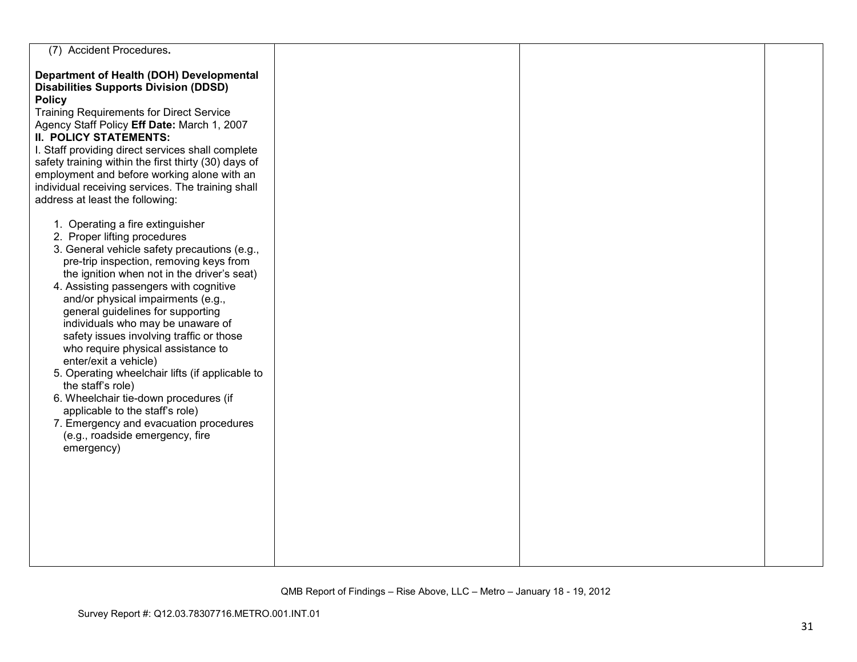| (7) Accident Procedures.                                                                                                                                                                                                                                                                                                                                                                                                                                                                                                                                                                                                                                                                                                       |  |  |
|--------------------------------------------------------------------------------------------------------------------------------------------------------------------------------------------------------------------------------------------------------------------------------------------------------------------------------------------------------------------------------------------------------------------------------------------------------------------------------------------------------------------------------------------------------------------------------------------------------------------------------------------------------------------------------------------------------------------------------|--|--|
| Department of Health (DOH) Developmental<br><b>Disabilities Supports Division (DDSD)</b><br><b>Policy</b><br><b>Training Requirements for Direct Service</b><br>Agency Staff Policy Eff Date: March 1, 2007<br><b>II. POLICY STATEMENTS:</b><br>I. Staff providing direct services shall complete<br>safety training within the first thirty (30) days of<br>employment and before working alone with an<br>individual receiving services. The training shall<br>address at least the following:                                                                                                                                                                                                                               |  |  |
| 1. Operating a fire extinguisher<br>2. Proper lifting procedures<br>3. General vehicle safety precautions (e.g.,<br>pre-trip inspection, removing keys from<br>the ignition when not in the driver's seat)<br>4. Assisting passengers with cognitive<br>and/or physical impairments (e.g.,<br>general guidelines for supporting<br>individuals who may be unaware of<br>safety issues involving traffic or those<br>who require physical assistance to<br>enter/exit a vehicle)<br>5. Operating wheelchair lifts (if applicable to<br>the staff's role)<br>6. Wheelchair tie-down procedures (if<br>applicable to the staff's role)<br>7. Emergency and evacuation procedures<br>(e.g., roadside emergency, fire<br>emergency) |  |  |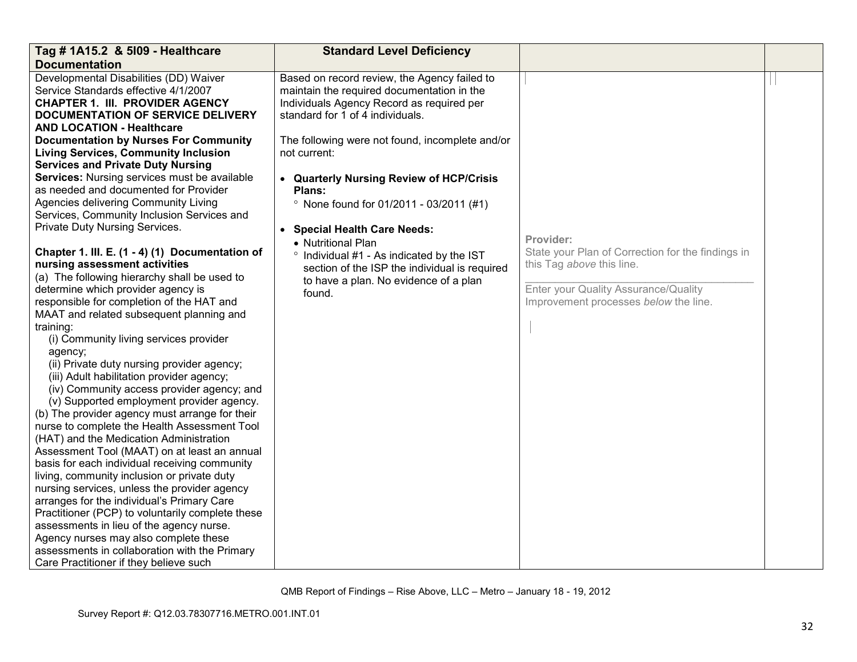| <b>Documentation</b>                                                                                                                                                                                                                                                                                                                                                                                                                                                                                                                                                                                                                                                                                                                                                                                                                                                                                                                                                                                                                                                                                                                                                                                                                                                                                                                                                                                                                                                                                                                                                                                                                                                                                                                                                                                                                                                                                                                                                                                                                                                                                                                                                                                                                                                                                                                                                                                                                                                              | Tag # 1A15.2 & 5109 - Healthcare |  |
|-----------------------------------------------------------------------------------------------------------------------------------------------------------------------------------------------------------------------------------------------------------------------------------------------------------------------------------------------------------------------------------------------------------------------------------------------------------------------------------------------------------------------------------------------------------------------------------------------------------------------------------------------------------------------------------------------------------------------------------------------------------------------------------------------------------------------------------------------------------------------------------------------------------------------------------------------------------------------------------------------------------------------------------------------------------------------------------------------------------------------------------------------------------------------------------------------------------------------------------------------------------------------------------------------------------------------------------------------------------------------------------------------------------------------------------------------------------------------------------------------------------------------------------------------------------------------------------------------------------------------------------------------------------------------------------------------------------------------------------------------------------------------------------------------------------------------------------------------------------------------------------------------------------------------------------------------------------------------------------------------------------------------------------------------------------------------------------------------------------------------------------------------------------------------------------------------------------------------------------------------------------------------------------------------------------------------------------------------------------------------------------------------------------------------------------------------------------------------------------|----------------------------------|--|
|                                                                                                                                                                                                                                                                                                                                                                                                                                                                                                                                                                                                                                                                                                                                                                                                                                                                                                                                                                                                                                                                                                                                                                                                                                                                                                                                                                                                                                                                                                                                                                                                                                                                                                                                                                                                                                                                                                                                                                                                                                                                                                                                                                                                                                                                                                                                                                                                                                                                                   |                                  |  |
| Developmental Disabilities (DD) Waiver<br>Based on record review, the Agency failed to<br>Service Standards effective 4/1/2007<br>maintain the required documentation in the<br><b>CHAPTER 1. III. PROVIDER AGENCY</b><br>Individuals Agency Record as required per<br><b>DOCUMENTATION OF SERVICE DELIVERY</b><br>standard for 1 of 4 individuals.<br><b>AND LOCATION - Healthcare</b><br><b>Documentation by Nurses For Community</b><br>The following were not found, incomplete and/or<br><b>Living Services, Community Inclusion</b><br>not current:<br><b>Services and Private Duty Nursing</b><br>Services: Nursing services must be available<br>• Quarterly Nursing Review of HCP/Crisis<br>as needed and documented for Provider<br>Plans:<br>Agencies delivering Community Living<br>$^{\circ}$ None found for 01/2011 - 03/2011 (#1)<br>Services, Community Inclusion Services and<br>Private Duty Nursing Services.<br>• Special Health Care Needs:<br>Provider:<br>• Nutritional Plan<br>Chapter 1. III. E. (1 - 4) (1) Documentation of<br>State your Plan of Correction for the findings in<br>° Individual #1 - As indicated by the IST<br>nursing assessment activities<br>this Tag above this line.<br>section of the ISP the individual is required<br>(a) The following hierarchy shall be used to<br>to have a plan. No evidence of a plan<br>determine which provider agency is<br>Enter your Quality Assurance/Quality<br>found.<br>responsible for completion of the HAT and<br>Improvement processes below the line.<br>MAAT and related subsequent planning and<br>training:<br>(i) Community living services provider<br>agency;<br>(ii) Private duty nursing provider agency;<br>(iii) Adult habilitation provider agency;<br>(iv) Community access provider agency; and<br>(v) Supported employment provider agency.<br>(b) The provider agency must arrange for their<br>nurse to complete the Health Assessment Tool<br>(HAT) and the Medication Administration<br>Assessment Tool (MAAT) on at least an annual<br>basis for each individual receiving community<br>living, community inclusion or private duty<br>nursing services, unless the provider agency<br>arranges for the individual's Primary Care<br>Practitioner (PCP) to voluntarily complete these<br>assessments in lieu of the agency nurse.<br>Agency nurses may also complete these<br>assessments in collaboration with the Primary<br>Care Practitioner if they believe such |                                  |  |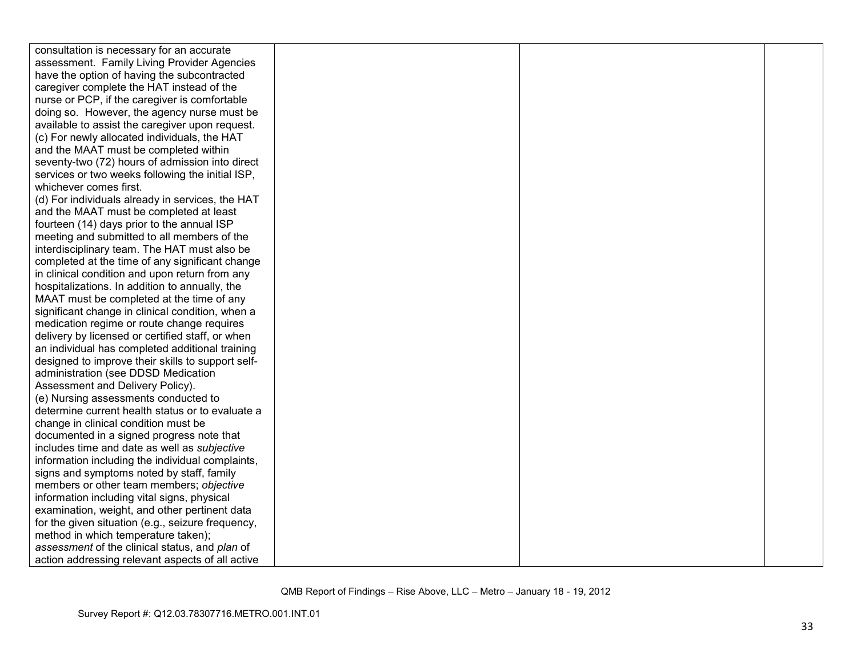| consultation is necessary for an accurate         |  |  |
|---------------------------------------------------|--|--|
| assessment. Family Living Provider Agencies       |  |  |
| have the option of having the subcontracted       |  |  |
| caregiver complete the HAT instead of the         |  |  |
| nurse or PCP, if the caregiver is comfortable     |  |  |
| doing so. However, the agency nurse must be       |  |  |
| available to assist the caregiver upon request.   |  |  |
| (c) For newly allocated individuals, the HAT      |  |  |
| and the MAAT must be completed within             |  |  |
| seventy-two (72) hours of admission into direct   |  |  |
| services or two weeks following the initial ISP,  |  |  |
| whichever comes first.                            |  |  |
| (d) For individuals already in services, the HAT  |  |  |
| and the MAAT must be completed at least           |  |  |
| fourteen (14) days prior to the annual ISP        |  |  |
| meeting and submitted to all members of the       |  |  |
| interdisciplinary team. The HAT must also be      |  |  |
| completed at the time of any significant change   |  |  |
| in clinical condition and upon return from any    |  |  |
| hospitalizations. In addition to annually, the    |  |  |
| MAAT must be completed at the time of any         |  |  |
| significant change in clinical condition, when a  |  |  |
| medication regime or route change requires        |  |  |
| delivery by licensed or certified staff, or when  |  |  |
| an individual has completed additional training   |  |  |
| designed to improve their skills to support self- |  |  |
| administration (see DDSD Medication               |  |  |
| Assessment and Delivery Policy).                  |  |  |
| (e) Nursing assessments conducted to              |  |  |
| determine current health status or to evaluate a  |  |  |
| change in clinical condition must be              |  |  |
| documented in a signed progress note that         |  |  |
| includes time and date as well as subjective      |  |  |
| information including the individual complaints,  |  |  |
| signs and symptoms noted by staff, family         |  |  |
| members or other team members; objective          |  |  |
| information including vital signs, physical       |  |  |
| examination, weight, and other pertinent data     |  |  |
| for the given situation (e.g., seizure frequency, |  |  |
| method in which temperature taken);               |  |  |
| assessment of the clinical status, and plan of    |  |  |
| action addressing relevant aspects of all active  |  |  |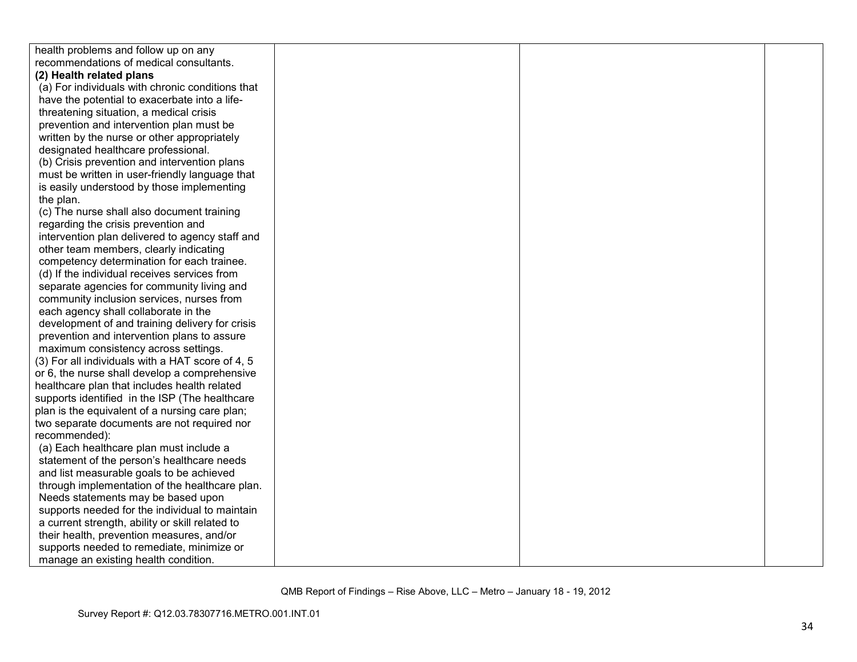| health problems and follow up on any             |  |  |
|--------------------------------------------------|--|--|
| recommendations of medical consultants.          |  |  |
| (2) Health related plans                         |  |  |
| (a) For individuals with chronic conditions that |  |  |
| have the potential to exacerbate into a life-    |  |  |
| threatening situation, a medical crisis          |  |  |
| prevention and intervention plan must be         |  |  |
| written by the nurse or other appropriately      |  |  |
| designated healthcare professional.              |  |  |
| (b) Crisis prevention and intervention plans     |  |  |
| must be written in user-friendly language that   |  |  |
| is easily understood by those implementing       |  |  |
| the plan.                                        |  |  |
| (c) The nurse shall also document training       |  |  |
| regarding the crisis prevention and              |  |  |
| intervention plan delivered to agency staff and  |  |  |
| other team members, clearly indicating           |  |  |
| competency determination for each trainee.       |  |  |
| (d) If the individual receives services from     |  |  |
| separate agencies for community living and       |  |  |
| community inclusion services, nurses from        |  |  |
| each agency shall collaborate in the             |  |  |
| development of and training delivery for crisis  |  |  |
| prevention and intervention plans to assure      |  |  |
| maximum consistency across settings.             |  |  |
| (3) For all individuals with a HAT score of 4, 5 |  |  |
| or 6, the nurse shall develop a comprehensive    |  |  |
| healthcare plan that includes health related     |  |  |
| supports identified in the ISP (The healthcare   |  |  |
| plan is the equivalent of a nursing care plan;   |  |  |
| two separate documents are not required nor      |  |  |
| recommended):                                    |  |  |
| (a) Each healthcare plan must include a          |  |  |
| statement of the person's healthcare needs       |  |  |
| and list measurable goals to be achieved         |  |  |
| through implementation of the healthcare plan.   |  |  |
| Needs statements may be based upon               |  |  |
| supports needed for the individual to maintain   |  |  |
| a current strength, ability or skill related to  |  |  |
| their health, prevention measures, and/or        |  |  |
| supports needed to remediate, minimize or        |  |  |
| manage an existing health condition.             |  |  |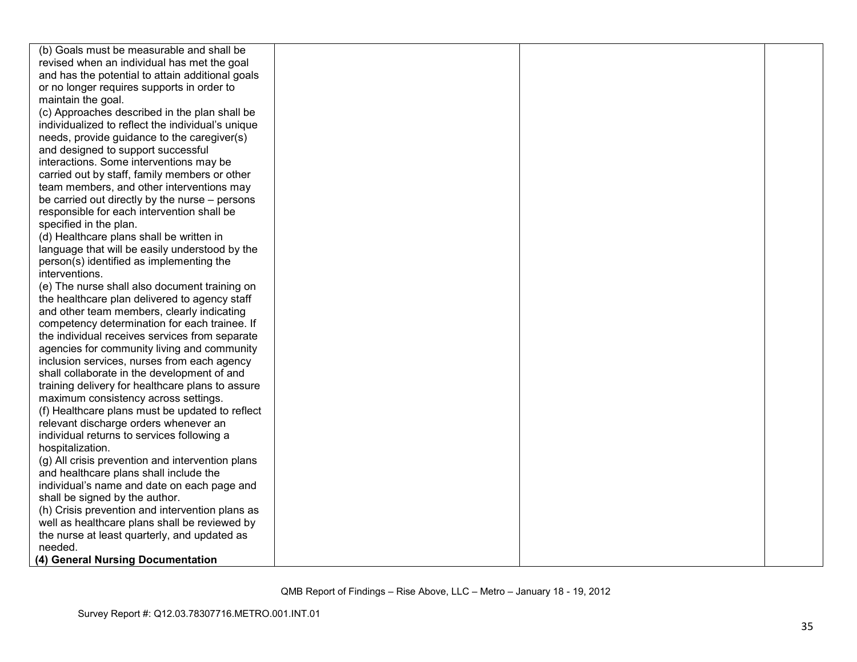| (b) Goals must be measurable and shall be         |  |  |
|---------------------------------------------------|--|--|
| revised when an individual has met the goal       |  |  |
| and has the potential to attain additional goals  |  |  |
| or no longer requires supports in order to        |  |  |
| maintain the goal.                                |  |  |
| (c) Approaches described in the plan shall be     |  |  |
| individualized to reflect the individual's unique |  |  |
| needs, provide guidance to the caregiver(s)       |  |  |
| and designed to support successful                |  |  |
| interactions. Some interventions may be           |  |  |
| carried out by staff, family members or other     |  |  |
| team members, and other interventions may         |  |  |
| be carried out directly by the nurse – persons    |  |  |
| responsible for each intervention shall be        |  |  |
| specified in the plan.                            |  |  |
| (d) Healthcare plans shall be written in          |  |  |
| language that will be easily understood by the    |  |  |
| person(s) identified as implementing the          |  |  |
| interventions.                                    |  |  |
| (e) The nurse shall also document training on     |  |  |
| the healthcare plan delivered to agency staff     |  |  |
| and other team members, clearly indicating        |  |  |
| competency determination for each trainee. If     |  |  |
| the individual receives services from separate    |  |  |
| agencies for community living and community       |  |  |
| inclusion services, nurses from each agency       |  |  |
| shall collaborate in the development of and       |  |  |
| training delivery for healthcare plans to assure  |  |  |
| maximum consistency across settings.              |  |  |
| (f) Healthcare plans must be updated to reflect   |  |  |
| relevant discharge orders whenever an             |  |  |
| individual returns to services following a        |  |  |
| hospitalization.                                  |  |  |
| (g) All crisis prevention and intervention plans  |  |  |
| and healthcare plans shall include the            |  |  |
| individual's name and date on each page and       |  |  |
| shall be signed by the author.                    |  |  |
| (h) Crisis prevention and intervention plans as   |  |  |
| well as healthcare plans shall be reviewed by     |  |  |
| the nurse at least quarterly, and updated as      |  |  |
| needed.                                           |  |  |
| (4) General Nursing Documentation                 |  |  |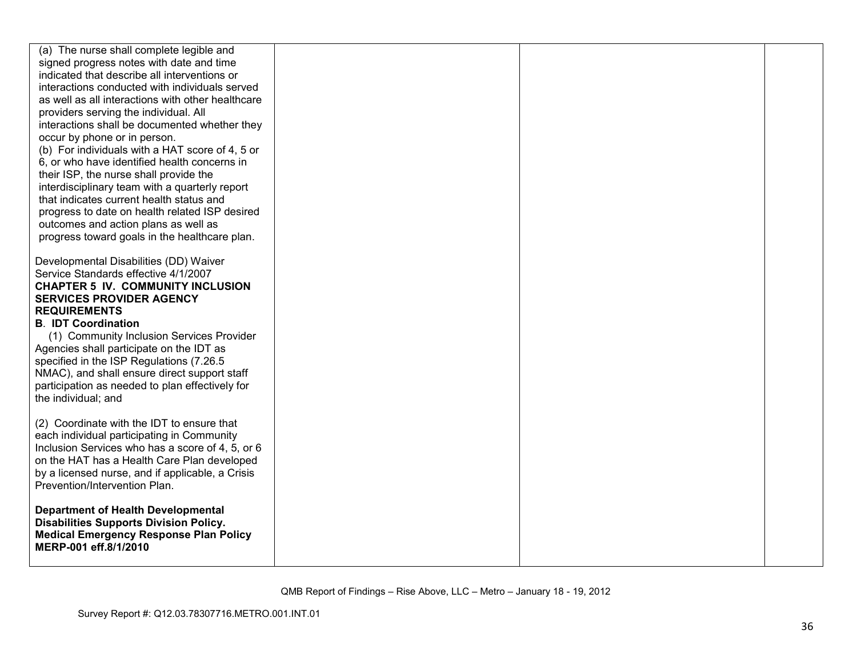| (a) The nurse shall complete legible and<br>signed progress notes with date and time<br>indicated that describe all interventions or<br>interactions conducted with individuals served<br>as well as all interactions with other healthcare<br>providers serving the individual. All<br>interactions shall be documented whether they<br>occur by phone or in person.<br>(b) For individuals with a HAT score of 4, 5 or<br>6, or who have identified health concerns in<br>their ISP, the nurse shall provide the<br>interdisciplinary team with a quarterly report<br>that indicates current health status and<br>progress to date on health related ISP desired<br>outcomes and action plans as well as<br>progress toward goals in the healthcare plan. |  |  |
|-------------------------------------------------------------------------------------------------------------------------------------------------------------------------------------------------------------------------------------------------------------------------------------------------------------------------------------------------------------------------------------------------------------------------------------------------------------------------------------------------------------------------------------------------------------------------------------------------------------------------------------------------------------------------------------------------------------------------------------------------------------|--|--|
| Developmental Disabilities (DD) Waiver<br>Service Standards effective 4/1/2007<br><b>CHAPTER 5 IV. COMMUNITY INCLUSION</b><br><b>SERVICES PROVIDER AGENCY</b><br><b>REQUIREMENTS</b><br><b>B. IDT Coordination</b><br>(1) Community Inclusion Services Provider<br>Agencies shall participate on the IDT as<br>specified in the ISP Regulations (7.26.5)<br>NMAC), and shall ensure direct support staff<br>participation as needed to plan effectively for<br>the individual; and                                                                                                                                                                                                                                                                          |  |  |
| (2) Coordinate with the IDT to ensure that<br>each individual participating in Community<br>Inclusion Services who has a score of 4, 5, or 6<br>on the HAT has a Health Care Plan developed<br>by a licensed nurse, and if applicable, a Crisis<br>Prevention/Intervention Plan.                                                                                                                                                                                                                                                                                                                                                                                                                                                                            |  |  |
| <b>Department of Health Developmental</b><br><b>Disabilities Supports Division Policy.</b><br><b>Medical Emergency Response Plan Policy</b><br>MERP-001 eff.8/1/2010                                                                                                                                                                                                                                                                                                                                                                                                                                                                                                                                                                                        |  |  |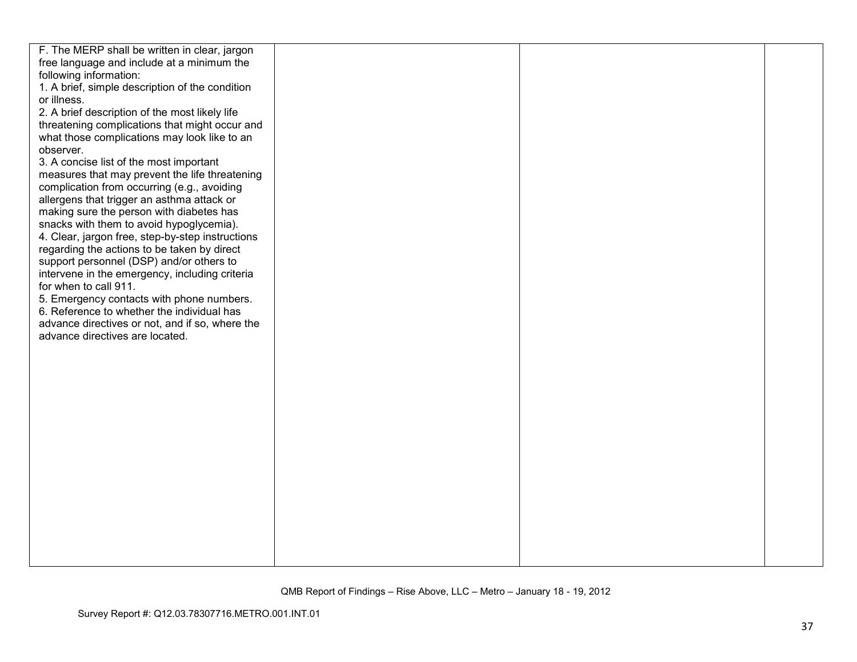| F. The MERP shall be written in clear, jargon    |  |  |
|--------------------------------------------------|--|--|
| free language and include at a minimum the       |  |  |
| following information:                           |  |  |
| 1. A brief, simple description of the condition  |  |  |
| or illness.                                      |  |  |
| 2. A brief description of the most likely life   |  |  |
| threatening complications that might occur and   |  |  |
| what those complications may look like to an     |  |  |
| observer.                                        |  |  |
| 3. A concise list of the most important          |  |  |
| measures that may prevent the life threatening   |  |  |
| complication from occurring (e.g., avoiding      |  |  |
| allergens that trigger an asthma attack or       |  |  |
| making sure the person with diabetes has         |  |  |
| snacks with them to avoid hypoglycemia).         |  |  |
| 4. Clear, jargon free, step-by-step instructions |  |  |
| regarding the actions to be taken by direct      |  |  |
| support personnel (DSP) and/or others to         |  |  |
| intervene in the emergency, including criteria   |  |  |
| for when to call 911.                            |  |  |
| 5. Emergency contacts with phone numbers.        |  |  |
| 6. Reference to whether the individual has       |  |  |
| advance directives or not, and if so, where the  |  |  |
| advance directives are located.                  |  |  |
|                                                  |  |  |
|                                                  |  |  |
|                                                  |  |  |
|                                                  |  |  |
|                                                  |  |  |
|                                                  |  |  |
|                                                  |  |  |
|                                                  |  |  |
|                                                  |  |  |
|                                                  |  |  |
|                                                  |  |  |
|                                                  |  |  |
|                                                  |  |  |
|                                                  |  |  |
|                                                  |  |  |
|                                                  |  |  |
|                                                  |  |  |
|                                                  |  |  |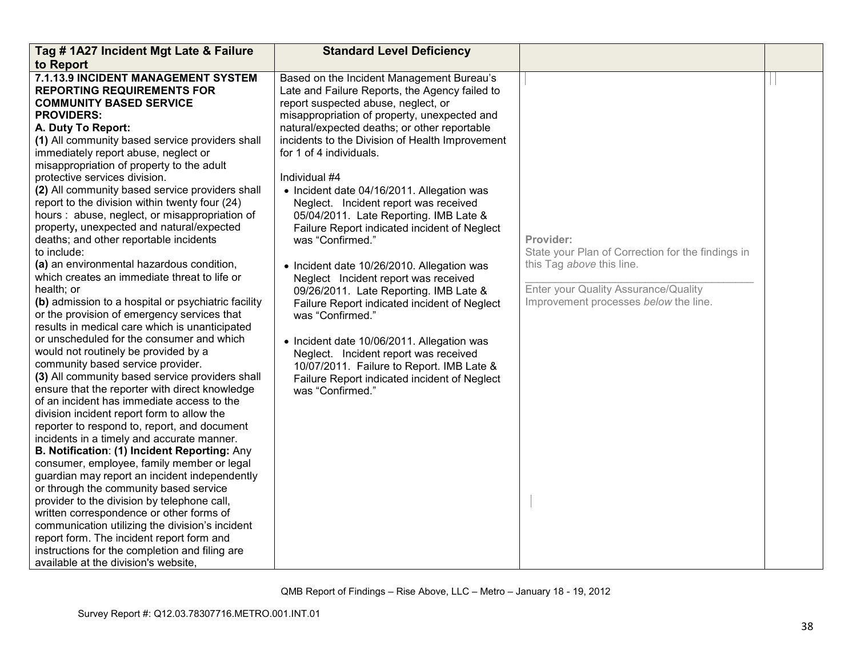| Tag #1A27 Incident Mgt Late & Failure                                                                                                                                                                                                                                                                                                                                                                                                                                                                                                                                                                                                                                                                                                                                                                                                                                                                                                                                                                                                                                                                                                                                                                                                                                                                                                                                                                                                                                                                                                                                                                                                                                                                                                                                | <b>Standard Level Deficiency</b>                                                                                                                                                                                                                                                                                                                                                                                                                                                                                                                                                                                                                                                                                                                                                                                                                                                                                                                   |                                                                                                                                                                              |  |
|----------------------------------------------------------------------------------------------------------------------------------------------------------------------------------------------------------------------------------------------------------------------------------------------------------------------------------------------------------------------------------------------------------------------------------------------------------------------------------------------------------------------------------------------------------------------------------------------------------------------------------------------------------------------------------------------------------------------------------------------------------------------------------------------------------------------------------------------------------------------------------------------------------------------------------------------------------------------------------------------------------------------------------------------------------------------------------------------------------------------------------------------------------------------------------------------------------------------------------------------------------------------------------------------------------------------------------------------------------------------------------------------------------------------------------------------------------------------------------------------------------------------------------------------------------------------------------------------------------------------------------------------------------------------------------------------------------------------------------------------------------------------|----------------------------------------------------------------------------------------------------------------------------------------------------------------------------------------------------------------------------------------------------------------------------------------------------------------------------------------------------------------------------------------------------------------------------------------------------------------------------------------------------------------------------------------------------------------------------------------------------------------------------------------------------------------------------------------------------------------------------------------------------------------------------------------------------------------------------------------------------------------------------------------------------------------------------------------------------|------------------------------------------------------------------------------------------------------------------------------------------------------------------------------|--|
| to Report                                                                                                                                                                                                                                                                                                                                                                                                                                                                                                                                                                                                                                                                                                                                                                                                                                                                                                                                                                                                                                                                                                                                                                                                                                                                                                                                                                                                                                                                                                                                                                                                                                                                                                                                                            |                                                                                                                                                                                                                                                                                                                                                                                                                                                                                                                                                                                                                                                                                                                                                                                                                                                                                                                                                    |                                                                                                                                                                              |  |
| 7.1.13.9 INCIDENT MANAGEMENT SYSTEM<br><b>REPORTING REQUIREMENTS FOR</b><br><b>COMMUNITY BASED SERVICE</b><br><b>PROVIDERS:</b><br>A. Duty To Report:<br>(1) All community based service providers shall<br>immediately report abuse, neglect or<br>misappropriation of property to the adult<br>protective services division.<br>(2) All community based service providers shall<br>report to the division within twenty four (24)<br>hours: abuse, neglect, or misappropriation of<br>property, unexpected and natural/expected<br>deaths; and other reportable incidents<br>to include:<br>(a) an environmental hazardous condition,<br>which creates an immediate threat to life or<br>health; or<br>(b) admission to a hospital or psychiatric facility<br>or the provision of emergency services that<br>results in medical care which is unanticipated<br>or unscheduled for the consumer and which<br>would not routinely be provided by a<br>community based service provider.<br>(3) All community based service providers shall<br>ensure that the reporter with direct knowledge<br>of an incident has immediate access to the<br>division incident report form to allow the<br>reporter to respond to, report, and document<br>incidents in a timely and accurate manner.<br>B. Notification: (1) Incident Reporting: Any<br>consumer, employee, family member or legal<br>guardian may report an incident independently<br>or through the community based service<br>provider to the division by telephone call,<br>written correspondence or other forms of<br>communication utilizing the division's incident<br>report form. The incident report form and<br>instructions for the completion and filing are<br>available at the division's website, | Based on the Incident Management Bureau's<br>Late and Failure Reports, the Agency failed to<br>report suspected abuse, neglect, or<br>misappropriation of property, unexpected and<br>natural/expected deaths; or other reportable<br>incidents to the Division of Health Improvement<br>for 1 of 4 individuals.<br>Individual #4<br>• Incident date 04/16/2011. Allegation was<br>Neglect. Incident report was received<br>05/04/2011. Late Reporting. IMB Late &<br>Failure Report indicated incident of Neglect<br>was "Confirmed."<br>• Incident date 10/26/2010. Allegation was<br>Neglect Incident report was received<br>09/26/2011. Late Reporting. IMB Late &<br>Failure Report indicated incident of Neglect<br>was "Confirmed."<br>• Incident date 10/06/2011. Allegation was<br>Neglect. Incident report was received<br>10/07/2011. Failure to Report. IMB Late &<br>Failure Report indicated incident of Neglect<br>was "Confirmed." | Provider:<br>State your Plan of Correction for the findings in<br>this Tag above this line.<br>Enter your Quality Assurance/Quality<br>Improvement processes below the line. |  |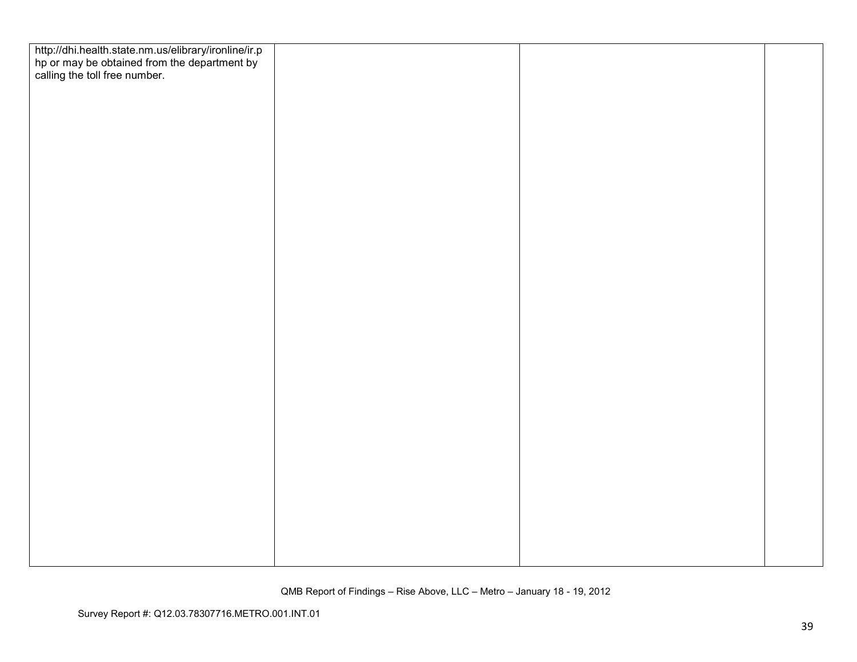| http://dhi.health.state.nm.us/elibrary/ironline/ir.p<br>hp or may be obtained from the department by<br>calling the toll free number. |  |  |
|---------------------------------------------------------------------------------------------------------------------------------------|--|--|
|                                                                                                                                       |  |  |
|                                                                                                                                       |  |  |
|                                                                                                                                       |  |  |
|                                                                                                                                       |  |  |
|                                                                                                                                       |  |  |
|                                                                                                                                       |  |  |
|                                                                                                                                       |  |  |
|                                                                                                                                       |  |  |
|                                                                                                                                       |  |  |
|                                                                                                                                       |  |  |
|                                                                                                                                       |  |  |
|                                                                                                                                       |  |  |
|                                                                                                                                       |  |  |
|                                                                                                                                       |  |  |
|                                                                                                                                       |  |  |
|                                                                                                                                       |  |  |
|                                                                                                                                       |  |  |
|                                                                                                                                       |  |  |
|                                                                                                                                       |  |  |
|                                                                                                                                       |  |  |
|                                                                                                                                       |  |  |
|                                                                                                                                       |  |  |
|                                                                                                                                       |  |  |
|                                                                                                                                       |  |  |
|                                                                                                                                       |  |  |
|                                                                                                                                       |  |  |
|                                                                                                                                       |  |  |
|                                                                                                                                       |  |  |
|                                                                                                                                       |  |  |
|                                                                                                                                       |  |  |
|                                                                                                                                       |  |  |
|                                                                                                                                       |  |  |
|                                                                                                                                       |  |  |
|                                                                                                                                       |  |  |
|                                                                                                                                       |  |  |
|                                                                                                                                       |  |  |
|                                                                                                                                       |  |  |
|                                                                                                                                       |  |  |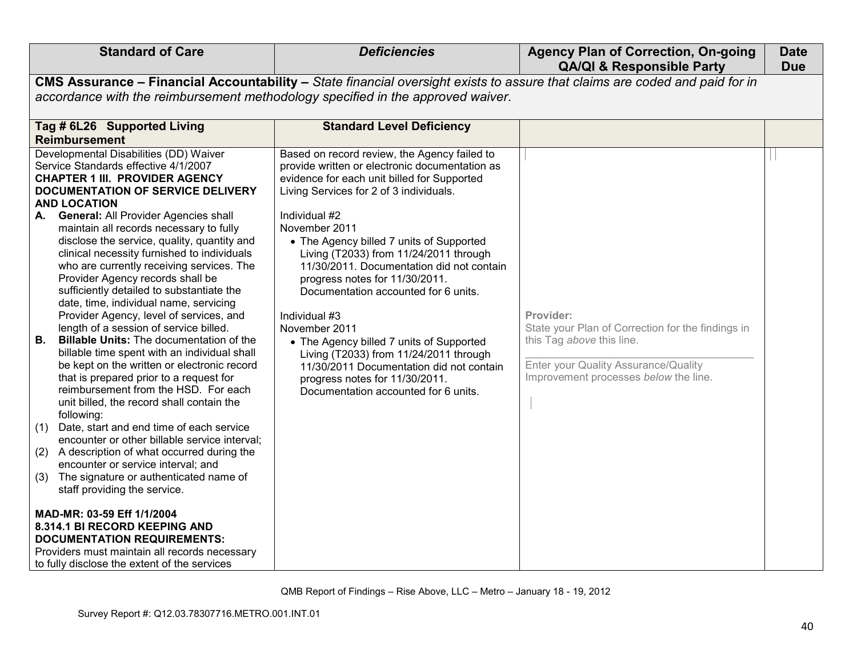| <b>Standard of Care</b>                                                                                                                                                                                                                                                                                                                                                                                                                                                                                                                                                                                                                                                                                                                                                                                                                                                                                                                                                                                                                                                                                                                                                                                                                                                                                                                                                                                                                   | <b>Deficiencies</b>                                                                                                                                                                                                                                                                                                                                                                                                                                                                                                                                                                                                                                                                   | <b>Agency Plan of Correction, On-going</b><br><b>QA/QI &amp; Responsible Party</b>                                                                                           | <b>Date</b><br><b>Due</b> |
|-------------------------------------------------------------------------------------------------------------------------------------------------------------------------------------------------------------------------------------------------------------------------------------------------------------------------------------------------------------------------------------------------------------------------------------------------------------------------------------------------------------------------------------------------------------------------------------------------------------------------------------------------------------------------------------------------------------------------------------------------------------------------------------------------------------------------------------------------------------------------------------------------------------------------------------------------------------------------------------------------------------------------------------------------------------------------------------------------------------------------------------------------------------------------------------------------------------------------------------------------------------------------------------------------------------------------------------------------------------------------------------------------------------------------------------------|---------------------------------------------------------------------------------------------------------------------------------------------------------------------------------------------------------------------------------------------------------------------------------------------------------------------------------------------------------------------------------------------------------------------------------------------------------------------------------------------------------------------------------------------------------------------------------------------------------------------------------------------------------------------------------------|------------------------------------------------------------------------------------------------------------------------------------------------------------------------------|---------------------------|
|                                                                                                                                                                                                                                                                                                                                                                                                                                                                                                                                                                                                                                                                                                                                                                                                                                                                                                                                                                                                                                                                                                                                                                                                                                                                                                                                                                                                                                           | CMS Assurance - Financial Accountability - State financial oversight exists to assure that claims are coded and paid for in                                                                                                                                                                                                                                                                                                                                                                                                                                                                                                                                                           |                                                                                                                                                                              |                           |
| accordance with the reimbursement methodology specified in the approved waiver.                                                                                                                                                                                                                                                                                                                                                                                                                                                                                                                                                                                                                                                                                                                                                                                                                                                                                                                                                                                                                                                                                                                                                                                                                                                                                                                                                           |                                                                                                                                                                                                                                                                                                                                                                                                                                                                                                                                                                                                                                                                                       |                                                                                                                                                                              |                           |
| Tag # 6L26 Supported Living<br><b>Reimbursement</b>                                                                                                                                                                                                                                                                                                                                                                                                                                                                                                                                                                                                                                                                                                                                                                                                                                                                                                                                                                                                                                                                                                                                                                                                                                                                                                                                                                                       | <b>Standard Level Deficiency</b>                                                                                                                                                                                                                                                                                                                                                                                                                                                                                                                                                                                                                                                      |                                                                                                                                                                              |                           |
| Developmental Disabilities (DD) Waiver<br>Service Standards effective 4/1/2007<br><b>CHAPTER 1 III. PROVIDER AGENCY</b><br>DOCUMENTATION OF SERVICE DELIVERY<br><b>AND LOCATION</b><br><b>General: All Provider Agencies shall</b><br>А.<br>maintain all records necessary to fully<br>disclose the service, quality, quantity and<br>clinical necessity furnished to individuals<br>who are currently receiving services. The<br>Provider Agency records shall be<br>sufficiently detailed to substantiate the<br>date, time, individual name, servicing<br>Provider Agency, level of services, and<br>length of a session of service billed.<br><b>Billable Units: The documentation of the</b><br>В.<br>billable time spent with an individual shall<br>be kept on the written or electronic record<br>that is prepared prior to a request for<br>reimbursement from the HSD. For each<br>unit billed, the record shall contain the<br>following:<br>Date, start and end time of each service<br>(1)<br>encounter or other billable service interval;<br>A description of what occurred during the<br>(2)<br>encounter or service interval; and<br>The signature or authenticated name of<br>(3)<br>staff providing the service.<br>MAD-MR: 03-59 Eff 1/1/2004<br>8.314.1 BI RECORD KEEPING AND<br><b>DOCUMENTATION REQUIREMENTS:</b><br>Providers must maintain all records necessary<br>to fully disclose the extent of the services | Based on record review, the Agency failed to<br>provide written or electronic documentation as<br>evidence for each unit billed for Supported<br>Living Services for 2 of 3 individuals.<br>Individual #2<br>November 2011<br>• The Agency billed 7 units of Supported<br>Living (T2033) from 11/24/2011 through<br>11/30/2011. Documentation did not contain<br>progress notes for 11/30/2011.<br>Documentation accounted for 6 units.<br>Individual #3<br>November 2011<br>• The Agency billed 7 units of Supported<br>Living (T2033) from 11/24/2011 through<br>11/30/2011 Documentation did not contain<br>progress notes for 11/30/2011.<br>Documentation accounted for 6 units. | Provider:<br>State your Plan of Correction for the findings in<br>this Tag above this line.<br>Enter your Quality Assurance/Quality<br>Improvement processes below the line. |                           |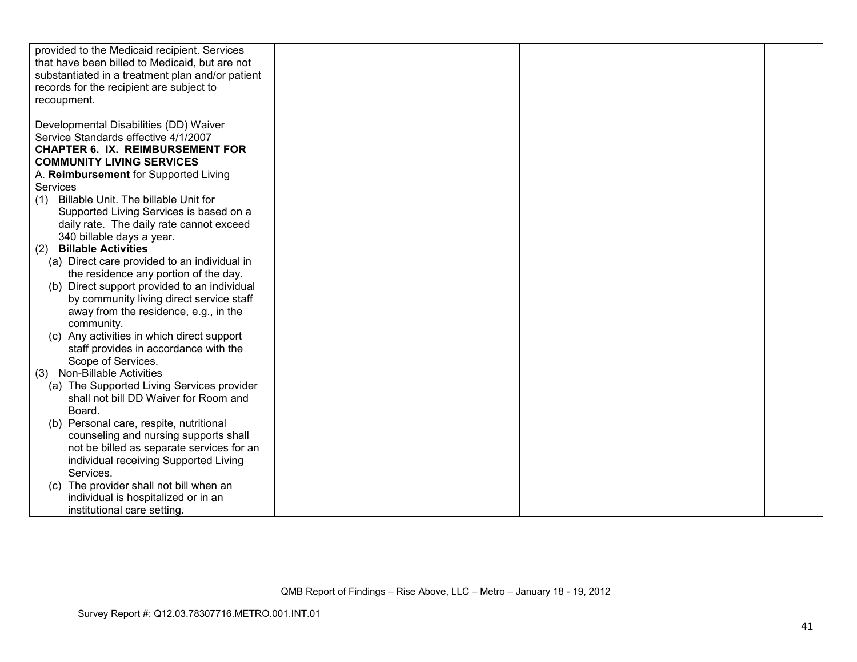| provided to the Medicaid recipient. Services     |  |  |
|--------------------------------------------------|--|--|
|                                                  |  |  |
| that have been billed to Medicaid, but are not   |  |  |
| substantiated in a treatment plan and/or patient |  |  |
| records for the recipient are subject to         |  |  |
| recoupment.                                      |  |  |
|                                                  |  |  |
|                                                  |  |  |
| Developmental Disabilities (DD) Waiver           |  |  |
| Service Standards effective 4/1/2007             |  |  |
| <b>CHAPTER 6. IX. REIMBURSEMENT FOR</b>          |  |  |
| <b>COMMUNITY LIVING SERVICES</b>                 |  |  |
| A. Reimbursement for Supported Living            |  |  |
| Services                                         |  |  |
| Billable Unit. The billable Unit for             |  |  |
| (1)                                              |  |  |
| Supported Living Services is based on a          |  |  |
| daily rate. The daily rate cannot exceed         |  |  |
| 340 billable days a year.                        |  |  |
| <b>Billable Activities</b><br>(2)                |  |  |
| (a) Direct care provided to an individual in     |  |  |
| the residence any portion of the day.            |  |  |
| (b) Direct support provided to an individual     |  |  |
|                                                  |  |  |
| by community living direct service staff         |  |  |
| away from the residence, e.g., in the            |  |  |
| community.                                       |  |  |
| (c) Any activities in which direct support       |  |  |
| staff provides in accordance with the            |  |  |
| Scope of Services.                               |  |  |
| (3) Non-Billable Activities                      |  |  |
| (a) The Supported Living Services provider       |  |  |
|                                                  |  |  |
| shall not bill DD Waiver for Room and            |  |  |
| Board.                                           |  |  |
| (b) Personal care, respite, nutritional          |  |  |
| counseling and nursing supports shall            |  |  |
| not be billed as separate services for an        |  |  |
| individual receiving Supported Living            |  |  |
| Services.                                        |  |  |
|                                                  |  |  |
| The provider shall not bill when an<br>(C)       |  |  |
| individual is hospitalized or in an              |  |  |
| institutional care setting.                      |  |  |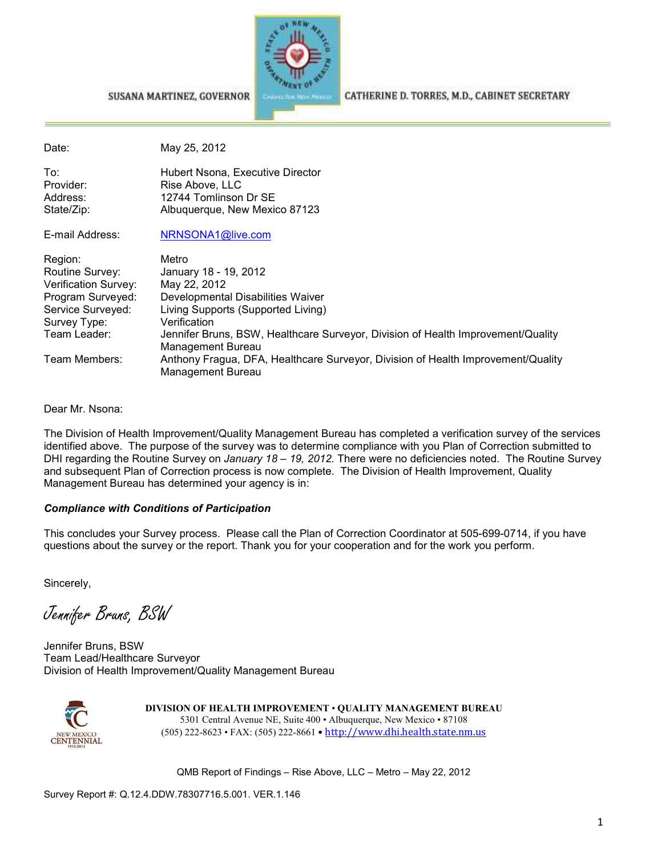

#### SUSANA MARTINEZ, GOVERNOR

CATHERINE D. TORRES, M.D., CABINET SECRETARY

| Date:                  | May 25, 2012                                                                                                 |
|------------------------|--------------------------------------------------------------------------------------------------------------|
| To:<br>Provider:       | Hubert Nsona, Executive Director<br>Rise Above, LLC                                                          |
| Address:<br>State/Zip: | 12744 Tomlinson Dr SE<br>Albuquerque, New Mexico 87123                                                       |
| E-mail Address:        | NRNSONA1@live.com                                                                                            |
| Region:                | Metro                                                                                                        |
| Routine Survey:        | January 18 - 19, 2012                                                                                        |
| Verification Survey:   | May 22, 2012                                                                                                 |
| Program Surveyed:      | Developmental Disabilities Waiver                                                                            |
| Service Surveyed:      | Living Supports (Supported Living)                                                                           |
| Survey Type:           | Verification                                                                                                 |
| Team Leader:           | Jennifer Bruns, BSW, Healthcare Surveyor, Division of Health Improvement/Quality<br>Management Bureau        |
| Team Members:          | Anthony Fragua, DFA, Healthcare Surveyor, Division of Health Improvement/Quality<br><b>Management Bureau</b> |

Dear Mr. Nsona:

The Division of Health Improvement/Quality Management Bureau has completed a verification survey of the services identified above. The purpose of the survey was to determine compliance with you Plan of Correction submitted to DHI regarding the Routine Survey on *January 18 – 19, 2012.* There were no deficiencies noted. The Routine Survey and subsequent Plan of Correction process is now complete. The Division of Health Improvement, Quality Management Bureau has determined your agency is in:

#### *Compliance with Conditions of Participation*

This concludes your Survey process. Please call the Plan of Correction Coordinator at 505-699-0714, if you have questions about the survey or the report. Thank you for your cooperation and for the work you perform.

Sincerely,

Jennifer Bruns, BSW

Jennifer Bruns, BSW Team Lead/Healthcare Surveyor Division of Health Improvement/Quality Management Bureau



**DIVISION OF HEALTH IMPROVEMENT** • **QUALITY MANAGEMENT BUREAU** 5301 Central Avenue NE, Suite 400 • Albuquerque, New Mexico • 87108 (505) 222-8623 • FAX: (505) 222-8661 • http://www.dhi.health.state.nm.us

QMB Report of Findings – Rise Above, LLC – Metro – May 22, 2012

Survey Report #: Q.12.4.DDW.78307716.5.001. VER.1.146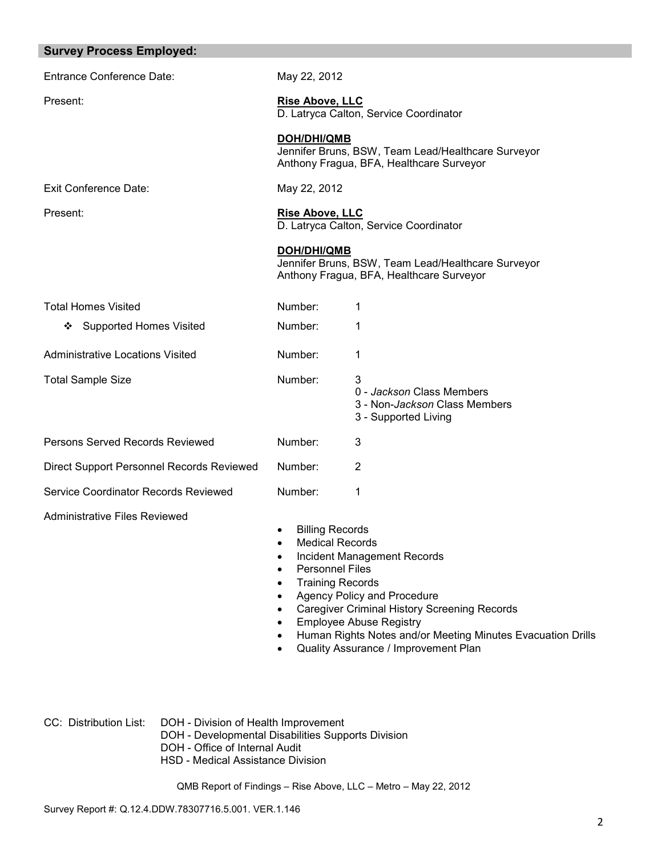| <b>Survey Process Employed:</b>           |                                                                                                                                                                                                               |                                                                                                                                                                                                                                                            |
|-------------------------------------------|---------------------------------------------------------------------------------------------------------------------------------------------------------------------------------------------------------------|------------------------------------------------------------------------------------------------------------------------------------------------------------------------------------------------------------------------------------------------------------|
| <b>Entrance Conference Date:</b>          | May 22, 2012                                                                                                                                                                                                  |                                                                                                                                                                                                                                                            |
| Present:                                  | <b>Rise Above, LLC</b>                                                                                                                                                                                        | D. Latryca Calton, Service Coordinator                                                                                                                                                                                                                     |
|                                           | <b>DOH/DHI/QMB</b>                                                                                                                                                                                            | Jennifer Bruns, BSW, Team Lead/Healthcare Surveyor<br>Anthony Fragua, BFA, Healthcare Surveyor                                                                                                                                                             |
| <b>Exit Conference Date:</b>              | May 22, 2012                                                                                                                                                                                                  |                                                                                                                                                                                                                                                            |
| Present:                                  | <b>Rise Above, LLC</b>                                                                                                                                                                                        | D. Latryca Calton, Service Coordinator                                                                                                                                                                                                                     |
|                                           | <b>DOH/DHI/QMB</b>                                                                                                                                                                                            | Jennifer Bruns, BSW, Team Lead/Healthcare Surveyor<br>Anthony Fragua, BFA, Healthcare Surveyor                                                                                                                                                             |
| <b>Total Homes Visited</b>                | Number:                                                                                                                                                                                                       | 1                                                                                                                                                                                                                                                          |
| ❖ Supported Homes Visited                 | Number:                                                                                                                                                                                                       | 1                                                                                                                                                                                                                                                          |
| <b>Administrative Locations Visited</b>   | Number:                                                                                                                                                                                                       | 1                                                                                                                                                                                                                                                          |
| <b>Total Sample Size</b>                  | Number:                                                                                                                                                                                                       | 3<br>0 - Jackson Class Members<br>3 - Non-Jackson Class Members<br>3 - Supported Living                                                                                                                                                                    |
| Persons Served Records Reviewed           | Number:                                                                                                                                                                                                       | 3                                                                                                                                                                                                                                                          |
| Direct Support Personnel Records Reviewed | Number:                                                                                                                                                                                                       | 2                                                                                                                                                                                                                                                          |
| Service Coordinator Records Reviewed      | Number:                                                                                                                                                                                                       | 1                                                                                                                                                                                                                                                          |
| <b>Administrative Files Reviewed</b>      | <b>Billing Records</b><br>$\bullet$<br><b>Medical Records</b><br>$\bullet$<br><b>Personnel Files</b><br>$\bullet$<br><b>Training Records</b><br>$\bullet$<br>$\bullet$<br>$\bullet$<br>$\bullet$<br>$\bullet$ | Incident Management Records<br>Agency Policy and Procedure<br><b>Caregiver Criminal History Screening Records</b><br><b>Employee Abuse Registry</b><br>Human Rights Notes and/or Meeting Minutes Evacuation Drills<br>Quality Assurance / Improvement Plan |

CC: Distribution List: DOH - Division of Health Improvement

- DOH Developmental Disabilities Supports Division
	- DOH Office of Internal Audit
	- HSD Medical Assistance Division

QMB Report of Findings – Rise Above, LLC – Metro – May 22, 2012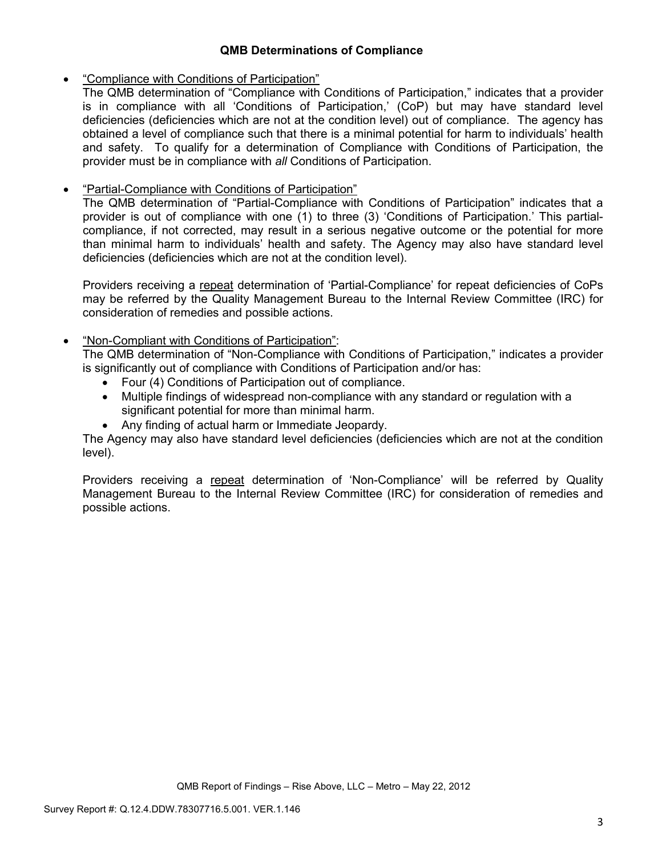## **QMB Determinations of Compliance**

## • "Compliance with Conditions of Participation"

The QMB determination of "Compliance with Conditions of Participation," indicates that a provider is in compliance with all 'Conditions of Participation,' (CoP) but may have standard level deficiencies (deficiencies which are not at the condition level) out of compliance. The agency has obtained a level of compliance such that there is a minimal potential for harm to individuals' health and safety. To qualify for a determination of Compliance with Conditions of Participation, the provider must be in compliance with *all* Conditions of Participation.

# • "Partial-Compliance with Conditions of Participation"

The QMB determination of "Partial-Compliance with Conditions of Participation" indicates that a provider is out of compliance with one (1) to three (3) 'Conditions of Participation.' This partialcompliance, if not corrected, may result in a serious negative outcome or the potential for more than minimal harm to individuals' health and safety. The Agency may also have standard level deficiencies (deficiencies which are not at the condition level).

Providers receiving a repeat determination of 'Partial-Compliance' for repeat deficiencies of CoPs may be referred by the Quality Management Bureau to the Internal Review Committee (IRC) for consideration of remedies and possible actions.

## • "Non-Compliant with Conditions of Participation":

The QMB determination of "Non-Compliance with Conditions of Participation," indicates a provider is significantly out of compliance with Conditions of Participation and/or has:

- Four (4) Conditions of Participation out of compliance.
- Multiple findings of widespread non-compliance with any standard or regulation with a significant potential for more than minimal harm.
- Any finding of actual harm or Immediate Jeopardy.

The Agency may also have standard level deficiencies (deficiencies which are not at the condition level).

Providers receiving a repeat determination of 'Non-Compliance' will be referred by Quality Management Bureau to the Internal Review Committee (IRC) for consideration of remedies and possible actions.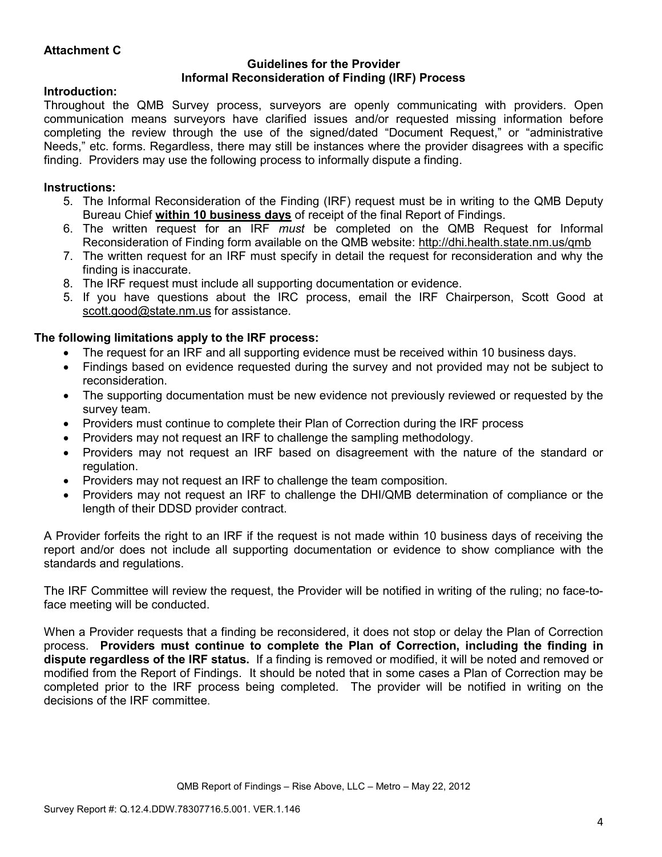## **Attachment C**

#### **Guidelines for the Provider Informal Reconsideration of Finding (IRF) Process**

### **Introduction:**

Throughout the QMB Survey process, surveyors are openly communicating with providers. Open communication means surveyors have clarified issues and/or requested missing information before completing the review through the use of the signed/dated "Document Request," or "administrative Needs," etc. forms. Regardless, there may still be instances where the provider disagrees with a specific finding. Providers may use the following process to informally dispute a finding.

## **Instructions:**

- 5. The Informal Reconsideration of the Finding (IRF) request must be in writing to the QMB Deputy Bureau Chief **within 10 business days** of receipt of the final Report of Findings.
- 6. The written request for an IRF *must* be completed on the QMB Request for Informal Reconsideration of Finding form available on the QMB website: http://dhi.health.state.nm.us/qmb
- 7. The written request for an IRF must specify in detail the request for reconsideration and why the finding is inaccurate.
- 8. The IRF request must include all supporting documentation or evidence.
- 5. If you have questions about the IRC process, email the IRF Chairperson, Scott Good at scott.good@state.nm.us for assistance.

## **The following limitations apply to the IRF process:**

- The request for an IRF and all supporting evidence must be received within 10 business days.
- Findings based on evidence requested during the survey and not provided may not be subject to reconsideration.
- The supporting documentation must be new evidence not previously reviewed or requested by the survey team.
- Providers must continue to complete their Plan of Correction during the IRF process
- Providers may not request an IRF to challenge the sampling methodology.
- Providers may not request an IRF based on disagreement with the nature of the standard or regulation.
- Providers may not request an IRF to challenge the team composition.
- Providers may not request an IRF to challenge the DHI/QMB determination of compliance or the length of their DDSD provider contract.

A Provider forfeits the right to an IRF if the request is not made within 10 business days of receiving the report and/or does not include all supporting documentation or evidence to show compliance with the standards and regulations.

The IRF Committee will review the request, the Provider will be notified in writing of the ruling; no face-toface meeting will be conducted.

When a Provider requests that a finding be reconsidered, it does not stop or delay the Plan of Correction process. **Providers must continue to complete the Plan of Correction, including the finding in dispute regardless of the IRF status.** If a finding is removed or modified, it will be noted and removed or modified from the Report of Findings. It should be noted that in some cases a Plan of Correction may be completed prior to the IRF process being completed. The provider will be notified in writing on the decisions of the IRF committee.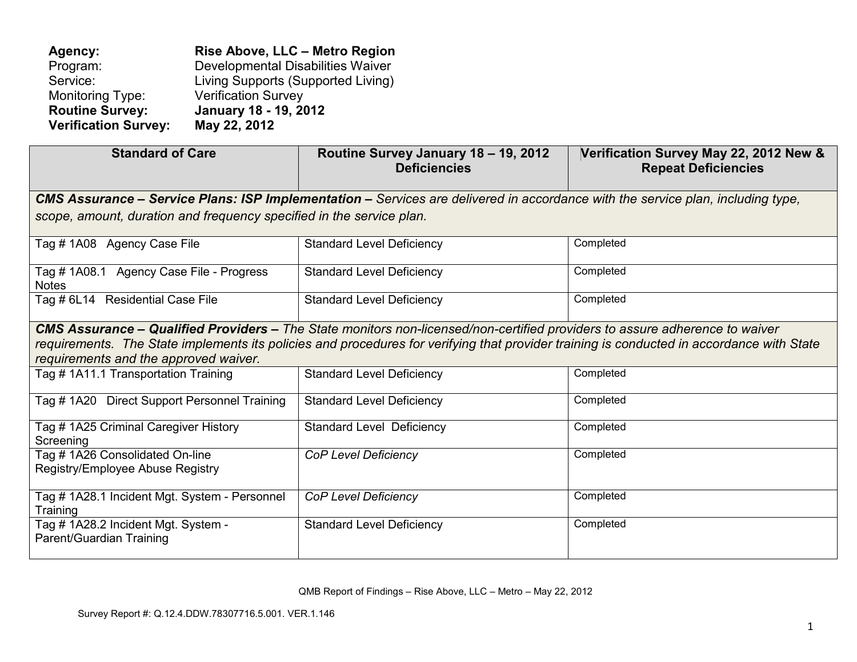**Agency: Rise Above, LLC – Metro Region** Program: Developmental Disabilities Waiver<br>Service: Living Supports (Supported Living) Service: Living Supports (Supported Living) Monitoring Type: Verification Survey<br> **Routine Survey: January 18 - 19, 20 Routine Survey: January 18 - 19, 2012 Verification Survey: May 22, 2012** 

| <b>Standard of Care</b>                                                                                                                                                            | Routine Survey January 18 - 19, 2012<br><b>Deficiencies</b>                                                                            | Verification Survey May 22, 2012 New &<br><b>Repeat Deficiencies</b> |  |
|------------------------------------------------------------------------------------------------------------------------------------------------------------------------------------|----------------------------------------------------------------------------------------------------------------------------------------|----------------------------------------------------------------------|--|
|                                                                                                                                                                                    | <b>CMS Assurance – Service Plans: ISP Implementation –</b> Services are delivered in accordance with the service plan, including type, |                                                                      |  |
| scope, amount, duration and frequency specified in the service plan.                                                                                                               |                                                                                                                                        |                                                                      |  |
| Tag # 1A08 Agency Case File                                                                                                                                                        | <b>Standard Level Deficiency</b>                                                                                                       | Completed                                                            |  |
| Tag # 1A08.1 Agency Case File - Progress<br><b>Notes</b>                                                                                                                           | <b>Standard Level Deficiency</b>                                                                                                       | Completed                                                            |  |
| Tag # 6L14 Residential Case File                                                                                                                                                   | <b>Standard Level Deficiency</b>                                                                                                       | Completed                                                            |  |
|                                                                                                                                                                                    | <b>CMS Assurance – Qualified Providers –</b> The State monitors non-licensed/non-certified providers to assure adherence to waiver     |                                                                      |  |
| requirements. The State implements its policies and procedures for verifying that provider training is conducted in accordance with State<br>requirements and the approved waiver. |                                                                                                                                        |                                                                      |  |
| Tag # 1A11.1 Transportation Training                                                                                                                                               | <b>Standard Level Deficiency</b>                                                                                                       | Completed                                                            |  |
| Tag # 1A20 Direct Support Personnel Training                                                                                                                                       | <b>Standard Level Deficiency</b>                                                                                                       | Completed                                                            |  |
| Tag # 1A25 Criminal Caregiver History<br>Screening                                                                                                                                 | <b>Standard Level Deficiency</b>                                                                                                       | Completed                                                            |  |
| Tag # 1A26 Consolidated On-line<br>Registry/Employee Abuse Registry                                                                                                                | <b>CoP Level Deficiency</b>                                                                                                            | Completed                                                            |  |
| Tag # 1A28.1 Incident Mgt. System - Personnel<br>Training                                                                                                                          | <b>CoP Level Deficiency</b>                                                                                                            | Completed                                                            |  |
| Tag # 1A28.2 Incident Mgt. System -<br>Parent/Guardian Training                                                                                                                    | <b>Standard Level Deficiency</b>                                                                                                       | Completed                                                            |  |